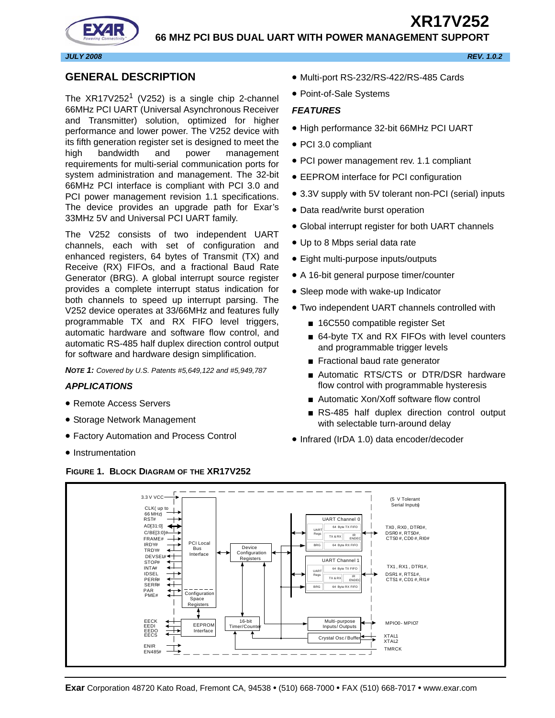# **XR17V252 66 MHZ PCI BUS DUAL UART WITH POWER MANAGEMENT SUPPORT**



#### *JULY 2008 REV. 1.0.2*

#### <span id="page-0-0"></span>**GENERAL DESCRIPTION**

The  $XR17V252<sup>1</sup>$  (V252) is a single chip 2-channel 66MHz PCI UART (Universal Asynchronous Receiver and Transmitter) solution, optimized for higher performance and lower power. The V252 device with its fifth generation register set is designed to meet the high bandwidth and power management requirements for multi-serial communication ports for system administration and management. The 32-bit 66MHz PCI interface is compliant with PCI 3.0 and PCI power management revision 1.1 specifications. The device provides an upgrade path for Exar's 33MHz 5V and Universal PCI UART family.

The V252 consists of two independent UART channels, each with set of configuration and enhanced registers, 64 bytes of Transmit (TX) and Receive (RX) FIFOs, and a fractional Baud Rate Generator (BRG). A global interrupt source register provides a complete interrupt status indication for both channels to speed up interrupt parsing. The V252 device operates at 33/66MHz and features fully programmable TX and RX FIFO level triggers, automatic hardware and software flow control, and automatic RS-485 half duplex direction control output for software and hardware design simplification.

*NOTE 1: Covered by U.S. Patents #5,649,122 and #5,949,787*

#### <span id="page-0-1"></span>*APPLICATIONS*

- Remote Access Servers
- Storage Network Management
- Factory Automation and Process Control
- Instrumentation

#### <span id="page-0-3"></span>**FIGURE 1. BLOCK DIAGRAM OF THE XR17V252**

- Multi-port RS-232/RS-422/RS-485 Cards
- Point-of-Sale Systems

#### <span id="page-0-2"></span>*FEATURES*

- High performance 32-bit 66MHz PCI UART
- PCI 3.0 compliant
- PCI power management rev. 1.1 compliant
- EEPROM interface for PCI configuration
- 3.3V supply with 5V tolerant non-PCI (serial) inputs
- Data read/write burst operation
- Global interrupt register for both UART channels
- Up to 8 Mbps serial data rate
- Eight multi-purpose inputs/outputs
- A 16-bit general purpose timer/counter
- Sleep mode with wake-up Indicator
- Two independent UART channels controlled with
	- 16C550 compatible register Set
	- 64-byte TX and RX FIFOs with level counters and programmable trigger levels
	- Fractional baud rate generator
	- Automatic RTS/CTS or DTR/DSR hardware flow control with programmable hysteresis
	- Automatic Xon/Xoff software flow control
	- RS-485 half duplex direction control output with selectable turn-around delay
- Infrared (IrDA 1.0) data encoder/decoder

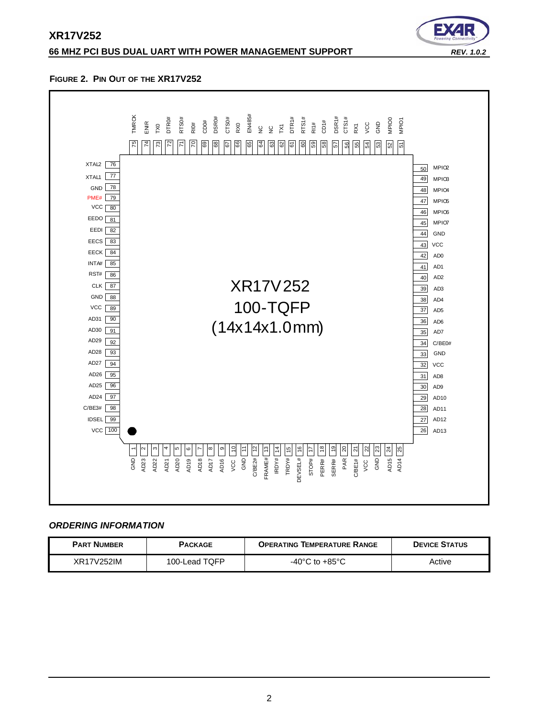## **66 MHZ PCI BUS DUAL UART WITH POWER MANAGEMENT SUPPORT** *REV. 1.0.2*



#### <span id="page-1-0"></span>**FIGURE 2. PIN OUT OF THE XR17V252**



#### <span id="page-1-1"></span>*ORDERING INFORMATION*

| <b>PART NUMBER</b> | <b>PACKAGE</b> | <b>OPERATING TEMPERATURE RANGE</b> | <b>DEVICE STATUS</b> |
|--------------------|----------------|------------------------------------|----------------------|
| XR17V252IM         | 100-Lead TQFP  | $-40^{\circ}$ C to $+85^{\circ}$ C | Active               |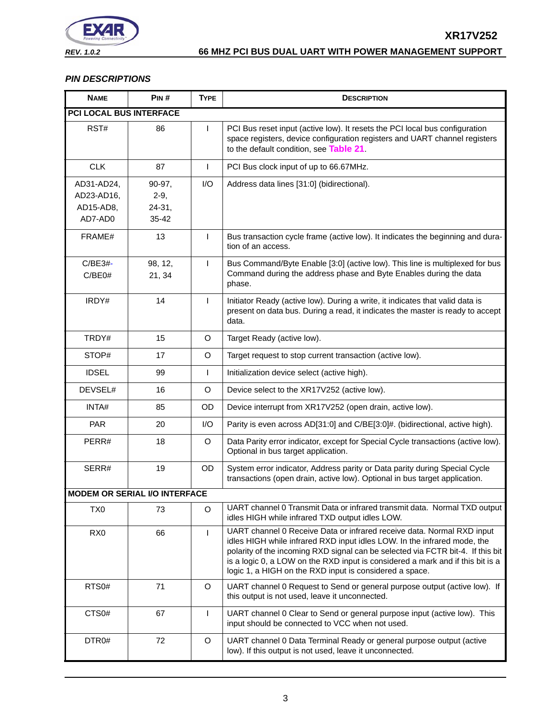

# <span id="page-2-0"></span>*PIN DESCRIPTIONS*

<span id="page-2-2"></span><span id="page-2-1"></span>

| <b>NAME</b>                                      | PIN#                                 | <b>TYPE</b>  | <b>DESCRIPTION</b>                                                                                                                                                                                                                                                                                                                                                                 |
|--------------------------------------------------|--------------------------------------|--------------|------------------------------------------------------------------------------------------------------------------------------------------------------------------------------------------------------------------------------------------------------------------------------------------------------------------------------------------------------------------------------------|
| <b>PCI LOCAL BUS INTERFACE</b>                   |                                      |              |                                                                                                                                                                                                                                                                                                                                                                                    |
| RST#                                             | 86                                   | $\mathbf{I}$ | PCI Bus reset input (active low). It resets the PCI local bus configuration<br>space registers, device configuration registers and UART channel registers<br>to the default condition, see Table 21.                                                                                                                                                                               |
| <b>CLK</b>                                       | 87                                   | $\mathsf{I}$ | PCI Bus clock input of up to 66.67MHz.                                                                                                                                                                                                                                                                                                                                             |
| AD31-AD24,<br>AD23-AD16,<br>AD15-AD8,<br>AD7-AD0 | 90-97,<br>$2-9,$<br>24-31,<br>35-42  | I/O          | Address data lines [31:0] (bidirectional).                                                                                                                                                                                                                                                                                                                                         |
| FRAME#                                           | 13                                   | L            | Bus transaction cycle frame (active low). It indicates the beginning and dura-<br>tion of an access.                                                                                                                                                                                                                                                                               |
| C/BE3#-<br>C/BE0#                                | 98, 12,<br>21, 34                    | $\mathsf{I}$ | Bus Command/Byte Enable [3:0] (active low). This line is multiplexed for bus<br>Command during the address phase and Byte Enables during the data<br>phase.                                                                                                                                                                                                                        |
| IRDY#                                            | 14                                   | $\mathbf{I}$ | Initiator Ready (active low). During a write, it indicates that valid data is<br>present on data bus. During a read, it indicates the master is ready to accept<br>data.                                                                                                                                                                                                           |
| TRDY#                                            | 15                                   | O            | Target Ready (active low).                                                                                                                                                                                                                                                                                                                                                         |
| STOP#                                            | 17                                   | $\circ$      | Target request to stop current transaction (active low).                                                                                                                                                                                                                                                                                                                           |
| <b>IDSEL</b>                                     | 99                                   | $\mathbf{I}$ | Initialization device select (active high).                                                                                                                                                                                                                                                                                                                                        |
| DEVSEL#                                          | 16                                   | $\circ$      | Device select to the XR17V252 (active low).                                                                                                                                                                                                                                                                                                                                        |
| INTA#                                            | 85                                   | <b>OD</b>    | Device interrupt from XR17V252 (open drain, active low).                                                                                                                                                                                                                                                                                                                           |
| <b>PAR</b>                                       | 20                                   | I/O          | Parity is even across AD[31:0] and C/BE[3:0]#. (bidirectional, active high).                                                                                                                                                                                                                                                                                                       |
| PERR#                                            | 18                                   | O            | Data Parity error indicator, except for Special Cycle transactions (active low).<br>Optional in bus target application.                                                                                                                                                                                                                                                            |
| SERR#                                            | 19                                   | OD           | System error indicator, Address parity or Data parity during Special Cycle<br>transactions (open drain, active low). Optional in bus target application.                                                                                                                                                                                                                           |
|                                                  | <b>MODEM OR SERIAL I/O INTERFACE</b> |              |                                                                                                                                                                                                                                                                                                                                                                                    |
| TX <sub>0</sub>                                  | 73                                   | O            | UART channel 0 Transmit Data or infrared transmit data. Normal TXD output<br>idles HIGH while infrared TXD output idles LOW.                                                                                                                                                                                                                                                       |
| RX <sub>0</sub>                                  | 66                                   | L            | UART channel 0 Receive Data or infrared receive data. Normal RXD input<br>idles HIGH while infrared RXD input idles LOW. In the infrared mode, the<br>polarity of the incoming RXD signal can be selected via FCTR bit-4. If this bit<br>is a logic 0, a LOW on the RXD input is considered a mark and if this bit is a<br>logic 1, a HIGH on the RXD input is considered a space. |
| RTS0#                                            | 71                                   | $\circ$      | UART channel 0 Request to Send or general purpose output (active low). If<br>this output is not used, leave it unconnected.                                                                                                                                                                                                                                                        |
| CTS <sub>0#</sub>                                | 67                                   | L            | UART channel 0 Clear to Send or general purpose input (active low). This<br>input should be connected to VCC when not used.                                                                                                                                                                                                                                                        |
| DTR0#                                            | 72                                   | $\circ$      | UART channel 0 Data Terminal Ready or general purpose output (active<br>low). If this output is not used, leave it unconnected.                                                                                                                                                                                                                                                    |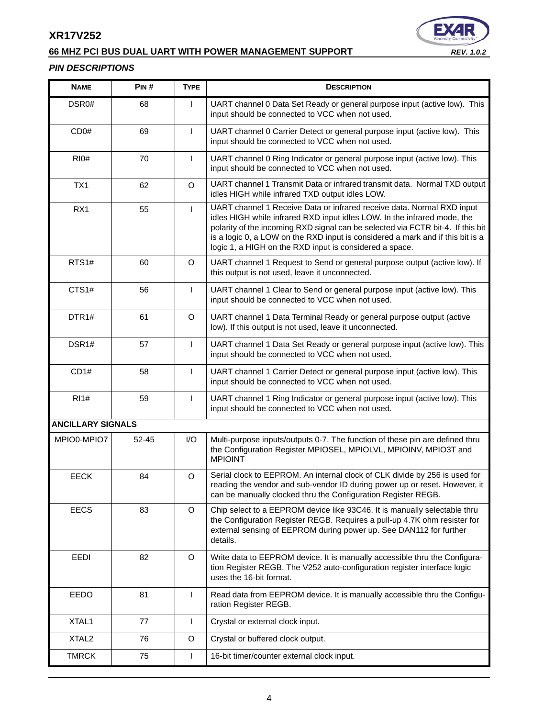# **66 MHZ PCI BUS DUAL UART WITH POWER MANAGEMENT SUPPORT** *REV. 1.0.2*



#### *PIN DESCRIPTIONS*

<span id="page-3-0"></span>

| <b>NAME</b>              | PIN#      | <b>TYPE</b>  | <b>DESCRIPTION</b>                                                                                                                                                                                                                                                                                                                                                                 |  |
|--------------------------|-----------|--------------|------------------------------------------------------------------------------------------------------------------------------------------------------------------------------------------------------------------------------------------------------------------------------------------------------------------------------------------------------------------------------------|--|
| DSR0#                    | 68        | $\mathsf{I}$ | UART channel 0 Data Set Ready or general purpose input (active low). This<br>input should be connected to VCC when not used.                                                                                                                                                                                                                                                       |  |
| CD <sub>0#</sub>         | 69        | $\mathsf{I}$ | UART channel 0 Carrier Detect or general purpose input (active low). This<br>input should be connected to VCC when not used.                                                                                                                                                                                                                                                       |  |
| <b>RI0#</b>              | 70        | $\mathsf{I}$ | UART channel 0 Ring Indicator or general purpose input (active low). This<br>input should be connected to VCC when not used.                                                                                                                                                                                                                                                       |  |
| TX1                      | 62        | O            | UART channel 1 Transmit Data or infrared transmit data. Normal TXD output<br>idles HIGH while infrared TXD output idles LOW.                                                                                                                                                                                                                                                       |  |
| RX1                      | 55        | $\mathsf{I}$ | UART channel 1 Receive Data or infrared receive data. Normal RXD input<br>idles HIGH while infrared RXD input idles LOW. In the infrared mode, the<br>polarity of the incoming RXD signal can be selected via FCTR bit-4. If this bit<br>is a logic 0, a LOW on the RXD input is considered a mark and if this bit is a<br>logic 1, a HIGH on the RXD input is considered a space. |  |
| RTS1#                    | 60        | O            | UART channel 1 Request to Send or general purpose output (active low). If<br>this output is not used, leave it unconnected.                                                                                                                                                                                                                                                        |  |
| CTS1#                    | 56        | $\mathsf{L}$ | UART channel 1 Clear to Send or general purpose input (active low). This<br>input should be connected to VCC when not used.                                                                                                                                                                                                                                                        |  |
| DTR1#                    | 61        | O            | UART channel 1 Data Terminal Ready or general purpose output (active<br>low). If this output is not used, leave it unconnected.                                                                                                                                                                                                                                                    |  |
| DSR1#                    | 57        | $\mathsf{L}$ | UART channel 1 Data Set Ready or general purpose input (active low). This<br>input should be connected to VCC when not used.                                                                                                                                                                                                                                                       |  |
| CD1#                     | 58        | $\mathbf{I}$ | UART channel 1 Carrier Detect or general purpose input (active low). This<br>input should be connected to VCC when not used.                                                                                                                                                                                                                                                       |  |
| <b>RI1#</b>              | 59        | $\mathsf{I}$ | UART channel 1 Ring Indicator or general purpose input (active low). This<br>input should be connected to VCC when not used.                                                                                                                                                                                                                                                       |  |
| <b>ANCILLARY SIGNALS</b> |           |              |                                                                                                                                                                                                                                                                                                                                                                                    |  |
| MPIO0-MPIO7              | $52 - 45$ | I/O          | Multi-purpose inputs/outputs 0-7. The function of these pin are defined thru<br>the Configuration Register MPIOSEL, MPIOLVL, MPIOINV, MPIO3T and<br><b>MPIOINT</b>                                                                                                                                                                                                                 |  |
| <b>EECK</b>              | 84        | O            | Serial clock to EEPROM. An internal clock of CLK divide by 256 is used for<br>reading the vendor and sub-vendor ID during power up or reset. However, it<br>can be manually clocked thru the Configuration Register REGB.                                                                                                                                                          |  |
| <b>EECS</b>              | 83        | O            | Chip select to a EEPROM device like 93C46. It is manually selectable thru<br>the Configuration Register REGB. Requires a pull-up 4.7K ohm resister for<br>external sensing of EEPROM during power up. See DAN112 for further<br>details.                                                                                                                                           |  |
| EEDI                     | 82        | O            | Write data to EEPROM device. It is manually accessible thru the Configura-<br>tion Register REGB. The V252 auto-configuration register interface logic<br>uses the 16-bit format.                                                                                                                                                                                                  |  |
| EEDO                     | 81        | $\mathbf{I}$ | Read data from EEPROM device. It is manually accessible thru the Configu-<br>ration Register REGB.                                                                                                                                                                                                                                                                                 |  |
| XTAL1                    | 77        | $\mathbf{I}$ | Crystal or external clock input.                                                                                                                                                                                                                                                                                                                                                   |  |
| XTAL <sub>2</sub>        | 76        | O            | Crystal or buffered clock output.                                                                                                                                                                                                                                                                                                                                                  |  |
| <b>TMRCK</b>             | 75        | $\mathbf{I}$ | 16-bit timer/counter external clock input.                                                                                                                                                                                                                                                                                                                                         |  |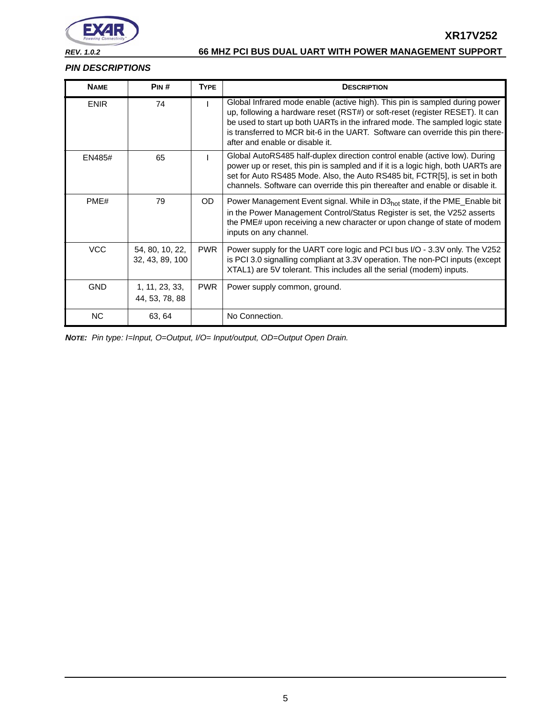

**XR17V252**

#### *PIN DESCRIPTIONS*

| <b>NAME</b> | PIN#                               | <b>TYPE</b> | <b>DESCRIPTION</b>                                                                                                                                                                                                                                                                                                                                               |
|-------------|------------------------------------|-------------|------------------------------------------------------------------------------------------------------------------------------------------------------------------------------------------------------------------------------------------------------------------------------------------------------------------------------------------------------------------|
| <b>ENIR</b> | 74                                 |             | Global Infrared mode enable (active high). This pin is sampled during power<br>up, following a hardware reset (RST#) or soft-reset (register RESET). It can<br>be used to start up both UARTs in the infrared mode. The sampled logic state<br>is transferred to MCR bit-6 in the UART. Software can override this pin there-<br>after and enable or disable it. |
| EN485#      | 65                                 |             | Global AutoRS485 half-duplex direction control enable (active low). During<br>power up or reset, this pin is sampled and if it is a logic high, both UARTs are<br>set for Auto RS485 Mode. Also, the Auto RS485 bit, FCTR[5], is set in both<br>channels. Software can override this pin thereafter and enable or disable it.                                    |
| PME#        | 79                                 | OD.         | Power Management Event signal. While in D3 <sub>hot</sub> state, if the PME_Enable bit<br>in the Power Management Control/Status Register is set, the V252 asserts<br>the PME# upon receiving a new character or upon change of state of modem<br>inputs on any channel.                                                                                         |
| <b>VCC</b>  | 54, 80, 10, 22,<br>32, 43, 89, 100 | <b>PWR</b>  | Power supply for the UART core logic and PCI bus I/O - 3.3V only. The V252<br>is PCI 3.0 signalling compliant at 3.3V operation. The non-PCI inputs (except<br>XTAL1) are 5V tolerant. This includes all the serial (modem) inputs.                                                                                                                              |
| <b>GND</b>  | 1, 11, 23, 33,<br>44, 53, 78, 88   | <b>PWR</b>  | Power supply common, ground.                                                                                                                                                                                                                                                                                                                                     |
| <b>NC</b>   | 63, 64                             |             | No Connection.                                                                                                                                                                                                                                                                                                                                                   |

*NOTE: Pin type: I=Input, O=Output, I/O= Input/output, OD=Output Open Drain.*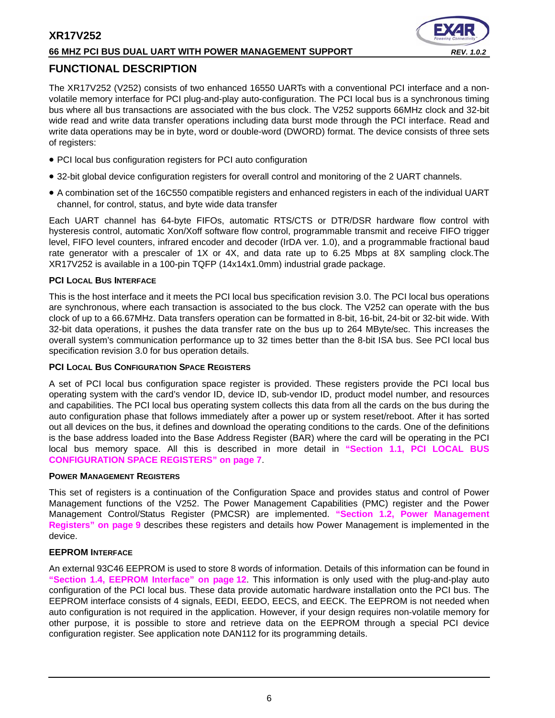#### **66 MHZ PCI BUS DUAL UART WITH POWER MANAGEMENT SUPPORT** *REV. 1.0.2*

# <span id="page-5-0"></span>**FUNCTIONAL DESCRIPTION**

The XR17V252 (V252) consists of two enhanced 16550 UARTs with a conventional PCI interface and a nonvolatile memory interface for PCI plug-and-play auto-configuration. The PCI local bus is a synchronous timing bus where all bus transactions are associated with the bus clock. The V252 supports 66MHz clock and 32-bit wide read and write data transfer operations including data burst mode through the PCI interface. Read and write data operations may be in byte, word or double-word (DWORD) format. The device consists of three sets of registers:

- PCI local bus configuration registers for PCI auto configuration
- 32-bit global device configuration registers for overall control and monitoring of the 2 UART channels.
- A combination set of the 16C550 compatible registers and enhanced registers in each of the individual UART channel, for control, status, and byte wide data transfer

Each UART channel has 64-byte FIFOs, automatic RTS/CTS or DTR/DSR hardware flow control with hysteresis control, automatic Xon/Xoff software flow control, programmable transmit and receive FIFO trigger level, FIFO level counters, infrared encoder and decoder (IrDA ver. 1.0), and a programmable fractional baud rate generator with a prescaler of 1X or 4X, and data rate up to 6.25 Mbps at 8X sampling clock.The XR17V252 is available in a 100-pin TQFP (14x14x1.0mm) industrial grade package.

#### <span id="page-5-1"></span>**PCI LOCAL BUS INTERFACE**

This is the host interface and it meets the PCI local bus specification revision 3.0. The PCI local bus operations are synchronous, where each transaction is associated to the bus clock. The V252 can operate with the bus clock of up to a 66.67MHz. Data transfers operation can be formatted in 8-bit, 16-bit, 24-bit or 32-bit wide. With 32-bit data operations, it pushes the data transfer rate on the bus up to 264 MByte/sec. This increases the overall system's communication performance up to 32 times better than the 8-bit ISA bus. See PCI local bus specification revision 3.0 for bus operation details.

#### <span id="page-5-2"></span>**PCI LOCAL BUS CONFIGURATION SPACE REGISTERS**

A set of PCI local bus configuration space register is provided. These registers provide the PCI local bus operating system with the card's vendor ID, device ID, sub-vendor ID, product model number, and resources and capabilities. The PCI local bus operating system collects this data from all the cards on the bus during the auto configuration phase that follows immediately after a power up or system reset/reboot. After it has sorted out all devices on the bus, it defines and download the operating conditions to the cards. One of the definitions is the base address loaded into the Base Address Register (BAR) where the card will be operating in the PCI local bus memory space. All this is described in more detail in **["Section 1.1, PCI LOCAL BUS](#page-6-0)  [CONFIGURATION SPACE REGISTERS" on page](#page-6-0) 7**.

#### <span id="page-5-3"></span>**POWER MANAGEMENT REGISTERS**

This set of registers is a continuation of the Configuration Space and provides status and control of Power Management functions of the V252. The Power Management Capabilities (PMC) register and the Power Management Control/Status Register (PMCSR) are implemented. **["Section 1.2, Power Management](#page-8-0) [Registers" on page](#page-8-0) 9** describes these registers and details how Power Management is implemented in the device.

#### <span id="page-5-4"></span>**EEPROM INTERFACE**

An external 93C46 EEPROM is used to store 8 words of information. Details of this information can be found in **["Section 1.4, EEPROM Interface" on page](#page-11-0) 12**. This information is only used with the plug-and-play auto configuration of the PCI local bus. These data provide automatic hardware installation onto the PCI bus. The EEPROM interface consists of 4 signals, EEDI, EEDO, EECS, and EECK. The EEPROM is not needed when auto configuration is not required in the application. However, if your design requires non-volatile memory for other purpose, it is possible to store and retrieve data on the EEPROM through a special PCI device configuration register. See application note DAN112 for its programming details.

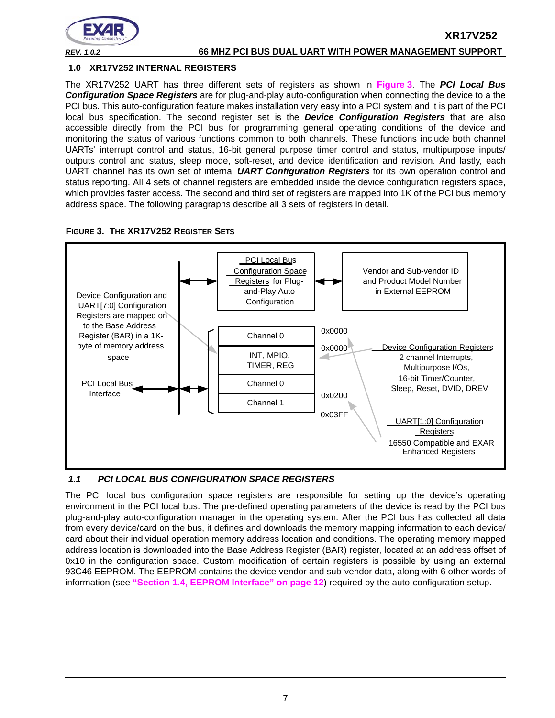

**XR17V252**

#### <span id="page-6-2"></span>**1.0 XR17V252 INTERNAL REGISTERS**

The XR17V252 UART has three different sets of registers as shown in **[Figure](#page-6-1) 3**. The *PCI Local Bus Configuration Space Registers* are for plug-and-play auto-configuration when connecting the device to a the PCI bus. This auto-configuration feature makes installation very easy into a PCI system and it is part of the PCI local bus specification. The second register set is the *Device Configuration Registers* that are also accessible directly from the PCI bus for programming general operating conditions of the device and monitoring the status of various functions common to both channels. These functions include both channel UARTs' interrupt control and status, 16-bit general purpose timer control and status, multipurpose inputs/ outputs control and status, sleep mode, soft-reset, and device identification and revision. And lastly, each UART channel has its own set of internal *UART Configuration Registers* for its own operation control and status reporting. All 4 sets of channel registers are embedded inside the device configuration registers space, which provides faster access. The second and third set of registers are mapped into 1K of the PCI bus memory address space. The following paragraphs describe all 3 sets of registers in detail.

<span id="page-6-1"></span>



#### <span id="page-6-0"></span>*1.1 PCI LOCAL BUS CONFIGURATION SPACE REGISTERS*

The PCI local bus configuration space registers are responsible for setting up the device's operating environment in the PCI local bus. The pre-defined operating parameters of the device is read by the PCI bus plug-and-play auto-configuration manager in the operating system. After the PCI bus has collected all data from every device/card on the bus, it defines and downloads the memory mapping information to each device/ card about their individual operation memory address location and conditions. The operating memory mapped address location is downloaded into the Base Address Register (BAR) register, located at an address offset of 0x10 in the configuration space. Custom modification of certain registers is possible by using an external 93C46 EEPROM. The EEPROM contains the device vendor and sub-vendor data, along with 6 other words of information (see **["Section 1.4, EEPROM Interface" on page](#page-11-0) 12**) required by the auto-configuration setup.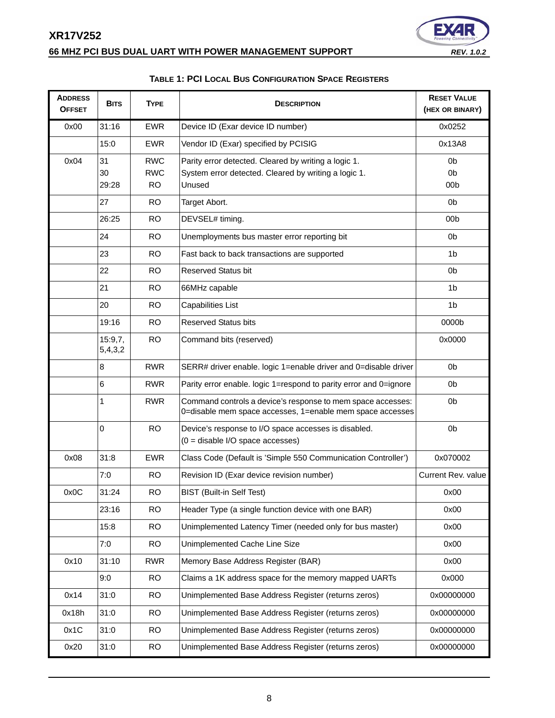# **66 MHZ PCI BUS DUAL UART WITH POWER MANAGEMENT SUPPORT** *REV. 1.0.2*



# **TABLE 1: PCI LOCAL BUS CONFIGURATION SPACE REGISTERS**

<span id="page-7-0"></span>

| <b>ADDRESS</b><br><b>OFFSET</b> | <b>BITS</b>        | <b>TYPE</b>                           | <b>DESCRIPTION</b>                                                                                                       | <b>RESET VALUE</b><br>(HEX OR BINARY)               |
|---------------------------------|--------------------|---------------------------------------|--------------------------------------------------------------------------------------------------------------------------|-----------------------------------------------------|
| 0x00                            | 31:16              | <b>EWR</b>                            | Device ID (Exar device ID number)                                                                                        | 0x0252                                              |
|                                 | 15:0               | <b>EWR</b>                            | Vendor ID (Exar) specified by PCISIG                                                                                     | 0x13A8                                              |
| 0x04                            | 31<br>30<br>29:28  | <b>RWC</b><br><b>RWC</b><br><b>RO</b> | Parity error detected. Cleared by writing a logic 1.<br>System error detected. Cleared by writing a logic 1.<br>Unused   | 0 <sub>b</sub><br>0 <sub>b</sub><br>00 <sub>b</sub> |
|                                 | 27                 | <b>RO</b>                             | Target Abort.                                                                                                            | 0 <sub>b</sub>                                      |
|                                 | 26:25              | <b>RO</b>                             | DEVSEL# timing.                                                                                                          | 00 <sub>b</sub>                                     |
|                                 | 24                 | <b>RO</b>                             | Unemployments bus master error reporting bit                                                                             | 0 <sub>b</sub>                                      |
|                                 | 23                 | <b>RO</b>                             | Fast back to back transactions are supported                                                                             | 1 <sub>b</sub>                                      |
|                                 | 22                 | <b>RO</b>                             | <b>Reserved Status bit</b>                                                                                               | 0b                                                  |
|                                 | 21                 | <b>RO</b>                             | 66MHz capable                                                                                                            | 1 <sub>b</sub>                                      |
|                                 | 20                 | <b>RO</b>                             | Capabilities List                                                                                                        | 1 <sub>b</sub>                                      |
|                                 | 19:16              | <b>RO</b>                             | <b>Reserved Status bits</b>                                                                                              | 0000b                                               |
|                                 | 15:9,7,<br>5,4,3,2 | <b>RO</b>                             | Command bits (reserved)                                                                                                  | 0x0000                                              |
|                                 | 8                  | <b>RWR</b>                            | SERR# driver enable. logic 1=enable driver and 0=disable driver                                                          | 0b                                                  |
|                                 | 6                  | <b>RWR</b>                            | Parity error enable. logic 1=respond to parity error and 0=ignore                                                        | 0b                                                  |
|                                 | 1                  | <b>RWR</b>                            | Command controls a device's response to mem space accesses:<br>0=disable mem space accesses, 1=enable mem space accesses | 0 <sub>b</sub>                                      |
|                                 | 0                  | <b>RO</b>                             | Device's response to I/O space accesses is disabled.<br>$(0 =$ disable I/O space accesses)                               | 0 <sub>b</sub>                                      |
| 0x08                            | 31:8               | <b>EWR</b>                            | Class Code (Default is 'Simple 550 Communication Controller')                                                            | 0x070002                                            |
|                                 | 7:0                | <b>RO</b>                             | Revision ID (Exar device revision number)                                                                                | Current Rev. value                                  |
| 0x0C                            | 31:24              | RO.                                   | <b>BIST (Built-in Self Test)</b>                                                                                         | 0x00                                                |
|                                 | 23:16              | <b>RO</b>                             | Header Type (a single function device with one BAR)                                                                      | 0x00                                                |
|                                 | 15:8               | <b>RO</b>                             | Unimplemented Latency Timer (needed only for bus master)                                                                 | 0x00                                                |
|                                 | 7:0                | <b>RO</b>                             | Unimplemented Cache Line Size                                                                                            | 0x00                                                |
| 0x10                            | 31:10              | <b>RWR</b>                            | Memory Base Address Register (BAR)                                                                                       | 0x00                                                |
|                                 | 9:0                | <b>RO</b>                             | Claims a 1K address space for the memory mapped UARTs                                                                    | 0x000                                               |
| 0x14                            | 31:0               | <b>RO</b>                             | Unimplemented Base Address Register (returns zeros)                                                                      | 0x00000000                                          |
| 0x18h                           | 31:0               | <b>RO</b>                             | Unimplemented Base Address Register (returns zeros)                                                                      | 0x00000000                                          |
| 0x1C                            | 31:0               | <b>RO</b>                             | Unimplemented Base Address Register (returns zeros)                                                                      | 0x00000000                                          |
| 0x20                            | 31:0               | <b>RO</b>                             | Unimplemented Base Address Register (returns zeros)                                                                      | 0x00000000                                          |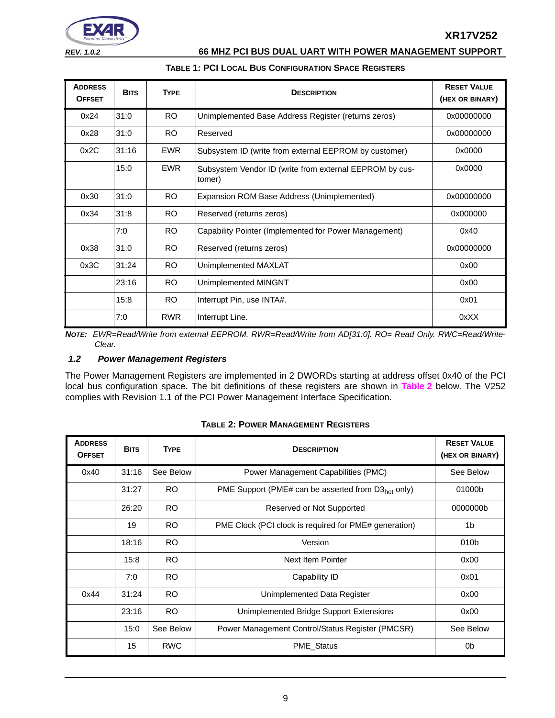

#### **TABLE 1: PCI LOCAL BUS CONFIGURATION SPACE REGISTERS**

| <b>ADDRESS</b><br><b>OFFSET</b> | <b>BITS</b> | <b>TYPE</b> | <b>DESCRIPTION</b>                                                | <b>RESET VALUE</b><br>(HEX OR BINARY) |
|---------------------------------|-------------|-------------|-------------------------------------------------------------------|---------------------------------------|
| 0x24                            | 31:0        | RO.         | Unimplemented Base Address Register (returns zeros)               | 0x00000000                            |
| 0x28                            | 31:0        | RO.         | Reserved                                                          | 0x00000000                            |
| 0x2C                            | 31:16       | <b>EWR</b>  | Subsystem ID (write from external EEPROM by customer)             | 0x0000                                |
|                                 | 15:0        | <b>EWR</b>  | Subsystem Vendor ID (write from external EEPROM by cus-<br>tomer) | 0x0000                                |
| 0x30                            | 31:0        | <b>RO</b>   | Expansion ROM Base Address (Unimplemented)                        | 0x00000000                            |
| 0x34                            | 31:8        | RO.         | Reserved (returns zeros)                                          | 0x000000                              |
|                                 | 7:0         | <b>RO</b>   | Capability Pointer (Implemented for Power Management)             | 0x40                                  |
| 0x38                            | 31:0        | <b>RO</b>   | Reserved (returns zeros)                                          | 0x00000000                            |
| 0x3C                            | 31:24       | <b>RO</b>   | Unimplemented MAXLAT                                              | 0x00                                  |
|                                 | 23:16       | RO.         | Unimplemented MINGNT                                              | 0x00                                  |
|                                 | 15:8        | RO.         | Interrupt Pin, use INTA#.                                         | 0x01                                  |
|                                 | 7:0         | <b>RWR</b>  | Interrupt Line.                                                   | 0xXX                                  |

*NOTE: EWR=Read/Write from external EEPROM. RWR=Read/Write from AD[31:0]. RO= Read Only. RWC=Read/Write-Clear.*

#### <span id="page-8-0"></span>*1.2 Power Management Registers*

The Power Management Registers are implemented in 2 DWORDs starting at address offset 0x40 of the PCI local bus configuration space. The bit definitions of these registers are shown in **[Table](#page-8-1) 2** below. The V252 complies with Revision 1.1 of the PCI Power Management Interface Specification.

<span id="page-8-1"></span>

| <b>ADDRESS</b><br><b>OFFSET</b> | <b>BITS</b> | <b>TYPE</b> | <b>DESCRIPTION</b>                                    | <b>RESET VALUE</b><br>(HEX OR BINARY) |
|---------------------------------|-------------|-------------|-------------------------------------------------------|---------------------------------------|
| 0x40                            | 31:16       | See Below   | Power Management Capabilities (PMC)                   | See Below                             |
|                                 | 31:27       | <b>RO</b>   | PME Support (PME# can be asserted from $D3hot$ only)  | 01000b                                |
|                                 | 26:20       | <b>RO</b>   | Reserved or Not Supported                             | 0000000b                              |
|                                 | 19          | <b>RO</b>   | PME Clock (PCI clock is required for PME# generation) | 1 <sub>b</sub>                        |
|                                 | 18:16       | <b>RO</b>   | Version                                               | 010 <sub>b</sub>                      |
|                                 | 15:8        | <b>RO</b>   | Next Item Pointer                                     | 0x00                                  |
|                                 | 7:0         | <b>RO</b>   | Capability ID                                         | 0x01                                  |
| 0x44                            | 31:24       | <b>RO</b>   | Unimplemented Data Register                           | 0x00                                  |
|                                 | 23:16       | <b>RO</b>   | Unimplemented Bridge Support Extensions               | 0x00                                  |
|                                 | 15:0        | See Below   | Power Management Control/Status Register (PMCSR)      | See Below                             |
|                                 | 15          | <b>RWC</b>  | PME_Status                                            | 0 <sub>b</sub>                        |

#### **TABLE 2: POWER MANAGEMENT REGISTERS**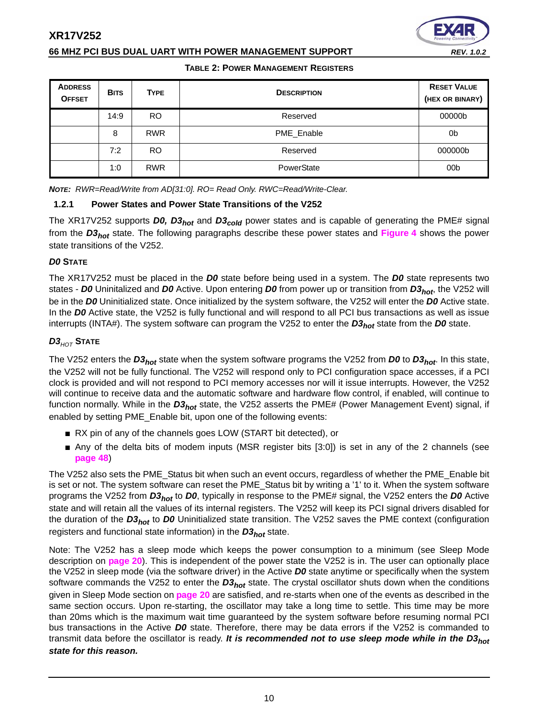#### **66 MHZ PCI BUS DUAL UART WITH POWER MANAGEMENT SUPPORT** *REV. 1.0.2*

#### **TABLE 2: POWER MANAGEMENT REGISTERS**

| <b>ADDRESS</b><br><b>OFFSET</b> | <b>BITS</b> | <b>TYPE</b> | <b>DESCRIPTION</b> | <b>RESET VALUE</b><br>(HEX OR BINARY) |
|---------------------------------|-------------|-------------|--------------------|---------------------------------------|
|                                 | 14:9        | <b>RO</b>   | Reserved           | 00000b                                |
|                                 | 8           | <b>RWR</b>  | PME_Enable         | 0b                                    |
|                                 | 7:2         | RO.         | Reserved           | 000000b                               |
|                                 | 1:0         | <b>RWR</b>  | PowerState         | 00 <sub>b</sub>                       |

*NOTE: RWR=Read/Write from AD[31:0]. RO= Read Only. RWC=Read/Write-Clear.*

#### <span id="page-9-0"></span>**1.2.1 Power States and Power State Transitions of the V252**

The XR17V252 supports *D0, D3hot* and *D3cold* power states and is capable of generating the PME# signal from the *D3hot* state. The following paragraphs describe these power states and **[Figure](#page-10-0) 4** shows the power state transitions of the V252.

#### <span id="page-9-1"></span>*D0* **STATE**

The XR17V252 must be placed in the *D0* state before being used in a system. The *D0* state represents two states - *D0* Uninitalized and *D0* Active. Upon entering *D0* from power up or transition from *D3hot*, the V252 will be in the *D0* Uninitialized state. Once initialized by the system software, the V252 will enter the *D0* Active state. In the *D0* Active state, the V252 is fully functional and will respond to all PCI bus transactions as well as issue interrupts (INTA#). The system software can program the V252 to enter the *D3<sub>hot</sub>* state from the *D0* state.

#### <span id="page-9-2"></span>*D3HOT* **STATE**

The V252 enters the *D3hot* state when the system software programs the V252 from *D0* to *D3hot*. In this state, the V252 will not be fully functional. The V252 will respond only to PCI configuration space accesses, if a PCI clock is provided and will not respond to PCI memory accesses nor will it issue interrupts. However, the V252 will continue to receive data and the automatic software and hardware flow control, if enabled, will continue to function normally. While in the D3<sub>hot</sub> state, the V252 asserts the PME# (Power Management Event) signal, if enabled by setting PME\_Enable bit, upon one of the following events:

- RX pin of any of the channels goes LOW (START bit detected), or
- Any of the delta bits of modem inputs (MSR register bits [3:0]) is set in any of the 2 channels (see **[page](#page-47-0) 48**)

The V252 also sets the PME\_Status bit when such an event occurs, regardless of whether the PME\_Enable bit is set or not. The system software can reset the PME Status bit by writing a '1' to it. When the system software programs the V252 from *D3hot* to *D0*, typically in response to the PME# signal, the V252 enters the *D0* Active state and will retain all the values of its internal registers. The V252 will keep its PCI signal drivers disabled for the duration of the *D3hot* to *D0* Uninitialized state transition. The V252 saves the PME context (configuration registers and functional state information) in the *D3hot* state.

Note: The V252 has a sleep mode which keeps the power consumption to a minimum (see Sleep Mode description on **[page](#page-19-0) 20**). This is independent of the power state the V252 is in. The user can optionally place the V252 in sleep mode (via the software driver) in the Active *D0* state anytime or specifically when the system software commands the V252 to enter the *D3<sub>hot</sub>* state. The crystal oscillator shuts down when the conditions given in Sleep Mode section on **[page](#page-19-0) 20** are satisfied, and re-starts when one of the events as described in the same section occurs. Upon re-starting, the oscillator may take a long time to settle. This time may be more than 20ms which is the maximum wait time guaranteed by the system software before resuming normal PCI bus transactions in the Active *D0* state. Therefore, there may be data errors if the V252 is commanded to transmit data before the oscillator is ready. *It is recommended not to use sleep mode while in the D3hot state for this reason.*

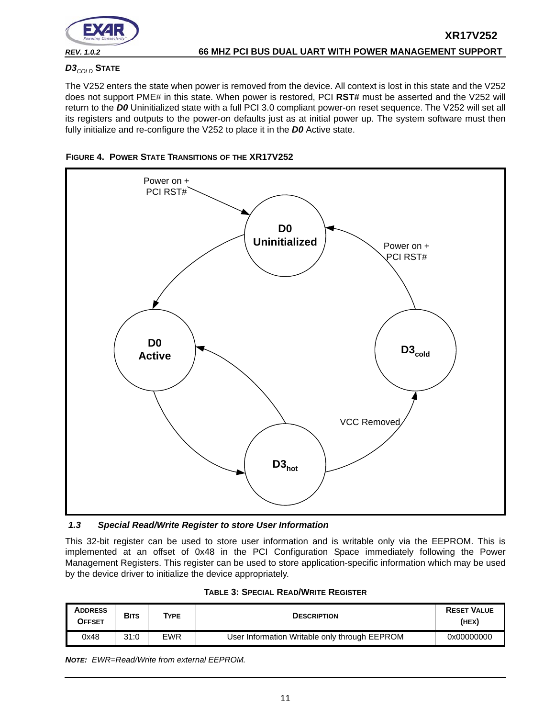

# <span id="page-10-1"></span>*D3COLD* **STATE**

The V252 enters the state when power is removed from the device. All context is lost in this state and the V252 does not support PME# in this state. When power is restored, PCI **RST#** must be asserted and the V252 will return to the *D0* Uninitialized state with a full PCI 3.0 compliant power-on reset sequence. The V252 will set all its registers and outputs to the power-on defaults just as at initial power up. The system software must then fully initialize and re-configure the V252 to place it in the *D0* Active state.



<span id="page-10-0"></span>

#### <span id="page-10-2"></span>*1.3 Special Read/Write Register to store User Information*

This 32-bit register can be used to store user information and is writable only via the EEPROM. This is implemented at an offset of 0x48 in the PCI Configuration Space immediately following the Power Management Registers. This register can be used to store application-specific information which may be used by the device driver to initialize the device appropriately.

<span id="page-10-3"></span>

| <b>ADDRESS</b><br><b>OFFSET</b> | <b>BITS</b> | <b>TYPE</b> | <b>DESCRIPTION</b>                            | <b>RESET VALUE</b><br>(HEX) |
|---------------------------------|-------------|-------------|-----------------------------------------------|-----------------------------|
| 0x48                            | 31:0        | <b>EWR</b>  | User Information Writable only through EEPROM | 0x00000000                  |

| <b>TABLE 3: SPECIAL READ/WRITE REGISTER</b> |  |  |  |  |
|---------------------------------------------|--|--|--|--|
|---------------------------------------------|--|--|--|--|

*NOTE: EWR=Read/Write from external EEPROM.*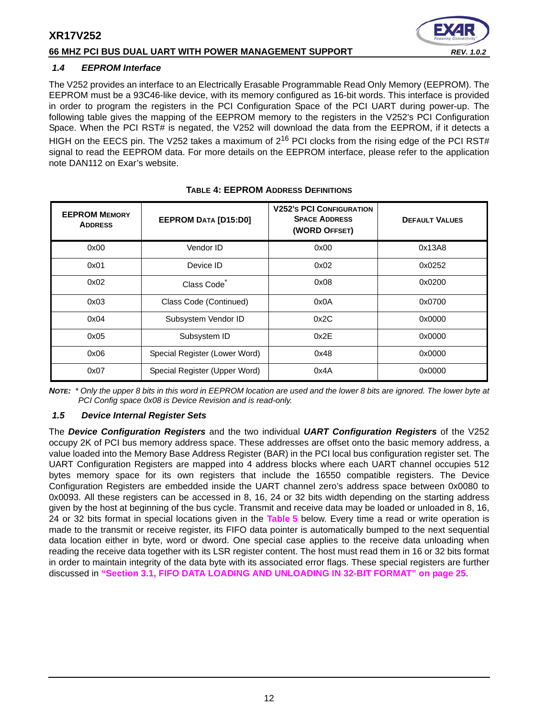

#### <span id="page-11-0"></span>*1.4 EEPROM Interface*

The V252 provides an interface to an Electrically Erasable Programmable Read Only Memory (EEPROM). The EEPROM must be a 93C46-like device, with its memory configured as 16-bit words. This interface is provided in order to program the registers in the PCI Configuration Space of the PCI UART during power-up. The following table gives the mapping of the EEPROM memory to the registers in the V252's PCI Configuration Space. When the PCI RST# is negated, the V252 will download the data from the EEPROM, if it detects a HIGH on the EECS pin. The V252 takes a maximum of  $2^{16}$  PCI clocks from the rising edge of the PCI RST# signal to read the EEPROM data. For more details on the EEPROM interface, please refer to the application note DAN112 on Exar's website.

<span id="page-11-1"></span>

| <b>EEPROM MEMORY</b><br><b>ADDRESS</b> | <b>EEPROM DATA [D15:D0]</b>   | <b>V252's PCI CONFIGURATION</b><br><b>SPACE ADDRESS</b><br>(WORD OFFSET) | <b>DEFAULT VALUES</b> |
|----------------------------------------|-------------------------------|--------------------------------------------------------------------------|-----------------------|
| 0x00                                   | Vendor ID                     | 0x00                                                                     | 0x13A8                |
| 0x01                                   | Device ID                     | 0x02                                                                     | 0x0252                |
| 0x02                                   | Class Code <sup>*</sup>       | 0x08                                                                     | 0x0200                |
| 0x03                                   | Class Code (Continued)        | 0x0A                                                                     | 0x0700                |
| 0x04                                   | Subsystem Vendor ID           | 0x2C                                                                     | 0x0000                |
| 0x05                                   | Subsystem ID                  | 0x2E                                                                     | 0x0000                |
| 0x06                                   | Special Register (Lower Word) | 0x48                                                                     | 0x0000                |
| 0x07                                   | Special Register (Upper Word) | 0x4A                                                                     | 0x0000                |

#### **TABLE 4: EEPROM ADDRESS DEFINITIONS**

*NOTE: \* Only the upper 8 bits in this word in EEPROM location are used and the lower 8 bits are ignored. The lower byte at PCI Config space 0x08 is Device Revision and is read-only.*

#### <span id="page-11-2"></span>*1.5 Device Internal Register Sets*

The *Device Configuration Registers* and the two individual *UART Configuration Registers* of the V252 occupy 2K of PCI bus memory address space. These addresses are offset onto the basic memory address, a value loaded into the Memory Base Address Register (BAR) in the PCI local bus configuration register set. The UART Configuration Registers are mapped into 4 address blocks where each UART channel occupies 512 bytes memory space for its own registers that include the 16550 compatible registers. The Device Configuration Registers are embedded inside the UART channel zero's address space between 0x0080 to 0x0093. All these registers can be accessed in 8, 16, 24 or 32 bits width depending on the starting address given by the host at beginning of the bus cycle. Transmit and receive data may be loaded or unloaded in 8, 16, 24 or 32 bits format in special locations given in the **[Table](#page-12-0) 5** below. Every time a read or write operation is made to the transmit or receive register, its FIFO data pointer is automatically bumped to the next sequential data location either in byte, word or dword. One special case applies to the receive data unloading when reading the receive data together with its LSR register content. The host must read them in 16 or 32 bits format in order to maintain integrity of the data byte with its associated error flags. These special registers are further discussed in **["Section 3.1, FIFO DATA LOADING AND UNLOADING IN 32-BIT FORMAT" on page](#page-24-0) 25**.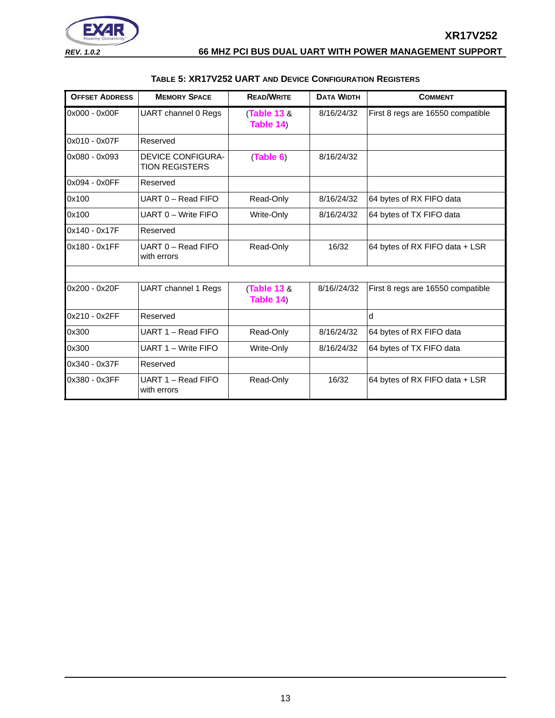

**XR17V252**

<span id="page-12-0"></span>

| <b>OFFSET ADDRESS</b> | <b>MEMORY SPACE</b>                               | <b>READ/WRITE</b>                  | <b>DATA WIDTH</b> | <b>COMMENT</b>                    |
|-----------------------|---------------------------------------------------|------------------------------------|-------------------|-----------------------------------|
| 0x000 - 0x00F         | UART channel 0 Regs                               | <b>Table 13 &amp;</b><br>Table 14) | 8/16/24/32        | First 8 regs are 16550 compatible |
| 0x010 - 0x07F         | Reserved                                          |                                    |                   |                                   |
| 0x080 - 0x093         | <b>DEVICE CONFIGURA-</b><br><b>TION REGISTERS</b> | (Table 6)                          | 8/16/24/32        |                                   |
| 0x094 - 0x0FF         | Reserved                                          |                                    |                   |                                   |
| 0x100                 | UART 0 - Read FIFO                                | Read-Only                          | 8/16/24/32        | 64 bytes of RX FIFO data          |
| 0x100                 | UART 0 - Write FIFO                               | Write-Only                         | 8/16/24/32        | 64 bytes of TX FIFO data          |
| 0x140 - 0x17F         | Reserved                                          |                                    |                   |                                   |
| 0x180 - 0x1FF         | UART 0 - Read FIFO<br>with errors                 | Read-Only                          | 16/32             | 64 bytes of RX FIFO data + LSR    |
|                       |                                                   |                                    |                   |                                   |
| 0x200 - 0x20F         | <b>UART</b> channel 1 Regs                        | <b>Table 13 &amp;</b><br>Table 14) | 8/16//24/32       | First 8 regs are 16550 compatible |
| 0x210 - 0x2FF         | Reserved                                          |                                    |                   | $\mathsf{d}$                      |
| 0x300                 | UART 1 - Read FIFO                                | Read-Only                          | 8/16/24/32        | 64 bytes of RX FIFO data          |
| 0x300                 | UART 1 - Write FIFO                               | Write-Only                         | 8/16/24/32        | 64 bytes of TX FIFO data          |
| 0x340 - 0x37F         | Reserved                                          |                                    |                   |                                   |
| 0x380 - 0x3FF         | UART 1 - Read FIFO<br>with errors                 | Read-Only                          | 16/32             | 64 bytes of RX FIFO data + LSR    |

#### **TABLE 5: XR17V252 UART AND DEVICE CONFIGURATION REGISTERS**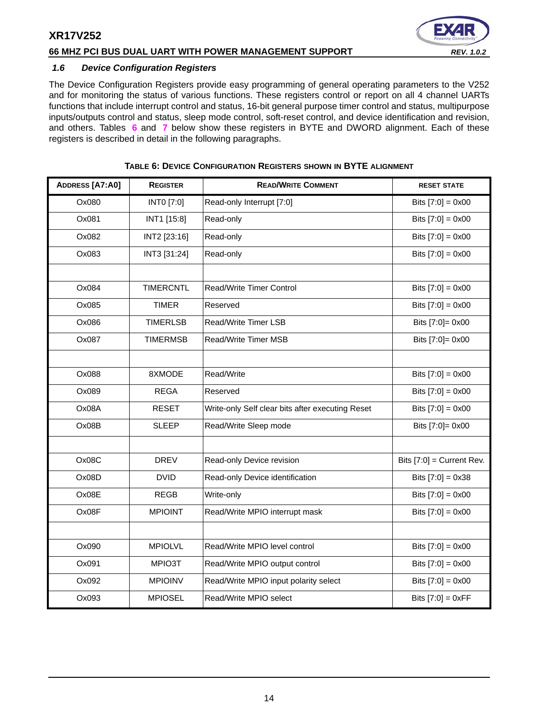#### **66 MHZ PCI BUS DUAL UART WITH POWER MANAGEMENT SUPPORT** *REV. 1.0.2*

#### <span id="page-13-1"></span>*1.6 Device Configuration Registers*

The Device Configuration Registers provide easy programming of general operating parameters to the V252 and for monitoring the status of various functions. These registers control or report on all 4 channel UARTs functions that include interrupt control and status, 16-bit general purpose timer control and status, multipurpose inputs/outputs control and status, sleep mode control, soft-reset control, and device identification and revision, and others. Tables **[6](#page-13-0)** and **[7](#page-14-0)** below show these registers in BYTE and DWORD alignment. Each of these registers is described in detail in the following paragraphs.

<span id="page-13-0"></span>

| ADDRESS [A7:A0] | <b>REGISTER</b>  | <b>READ/WRITE COMMENT</b>                        | <b>RESET STATE</b>          |
|-----------------|------------------|--------------------------------------------------|-----------------------------|
| Ox080           | INTO [7:0]       | Read-only Interrupt [7:0]                        | Bits $[7:0] = 0 \times 00$  |
| Ox081           | INT1 [15:8]      | Read-only                                        | Bits $[7:0] = 0 \times 00$  |
| Ox082           | INT2 [23:16]     | Read-only                                        | Bits $[7:0] = 0 \times 00$  |
| Ox083           | INT3 [31:24]     | Read-only                                        | Bits $[7:0] = 0x00$         |
|                 |                  |                                                  |                             |
| Ox084           | <b>TIMERCNTL</b> | Read/Write Timer Control                         | Bits $[7:0] = 0x00$         |
| Ox085           | <b>TIMER</b>     | Reserved                                         | Bits $[7:0] = 0 \times 00$  |
| Ox086           | <b>TIMERLSB</b>  | Read/Write Timer LSB                             | Bits [7:0]= 0x00            |
| Ox087           | <b>TIMERMSB</b>  | Read/Write Timer MSB                             | Bits [7:0]= 0x00            |
|                 |                  |                                                  |                             |
| Ox088           | 8XMODE           | Read/Write                                       | Bits $[7:0] = 0x00$         |
| Ox089           | <b>REGA</b>      | Reserved                                         | Bits $[7:0] = 0 \times 00$  |
| Ox08A           | <b>RESET</b>     | Write-only Self clear bits after executing Reset | Bits $[7:0] = 0x00$         |
| Ox08B           | <b>SLEEP</b>     | Read/Write Sleep mode                            | Bits [7:0]= 0x00            |
|                 |                  |                                                  |                             |
| Ox08C           | <b>DREV</b>      | Read-only Device revision                        | Bits $[7:0]$ = Current Rev. |
| Ox08D           | <b>DVID</b>      | Read-only Device identification                  | Bits $[7:0] = 0x38$         |
| Ox08E           | <b>REGB</b>      | Write-only                                       | Bits $[7:0] = 0x00$         |
| Ox08F           | <b>MPIOINT</b>   | Read/Write MPIO interrupt mask                   | Bits $[7:0] = 0 \times 00$  |
|                 |                  |                                                  |                             |
| Ox090           | <b>MPIOLVL</b>   | Read/Write MPIO level control                    | Bits $[7:0] = 0x00$         |
| Ox091           | MPIO3T           | Read/Write MPIO output control                   | Bits $[7:0] = 0x00$         |
| Ox092           | <b>MPIOINV</b>   | Read/Write MPIO input polarity select            | Bits $[7:0] = 0x00$         |
| Ox093           | <b>MPIOSEL</b>   | Read/Write MPIO select                           | Bits $[7:0] = 0xFF$         |

#### **TABLE 6: DEVICE CONFIGURATION REGISTERS SHOWN IN BYTE ALIGNMENT**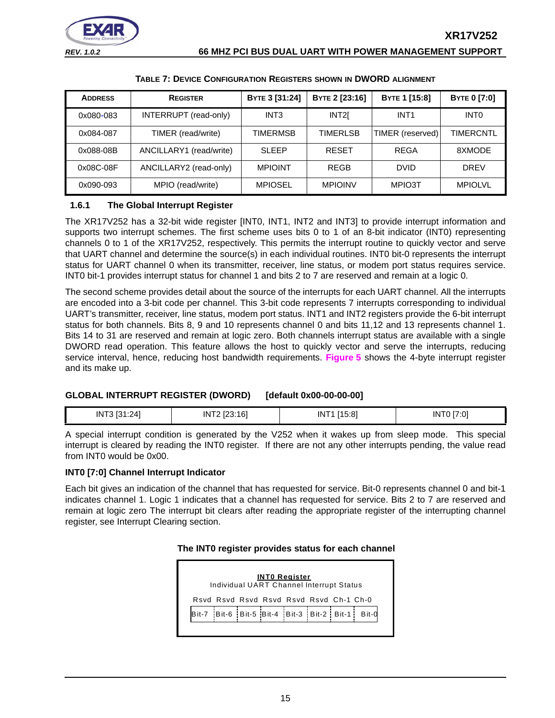

<span id="page-14-0"></span>

| <b>ADDRESS</b> | <b>REGISTER</b>         | BYTE 3 [31:24]   | BYTE 2 [23:16]   | <b>BYTE 1 [15:8]</b> | <b>BYTE 0 [7:0]</b> |
|----------------|-------------------------|------------------|------------------|----------------------|---------------------|
| 0x080-083      | INTERRUPT (read-only)   | INT <sub>3</sub> | INT <sub>2</sub> | INT <sub>1</sub>     | <b>INTO</b>         |
| 0x084-087      | TIMER (read/write)      | <b>TIMERMSB</b>  | <b>TIMERLSB</b>  | TIMER (reserved)     | TIMERCNTL           |
| 0x088-08B      | ANCILLARY1 (read/write) | <b>SLEEP</b>     | <b>RESET</b>     | REGA                 | 8XMODE              |
| 0x08C-08F      | ANCILLARY2 (read-only)  | <b>MPIOINT</b>   | <b>REGB</b>      | <b>DVID</b>          | <b>DREV</b>         |
| 0x090-093      | MPIO (read/write)       | <b>MPIOSEL</b>   | <b>MPIOINV</b>   | MPIO3T               | <b>MPIOLVL</b>      |

#### **TABLE 7: DEVICE CONFIGURATION REGISTERS SHOWN IN DWORD ALIGNMENT**

#### <span id="page-14-1"></span>**1.6.1 The Global Interrupt Register**

The XR17V252 has a 32-bit wide register [INT0, INT1, INT2 and INT3] to provide interrupt information and supports two interrupt schemes. The first scheme uses bits 0 to 1 of an 8-bit indicator (INT0) representing channels 0 to 1 of the XR17V252, respectively. This permits the interrupt routine to quickly vector and serve that UART channel and determine the source(s) in each individual routines. INT0 bit-0 represents the interrupt status for UART channel 0 when its transmitter, receiver, line status, or modem port status requires service. INT0 bit-1 provides interrupt status for channel 1 and bits 2 to 7 are reserved and remain at a logic 0.

The second scheme provides detail about the source of the interrupts for each UART channel. All the interrupts are encoded into a 3-bit code per channel. This 3-bit code represents 7 interrupts corresponding to individual UART's transmitter, receiver, line status, modem port status. INT1 and INT2 registers provide the 6-bit interrupt status for both channels. Bits 8, 9 and 10 represents channel 0 and bits 11,12 and 13 represents channel 1. Bits 14 to 31 are reserved and remain at logic zero. Both channels interrupt status are available with a single DWORD read operation. This feature allows the host to quickly vector and serve the interrupts, reducing service interval, hence, reducing host bandwidth requirements. **[Figure](#page-15-0) 5** shows the 4-byte interrupt register and its make up.

#### **GLOBAL INTERRUPT REGISTER (DWORD) [default 0x00-00-00-00]**

| .<br>-4.7<br>IN<br>$\mathcal{L}$ | 16<br>IN | 14E.01<br><b>INT</b> | $ -$<br>'N<br>:υ |
|----------------------------------|----------|----------------------|------------------|
|                                  |          |                      |                  |

A special interrupt condition is generated by the V252 when it wakes up from sleep mode. This special interrupt is cleared by reading the INT0 register. If there are not any other interrupts pending, the value read from INT0 would be 0x00.

#### **INT0 [7:0] Channel Interrupt Indicator**

Each bit gives an indication of the channel that has requested for service. Bit-0 represents channel 0 and bit-1 indicates channel 1. Logic 1 indicates that a channel has requested for service. Bits 2 to 7 are reserved and remain at logic zero The interrupt bit clears after reading the appropriate register of the interrupting channel register, see Interrupt Clearing section.

#### **The INT0 register provides status for each channel**

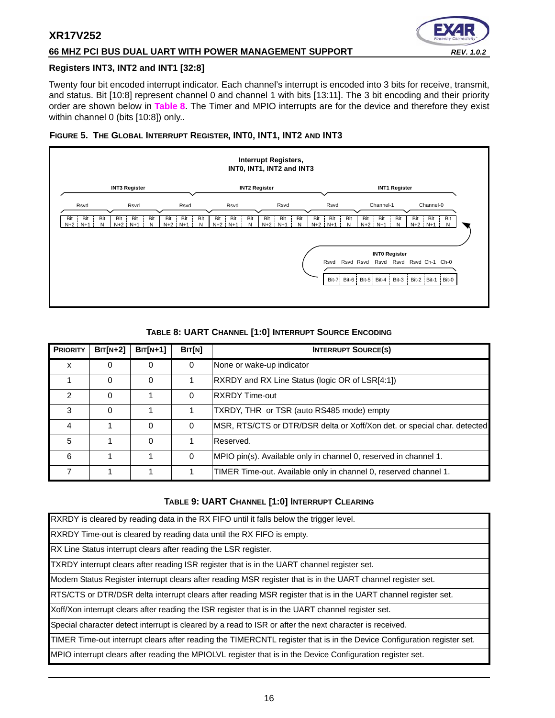#### **66 MHZ PCI BUS DUAL UART WITH POWER MANAGEMENT SUPPORT** *REV. 1.0.2*



#### **Registers INT3, INT2 and INT1 [32:8]**

Twenty four bit encoded interrupt indicator. Each channel's interrupt is encoded into 3 bits for receive, transmit, and status. Bit [10:8] represent channel 0 and channel 1 with bits [13:11]. The 3 bit encoding and their priority order are shown below in **[Table](#page-15-1) 8**. The Timer and MPIO interrupts are for the device and therefore they exist within channel 0 (bits [10:8]) only..

#### <span id="page-15-0"></span>**FIGURE 5. THE GLOBAL INTERRUPT REGISTER, INT0, INT1, INT2 AND INT3**



#### **TABLE 8: UART CHANNEL [1:0] INTERRUPT SOURCE ENCODING**

<span id="page-15-1"></span>

| <b>PRIORITY</b> | $BIT[N+2]$ | $BIT[N+1]$ | BIT[N]   | <b>INTERRUPT SOURCE(S)</b>                                               |
|-----------------|------------|------------|----------|--------------------------------------------------------------------------|
| x               | 0          | 0          | 0        | None or wake-up indicator                                                |
|                 | 0          | $\Omega$   |          | RXRDY and RX Line Status (logic OR of LSR[4:1])                          |
| 2               | 0          |            | $\Omega$ | <b>RXRDY Time-out</b>                                                    |
| 3               | 0          |            |          | TXRDY, THR or TSR (auto RS485 mode) empty                                |
| 4               |            | $\Omega$   | $\Omega$ | MSR, RTS/CTS or DTR/DSR delta or Xoff/Xon det. or special char. detected |
| 5               |            | $\Omega$   |          | Reserved.                                                                |
| 6               |            |            | $\Omega$ | MPIO pin(s). Available only in channel 0, reserved in channel 1.         |
|                 |            |            |          | TIMER Time-out. Available only in channel 0, reserved channel 1.         |

#### **TABLE 9: UART CHANNEL [1:0] INTERRUPT CLEARING**

<span id="page-15-2"></span>

| RXRDY is cleared by reading data in the RX FIFO until it falls below the trigger level.                                |
|------------------------------------------------------------------------------------------------------------------------|
| RXRDY Time-out is cleared by reading data until the RX FIFO is empty.                                                  |
| RX Line Status interrupt clears after reading the LSR register.                                                        |
| TXRDY interrupt clears after reading ISR register that is in the UART channel register set.                            |
| Modem Status Register interrupt clears after reading MSR register that is in the UART channel register set.            |
| RTS/CTS or DTR/DSR delta interrupt clears after reading MSR register that is in the UART channel register set.         |
| Xoff/Xon interrupt clears after reading the ISR register that is in the UART channel register set.                     |
| Special character detect interrupt is cleared by a read to ISR or after the next character is received.                |
| TIMER Time-out interrupt clears after reading the TIMERCNTL register that is in the Device Configuration register set. |
| MPIO interrupt clears after reading the MPIOLVL register that is in the Device Configuration register set.             |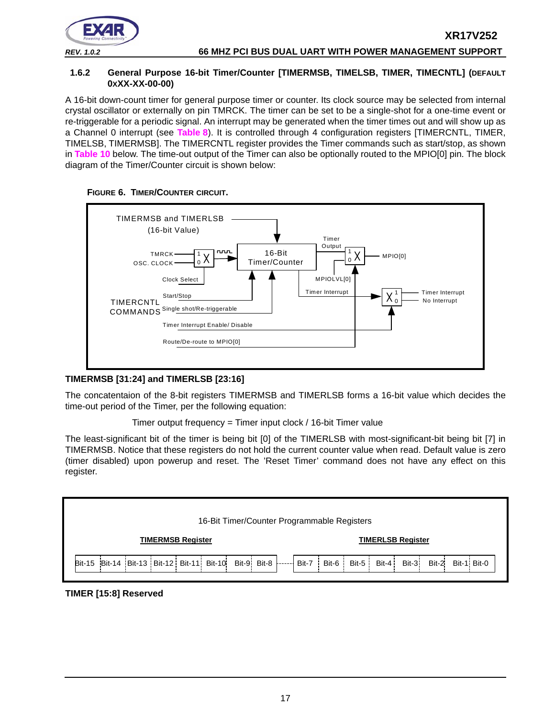

#### <span id="page-16-0"></span>**1.6.2 General Purpose 16-bit Timer/Counter [TIMERMSB, TIMELSB, TIMER, TIMECNTL] (DEFAULT 0XXX-XX-00-00)**

A 16-bit down-count timer for general purpose timer or counter. Its clock source may be selected from internal crystal oscillator or externally on pin TMRCK. The timer can be set to be a single-shot for a one-time event or re-triggerable for a periodic signal. An interrupt may be generated when the timer times out and will show up as a Channel 0 interrupt (see **[Table](#page-15-1) 8**). It is controlled through 4 configuration registers [TIMERCNTL, TIMER, TIMELSB, TIMERMSB]. The TIMERCNTL register provides the Timer commands such as start/stop, as shown in **[Table](#page-17-0) 10** below. The time-out output of the Timer can also be optionally routed to the MPIO[0] pin. The block diagram of the Timer/Counter circuit is shown below:



#### <span id="page-16-1"></span>**FIGURE 6. TIMER/COUNTER CIRCUIT.**

## **TIMERMSB [31:24] and TIMERLSB [23:16]**

The concatentaion of the 8-bit registers TIMERMSB and TIMERLSB forms a 16-bit value which decides the time-out period of the Timer, per the following equation:

Timer output frequency = Timer input clock / 16-bit Timer value

The least-significant bit of the timer is being bit [0] of the TIMERLSB with most-significant-bit being bit [7] in TIMERMSB. Notice that these registers do not hold the current counter value when read. Default value is zero (timer disabled) upon powerup and reset. The 'Reset Timer' command does not have any effect on this register.



#### **TIMER [15:8] Reserved**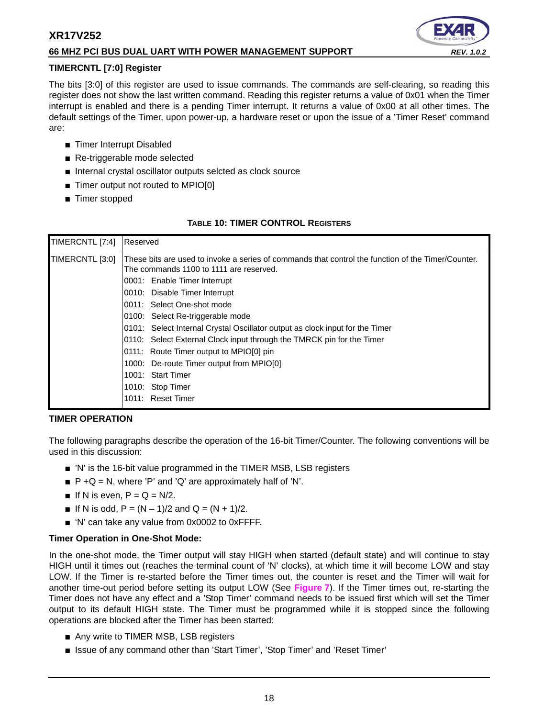#### **66 MHZ PCI BUS DUAL UART WITH POWER MANAGEMENT SUPPORT** *REV. 1.0.2*

#### **TIMERCNTL [7:0] Register**

The bits [3:0] of this register are used to issue commands. The commands are self-clearing, so reading this register does not show the last written command. Reading this register returns a value of 0x01 when the Timer interrupt is enabled and there is a pending Timer interrupt. It returns a value of 0x00 at all other times. The default settings of the Timer, upon power-up, a hardware reset or upon the issue of a 'Timer Reset' command are:

- Timer Interrupt Disabled
- Re-triggerable mode selected
- Internal crystal oscillator outputs selcted as clock source
- Timer output not routed to MPIO[0]
- Timer stopped

#### **TABLE 10: TIMER CONTROL REGISTERS**

<span id="page-17-0"></span>

| TIMERCNTL [7:4] | Reserved                                                                                                                                                                                                                                                                                                                                                                                                                                                                                                                                                                  |
|-----------------|---------------------------------------------------------------------------------------------------------------------------------------------------------------------------------------------------------------------------------------------------------------------------------------------------------------------------------------------------------------------------------------------------------------------------------------------------------------------------------------------------------------------------------------------------------------------------|
| TIMERCNTL [3:0] | These bits are used to invoke a series of commands that control the function of the Timer/Counter.<br>The commands 1100 to 1111 are reserved.<br>0001: Enable Timer Interrupt<br>0010: Disable Timer Interrupt<br>0011: Select One-shot mode<br>0100: Select Re-triggerable mode<br>0101: Select Internal Crystal Oscillator output as clock input for the Timer<br>0110: Select External Clock input through the TMRCK pin for the Timer<br>0111: Route Timer output to MPIO[0] pin<br>1000: De-route Timer output from MPIO[0]<br>1001: Start Timer<br>1010: Stop Timer |
|                 | 1011: Reset Timer                                                                                                                                                                                                                                                                                                                                                                                                                                                                                                                                                         |

#### <span id="page-17-1"></span>**TIMER OPERATION**

The following paragraphs describe the operation of the 16-bit Timer/Counter. The following conventions will be used in this discussion:

- 'N' is the 16-bit value programmed in the TIMER MSB, LSB registers
- $\blacksquare$  P + Q = N, where 'P' and 'Q' are approximately half of 'N'.
- If N is even,  $P = Q = N/2$ .
- **■** If N is odd,  $P = (N 1)/2$  and  $Q = (N + 1)/2$ .
- 'N' can take any value from 0x0002 to 0xFFFF.

#### **Timer Operation in One-Shot Mode:**

In the one-shot mode, the Timer output will stay HIGH when started (default state) and will continue to stay HIGH until it times out (reaches the terminal count of 'N' clocks), at which time it will become LOW and stay LOW. If the Timer is re-started before the Timer times out, the counter is reset and the Timer will wait for another time-out period before setting its output LOW (See **[Figure](#page-18-0) 7**). If the Timer times out, re-starting the Timer does not have any effect and a 'Stop Timer' command needs to be issued first which will set the Timer output to its default HIGH state. The Timer must be programmed while it is stopped since the following operations are blocked after the Timer has been started:

- Any write to TIMER MSB, LSB registers
- Issue of any command other than 'Start Timer', 'Stop Timer' and 'Reset Timer'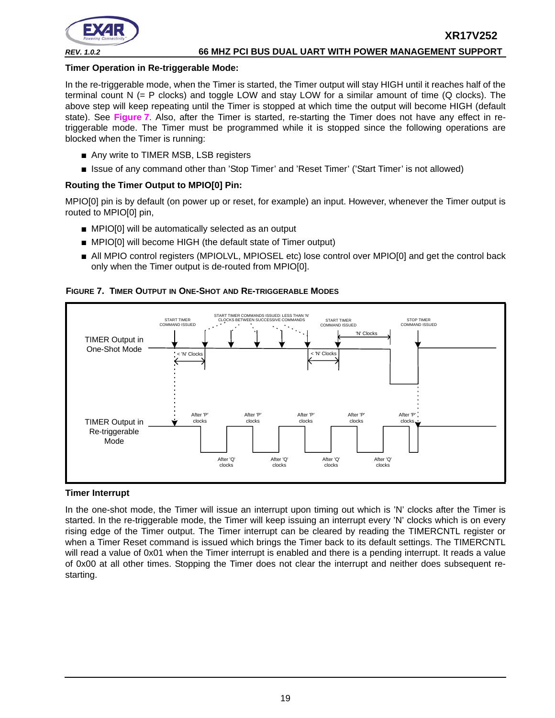

#### **Timer Operation in Re-triggerable Mode:**

In the re-triggerable mode, when the Timer is started, the Timer output will stay HIGH until it reaches half of the terminal count N (= P clocks) and toggle LOW and stay LOW for a similar amount of time (Q clocks). The above step will keep repeating until the Timer is stopped at which time the output will become HIGH (default state). See **[Figure](#page-18-0) 7**. Also, after the Timer is started, re-starting the Timer does not have any effect in retriggerable mode. The Timer must be programmed while it is stopped since the following operations are blocked when the Timer is running:

- Any write to TIMER MSB, LSB registers
- Issue of any command other than 'Stop Timer' and 'Reset Timer' ('Start Timer' is not allowed)

#### **Routing the Timer Output to MPIO[0] Pin:**

MPIO[0] pin is by default (on power up or reset, for example) an input. However, whenever the Timer output is routed to MPIO[0] pin,

- MPIO[0] will be automatically selected as an output
- MPIO[0] will become HIGH (the default state of Timer output)
- All MPIO control registers (MPIOLVL, MPIOSEL etc) lose control over MPIO[0] and get the control back only when the Timer output is de-routed from MPIO[0].

#### <span id="page-18-0"></span>**FIGURE 7. TIMER OUTPUT IN ONE-SHOT AND RE-TRIGGERABLE MODES**



#### **Timer Interrupt**

In the one-shot mode, the Timer will issue an interrupt upon timing out which is 'N' clocks after the Timer is started. In the re-triggerable mode, the Timer will keep issuing an interrupt every 'N' clocks which is on every rising edge of the Timer output. The Timer interrupt can be cleared by reading the TIMERCNTL register or when a Timer Reset command is issued which brings the Timer back to its default settings. The TIMERCNTL will read a value of 0x01 when the Timer interrupt is enabled and there is a pending interrupt. It reads a value of 0x00 at all other times. Stopping the Timer does not clear the interrupt and neither does subsequent restarting.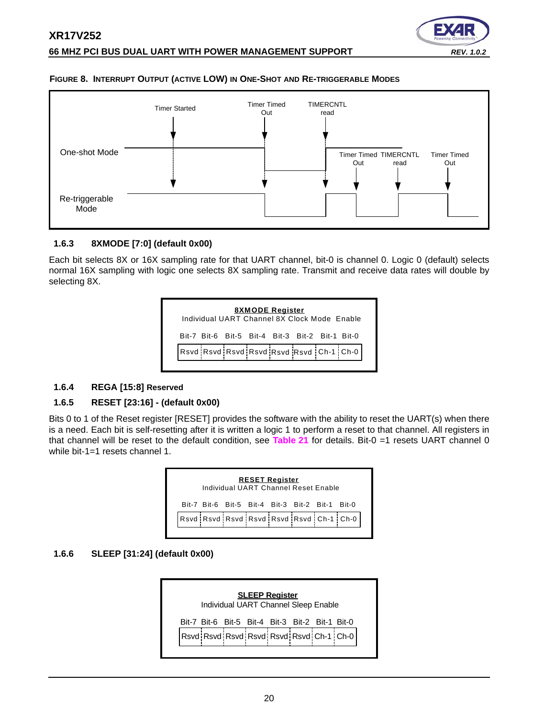

#### <span id="page-19-1"></span>**FIGURE 8. INTERRUPT OUTPUT (ACTIVE LOW) IN ONE-SHOT AND RE-TRIGGERABLE MODES**



#### <span id="page-19-2"></span>**1.6.3 8XMODE [7:0] (default 0x00)**

Each bit selects 8X or 16X sampling rate for that UART channel, bit-0 is channel 0. Logic 0 (default) selects normal 16X sampling with logic one selects 8X sampling rate. Transmit and receive data rates will double by selecting 8X.



#### <span id="page-19-3"></span>**1.6.4 REGA [15:8] Reserved**

#### <span id="page-19-4"></span>**1.6.5 RESET [23:16] - (default 0x00)**

Bits 0 to 1 of the Reset register [RESET] provides the software with the ability to reset the UART(s) when there is a need. Each bit is self-resetting after it is written a logic 1 to perform a reset to that channel. All registers in that channel will be reset to the default condition, see **[Table](#page-55-0) 21** for details. Bit-0 =1 resets UART channel 0 while bit-1=1 resets channel 1

| <b>RESET Register</b><br>Individual UART Channel Reset Enable |  |  |  |  |  |                                                 |                                         |
|---------------------------------------------------------------|--|--|--|--|--|-------------------------------------------------|-----------------------------------------|
|                                                               |  |  |  |  |  | Bit-7 Bit-6 Bit-5 Bit-4 Bit-3 Bit-2 Bit-1 Bit-0 |                                         |
|                                                               |  |  |  |  |  |                                                 | Rsvd Rsvd Rsvd Rsvd Rsvd Rsvd Ch-1 Ch-0 |
|                                                               |  |  |  |  |  |                                                 |                                         |

#### <span id="page-19-0"></span>**1.6.6 SLEEP [31:24] (default 0x00)**

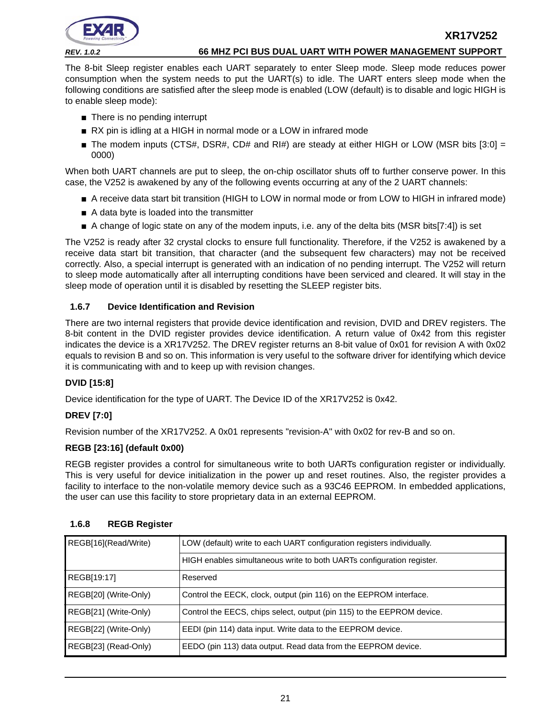

The 8-bit Sleep register enables each UART separately to enter Sleep mode. Sleep mode reduces power consumption when the system needs to put the UART(s) to idle. The UART enters sleep mode when the following conditions are satisfied after the sleep mode is enabled (LOW (default) is to disable and logic HIGH is to enable sleep mode):

- There is no pending interrupt
- RX pin is idling at a HIGH in normal mode or a LOW in infrared mode
- **The modem inputs (CTS#, DSR#, CD# and RI#) are steady at either HIGH or LOW (MSR bits [3:0] =** 0000)

When both UART channels are put to sleep, the on-chip oscillator shuts off to further conserve power. In this case, the V252 is awakened by any of the following events occurring at any of the 2 UART channels:

- A receive data start bit transition (HIGH to LOW in normal mode or from LOW to HIGH in infrared mode)
- A data byte is loaded into the transmitter
- A change of logic state on any of the modem inputs, i.e. any of the delta bits (MSR bits[7:4]) is set

The V252 is ready after 32 crystal clocks to ensure full functionality. Therefore, if the V252 is awakened by a receive data start bit transition, that character (and the subsequent few characters) may not be received correctly. Also, a special interrupt is generated with an indication of no pending interrupt. The V252 will return to sleep mode automatically after all interrupting conditions have been serviced and cleared. It will stay in the sleep mode of operation until it is disabled by resetting the SLEEP register bits.

#### <span id="page-20-0"></span>**1.6.7 Device Identification and Revision**

There are two internal registers that provide device identification and revision, DVID and DREV registers. The 8-bit content in the DVID register provides device identification. A return value of 0x42 from this register indicates the device is a XR17V252. The DREV register returns an 8-bit value of 0x01 for revision A with 0x02 equals to revision B and so on. This information is very useful to the software driver for identifying which device it is communicating with and to keep up with revision changes.

#### **DVID [15:8]**

Device identification for the type of UART. The Device ID of the XR17V252 is 0x42.

#### **DREV [7:0]**

Revision number of the XR17V252. A 0x01 represents "revision-A" with 0x02 for rev-B and so on.

#### **REGB [23:16] (default 0x00)**

REGB register provides a control for simultaneous write to both UARTs configuration register or individually. This is very useful for device initialization in the power up and reset routines. Also, the register provides a facility to interface to the non-volatile memory device such as a 93C46 EEPROM. In embedded applications, the user can use this facility to store proprietary data in an external EEPROM.

| REGB[16](Read/Write)  | LOW (default) write to each UART configuration registers individually. |
|-----------------------|------------------------------------------------------------------------|
|                       | HIGH enables simultaneous write to both UARTs configuration register.  |
| REGB[19:17]           | Reserved                                                               |
| REGB[20] (Write-Only) | Control the EECK, clock, output (pin 116) on the EEPROM interface.     |
| REGB[21] (Write-Only) | Control the EECS, chips select, output (pin 115) to the EEPROM device. |
| REGB[22] (Write-Only) | EEDI (pin 114) data input. Write data to the EEPROM device.            |
| REGB[23] (Read-Only)  | EEDO (pin 113) data output. Read data from the EEPROM device.          |

#### <span id="page-20-1"></span>**1.6.8 REGB Register**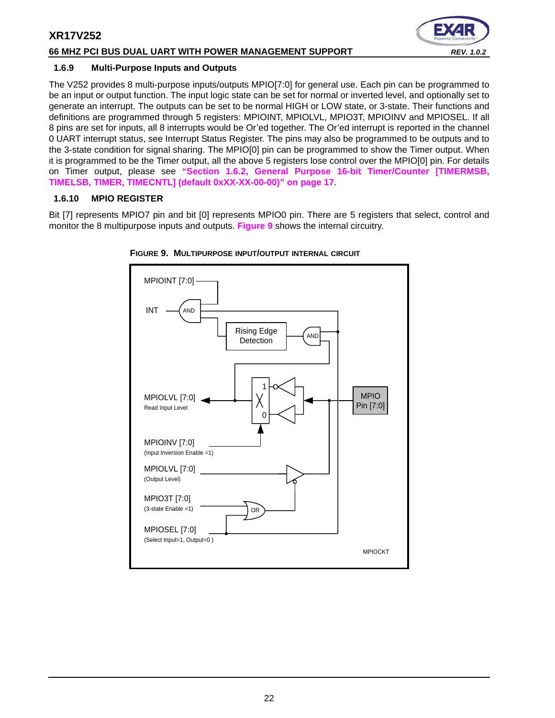#### **66 MHZ PCI BUS DUAL UART WITH POWER MANAGEMENT SUPPORT** *REV. 1.0.2*



#### <span id="page-21-1"></span>**1.6.9 Multi-Purpose Inputs and Outputs**

The V252 provides 8 multi-purpose inputs/outputs MPIO[7:0] for general use. Each pin can be programmed to be an input or output function. The input logic state can be set for normal or inverted level, and optionally set to generate an interrupt. The outputs can be set to be normal HIGH or LOW state, or 3-state. Their functions and definitions are programmed through 5 registers: MPIOINT, MPIOLVL, MPIO3T, MPIOINV and MPIOSEL. If all 8 pins are set for inputs, all 8 interrupts would be Or'ed together. The Or'ed interrupt is reported in the channel 0 UART interrupt status, see Interrupt Status Register. The pins may also be programmed to be outputs and to the 3-state condition for signal sharing. The MPIO[0] pin can be programmed to show the Timer output. When it is programmed to be the Timer output, all the above 5 registers lose control over the MPIO[0] pin. For details on Timer output, please see **["Section 1.6.2, General Purpose 16-bit Timer/Counter \[TIMERMSB,](#page-16-0) [TIMELSB, TIMER, TIMECNTL\] \(default 0xXX-XX-00-00\)" on page](#page-16-0) 17**.

#### <span id="page-21-2"></span>**1.6.10 MPIO REGISTER**

Bit [7] represents MPIO7 pin and bit [0] represents MPIO0 pin. There are 5 registers that select, control and monitor the 8 multipurpose inputs and outputs. **[Figure](#page-21-0) 9** shows the internal circuitry.



<span id="page-21-0"></span>**FIGURE 9. MULTIPURPOSE INPUT/OUTPUT INTERNAL CIRCUIT**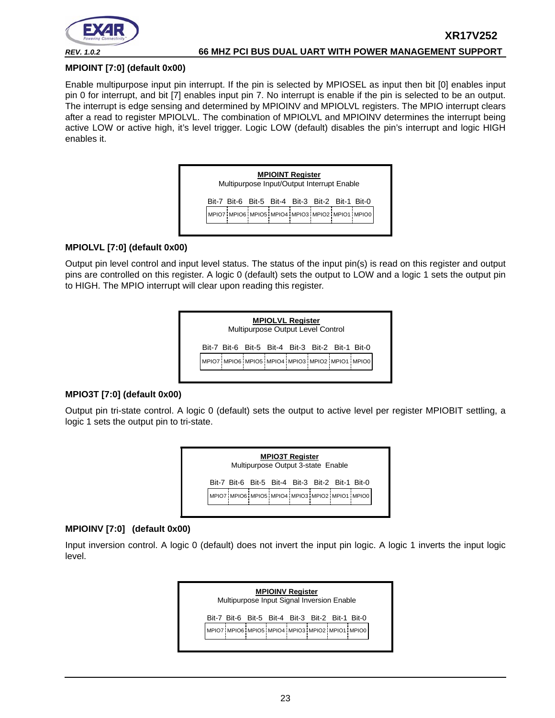

**XR17V252**

#### **MPIOINT [7:0] (default 0x00)**

Enable multipurpose input pin interrupt. If the pin is selected by MPIOSEL as input then bit [0] enables input pin 0 for interrupt, and bit [7] enables input pin 7. No interrupt is enable if the pin is selected to be an output. The interrupt is edge sensing and determined by MPIOINV and MPIOLVL registers. The MPIO interrupt clears after a read to register MPIOLVL. The combination of MPIOLVL and MPIOINV determines the interrupt being active LOW or active high, it's level trigger. Logic LOW (default) disables the pin's interrupt and logic HIGH enables it.



#### **MPIOLVL [7:0] (default 0x00)**

Output pin level control and input level status. The status of the input pin(s) is read on this register and output pins are controlled on this register. A logic 0 (default) sets the output to LOW and a logic 1 sets the output pin to HIGH. The MPIO interrupt will clear upon reading this register.



#### **MPIO3T [7:0] (default 0x00)**

Output pin tri-state control. A logic 0 (default) sets the output to active level per register MPIOBIT settling, a logic 1 sets the output pin to tri-state.



#### **MPIOINV [7:0] (default 0x00)**

Input inversion control. A logic 0 (default) does not invert the input pin logic. A logic 1 inverts the input logic level.

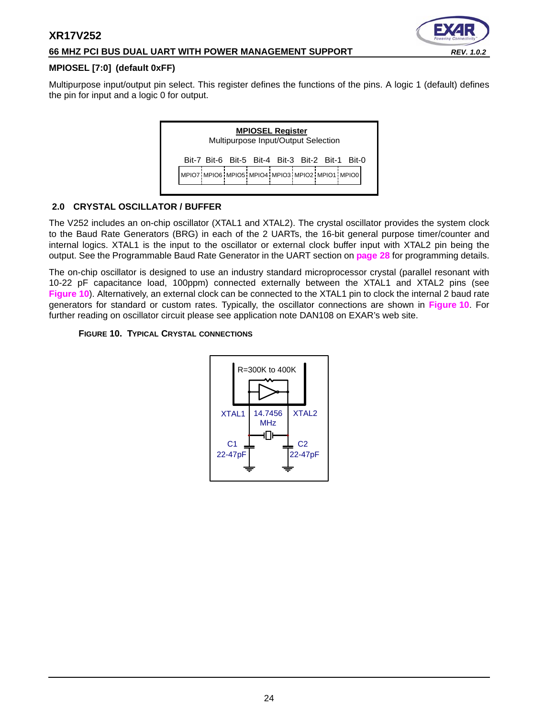#### **66 MHZ PCI BUS DUAL UART WITH POWER MANAGEMENT SUPPORT** *REV. 1.0.2*



#### **MPIOSEL [7:0] (default 0xFF)**

Multipurpose input/output pin select. This register defines the functions of the pins. A logic 1 (default) defines the pin for input and a logic 0 for output.



#### <span id="page-23-1"></span>**2.0 CRYSTAL OSCILLATOR / BUFFER**

The V252 includes an on-chip oscillator (XTAL1 and XTAL2). The crystal oscillator provides the system clock to the Baud Rate Generators (BRG) in each of the 2 UARTs, the 16-bit general purpose timer/counter and internal logics. XTAL1 is the input to the oscillator or external clock buffer input with XTAL2 pin being the output. See the Programmable Baud Rate Generator in the UART section on **[page](#page-27-0) 28** for programming details.

The on-chip oscillator is designed to use an industry standard microprocessor crystal (parallel resonant with 10-22 pF capacitance load, 100ppm) connected externally between the XTAL1 and XTAL2 pins (see **[Figure](#page-23-0) 10**). Alternatively, an external clock can be connected to the XTAL1 pin to clock the internal 2 baud rate generators for standard or custom rates. Typically, the oscillator connections are shown in **[Figure](#page-23-0) 10**. For further reading on oscillator circuit please see application note DAN108 on EXAR's web site.

#### <span id="page-23-0"></span>**FIGURE 10. TYPICAL CRYSTAL CONNECTIONS**

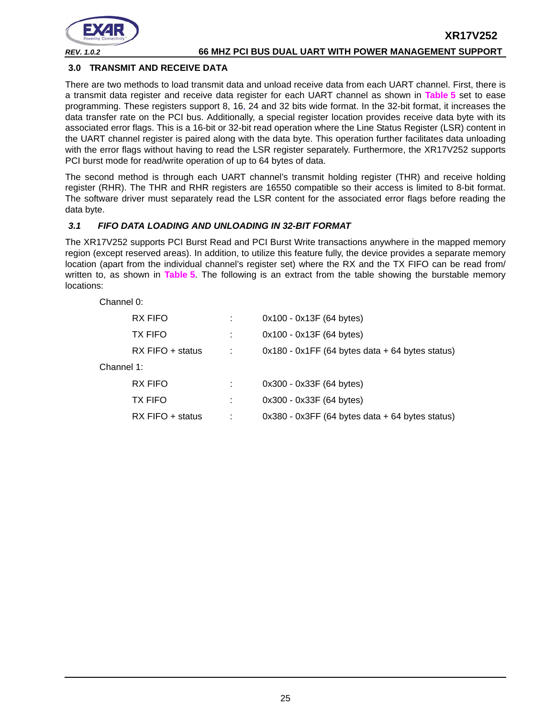

#### <span id="page-24-1"></span>**3.0 TRANSMIT AND RECEIVE DATA**

There are two methods to load transmit data and unload receive data from each UART channel. First, there is a transmit data register and receive data register for each UART channel as shown in **[Table](#page-12-0) 5** set to ease programming. These registers support 8, 16, 24 and 32 bits wide format. In the 32-bit format, it increases the data transfer rate on the PCI bus. Additionally, a special register location provides receive data byte with its associated error flags. This is a 16-bit or 32-bit read operation where the Line Status Register (LSR) content in the UART channel register is paired along with the data byte. This operation further facilitates data unloading with the error flags without having to read the LSR register separately. Furthermore, the XR17V252 supports PCI burst mode for read/write operation of up to 64 bytes of data.

The second method is through each UART channel's transmit holding register (THR) and receive holding register (RHR). The THR and RHR registers are 16550 compatible so their access is limited to 8-bit format. The software driver must separately read the LSR content for the associated error flags before reading the data byte.

#### <span id="page-24-0"></span>*3.1 FIFO DATA LOADING AND UNLOADING IN 32-BIT FORMAT*

The XR17V252 supports PCI Burst Read and PCI Burst Write transactions anywhere in the mapped memory region (except reserved areas). In addition, to utilize this feature fully, the device provides a separate memory location (apart from the individual channel's register set) where the RX and the TX FIFO can be read from/ written to, as shown in **[Table](#page-12-0) 5**. The following is an extract from the table showing the burstable memory locations:

Channel 0:

|            | RX FIFO          | $0x100 - 0x13F (64 bytes)$                          |
|------------|------------------|-----------------------------------------------------|
|            | <b>TX FIFO</b>   | $0x100 - 0x13F (64 bytes)$                          |
|            | RX FIFO + status | $0x180 - 0x1FF$ (64 bytes data $+ 64$ bytes status) |
| Channel 1: |                  |                                                     |
|            | RX FIFO          | 0x300 - 0x33F (64 bytes)                            |
|            | <b>TX FIFO</b>   | 0x300 - 0x33F (64 bytes)                            |
|            | RX FIFO + status | $0x380 - 0x3FF$ (64 bytes data $+ 64$ bytes status) |
|            |                  |                                                     |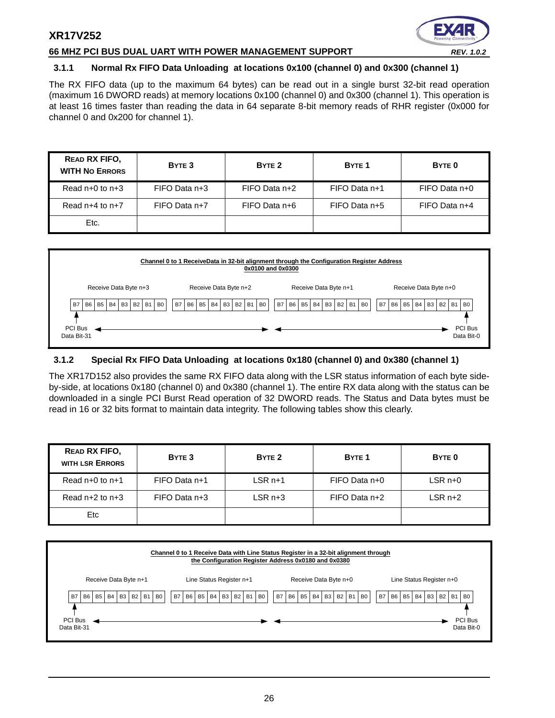#### **66 MHZ PCI BUS DUAL UART WITH POWER MANAGEMENT SUPPORT** *REV. 1.0.2*



#### <span id="page-25-0"></span>**3.1.1 Normal Rx FIFO Data Unloading at locations 0x100 (channel 0) and 0x300 (channel 1)**

The RX FIFO data (up to the maximum 64 bytes) can be read out in a single burst 32-bit read operation (maximum 16 DWORD reads) at memory locations 0x100 (channel 0) and 0x300 (channel 1). This operation is at least 16 times faster than reading the data in 64 separate 8-bit memory reads of RHR register (0x000 for channel 0 and 0x200 for channel 1).

| READ RX FIFO.<br><b>WITH NO ERRORS</b> | BYTE 3        | BYTE <sub>2</sub> | BYTE <sub>1</sub> | BYTE <sub>0</sub> |
|----------------------------------------|---------------|-------------------|-------------------|-------------------|
| Read $n+0$ to $n+3$                    | FIFO Data n+3 | FIFO Data n+2     | FIFO Data n+1     | FIFO Data n+0     |
| Read $n+4$ to $n+7$                    | FIFO Data n+7 | FIFO Data n+6     | $FIFO Data n+5$   | FIFO Data n+4     |
| Etc.                                   |               |                   |                   |                   |



#### <span id="page-25-1"></span>**3.1.2 Special Rx FIFO Data Unloading at locations 0x180 (channel 0) and 0x380 (channel 1)**

The XR17D152 also provides the same RX FIFO data along with the LSR status information of each byte sideby-side, at locations 0x180 (channel 0) and 0x380 (channel 1). The entire RX data along with the status can be downloaded in a single PCI Burst Read operation of 32 DWORD reads. The Status and Data bytes must be read in 16 or 32 bits format to maintain data integrity. The following tables show this clearly.

| <b>READ RX FIFO,</b><br><b>WITH LSR ERRORS</b> | BYTE 3        | BYTE <sub>2</sub> | BYTE <sub>1</sub> | BYTE 0  |
|------------------------------------------------|---------------|-------------------|-------------------|---------|
| Read $n+0$ to $n+1$                            | FIFO Data n+1 | $LSRn+1$          | FIFO Data n+0     | LSR n+0 |
| Read $n+2$ to $n+3$                            | FIFO Data n+3 | $LSR n+3$         | FIFO Data n+2     | LSR n+2 |
| Etc                                            |               |                   |                   |         |

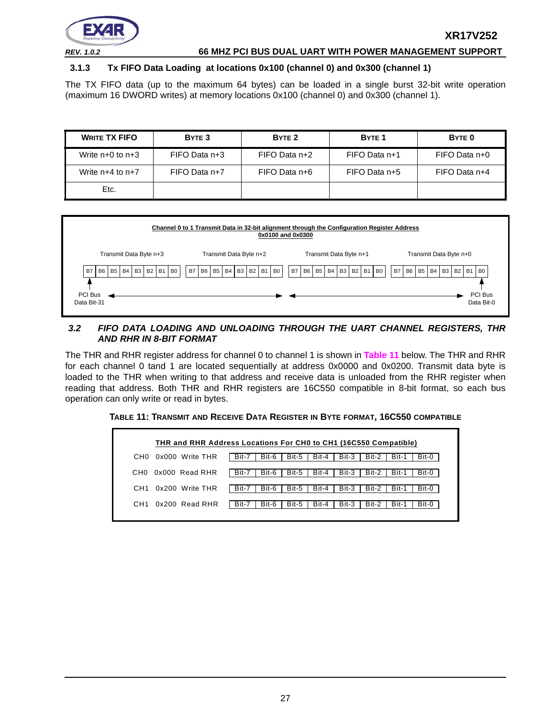

#### <span id="page-26-1"></span>**3.1.3 Tx FIFO Data Loading at locations 0x100 (channel 0) and 0x300 (channel 1)**

The TX FIFO data (up to the maximum 64 bytes) can be loaded in a single burst 32-bit write operation (maximum 16 DWORD writes) at memory locations 0x100 (channel 0) and 0x300 (channel 1).

| <b>WRITE TX FIFO</b> | BYTE <sub>3</sub> | BYTE <sub>2</sub> | BYTE <sub>1</sub> | BYTE <sub>0</sub> |
|----------------------|-------------------|-------------------|-------------------|-------------------|
| Write $n+0$ to $n+3$ | FIFO Data n+3     | $FIFO Data n+2$   | FIFO Data n+1     | FIFO Data n+0     |
| Write $n+4$ to $n+7$ | FIFO Data n+7     | FIFO Data n+6     | FIFO Data n+5     | FIFO Data n+4     |
| Etc.                 |                   |                   |                   |                   |



#### <span id="page-26-2"></span>*3.2 FIFO DATA LOADING AND UNLOADING THROUGH THE UART CHANNEL REGISTERS, THR AND RHR IN 8-BIT FORMAT*

The THR and RHR register address for channel 0 to channel 1 is shown in **[Table](#page-26-0) 11** below. The THR and RHR for each channel 0 tand 1 are located sequentially at address 0x0000 and 0x0200. Transmit data byte is loaded to the THR when writing to that address and receive data is unloaded from the RHR register when reading that address. Both THR and RHR registers are 16C550 compatible in 8-bit format, so each bus operation can only write or read in bytes.

<span id="page-26-0"></span>**TABLE 11: TRANSMIT AND RECEIVE DATA REGISTER IN BYTE FORMAT, 16C550 COMPATIBLE**

|                 | THR and RHR Address Locations For CH0 to CH1 (16C550 Compatible) |       |       |       |       |       |       |       |       |
|-----------------|------------------------------------------------------------------|-------|-------|-------|-------|-------|-------|-------|-------|
| CH <sub>0</sub> | 0x000 Write THR                                                  | Bit-7 | Bit-6 | Bit-5 | Bit-4 | Bit-3 | Bit-2 | Bit-1 | Bit-0 |
| CH0.            | 0x000 Read RHR                                                   | Bit-7 | Bit-6 | Bit-5 | Bit-4 | Bit-3 | Bit-2 | Bit-1 | Bit-0 |
| CH <sub>1</sub> | 0x200 Write THR                                                  | Bit-7 | Bit-6 | Bit-5 | Bit-4 | Bit-3 | Bit-2 | Bit-1 | Bit-0 |
| CH <sub>1</sub> | $0x200$ Read RHR                                                 | Bit-7 | Bit-6 | Bit-5 | Bit-4 | Bit-3 | Bit-2 | Bit-1 | Bit-0 |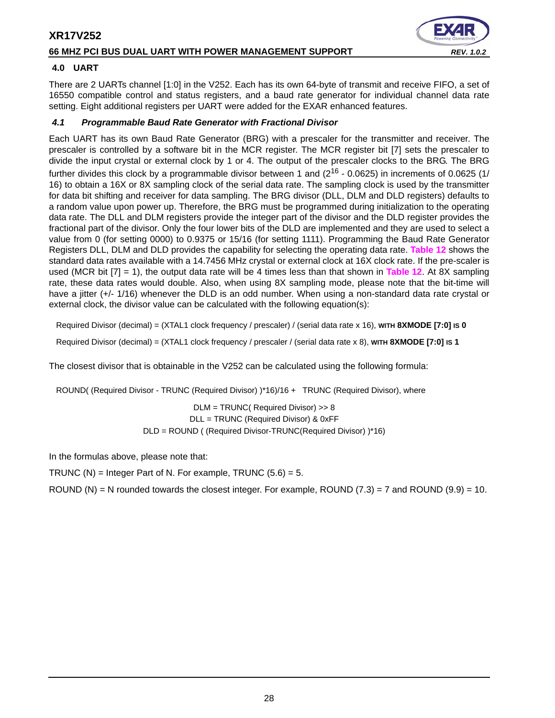### **66 MHZ PCI BUS DUAL UART WITH POWER MANAGEMENT SUPPORT** *REV. 1.0.2*



#### <span id="page-27-1"></span>**4.0 UART**

There are 2 UARTs channel [1:0] in the V252. Each has its own 64-byte of transmit and receive FIFO, a set of 16550 compatible control and status registers, and a baud rate generator for individual channel data rate setting. Eight additional registers per UART were added for the EXAR enhanced features.

#### <span id="page-27-0"></span>*4.1 Programmable Baud Rate Generator with Fractional Divisor*

Each UART has its own Baud Rate Generator (BRG) with a prescaler for the transmitter and receiver. The prescaler is controlled by a software bit in the MCR register. The MCR register bit [7] sets the prescaler to divide the input crystal or external clock by 1 or 4. The output of the prescaler clocks to the BRG. The BRG further divides this clock by a programmable divisor between 1 and ( $2^{16}$  - 0.0625) in increments of 0.0625 (1/ 16) to obtain a 16X or 8X sampling clock of the serial data rate. The sampling clock is used by the transmitter for data bit shifting and receiver for data sampling. The BRG divisor (DLL, DLM and DLD registers) defaults to a random value upon power up. Therefore, the BRG must be programmed during initialization to the operating data rate. The DLL and DLM registers provide the integer part of the divisor and the DLD register provides the fractional part of the divisor. Only the four lower bits of the DLD are implemented and they are used to select a value from 0 (for setting 0000) to 0.9375 or 15/16 (for setting 1111). Programming the Baud Rate Generator Registers DLL, DLM and DLD provides the capability for selecting the operating data rate. **[Table](#page-28-0) 12** shows the standard data rates available with a 14.7456 MHz crystal or external clock at 16X clock rate. If the pre-scaler is used (MCR bit [7] = 1), the output data rate will be 4 times less than that shown in **[Table](#page-28-0) 12**. At 8X sampling rate, these data rates would double. Also, when using 8X sampling mode, please note that the bit-time will have a jitter (+/- 1/16) whenever the DLD is an odd number. When using a non-standard data rate crystal or external clock, the divisor value can be calculated with the following equation(s):

Required Divisor (decimal) = (XTAL1 clock frequency / prescaler) / (serial data rate x 16), **WITH 8XMODE [7:0] IS 0** 

Required Divisor (decimal) = (XTAL1 clock frequency / prescaler / (serial data rate x 8), **WITH 8XMODE [7:0] IS 1**

The closest divisor that is obtainable in the V252 can be calculated using the following formula:

ROUND( (Required Divisor - TRUNC (Required Divisor) )\*16)/16 + TRUNC (Required Divisor), where

DLM = TRUNC( Required Divisor) >> 8 DLL = TRUNC (Required Divisor) & 0xFF DLD = ROUND ( (Required Divisor-TRUNC(Required Divisor) )\*16)

In the formulas above, please note that:

TRUNC  $(N)$  = Integer Part of N. For example, TRUNC  $(5.6) = 5$ .

ROUND (N) = N rounded towards the closest integer. For example, ROUND  $(7.3)$  = 7 and ROUND  $(9.9)$  = 10.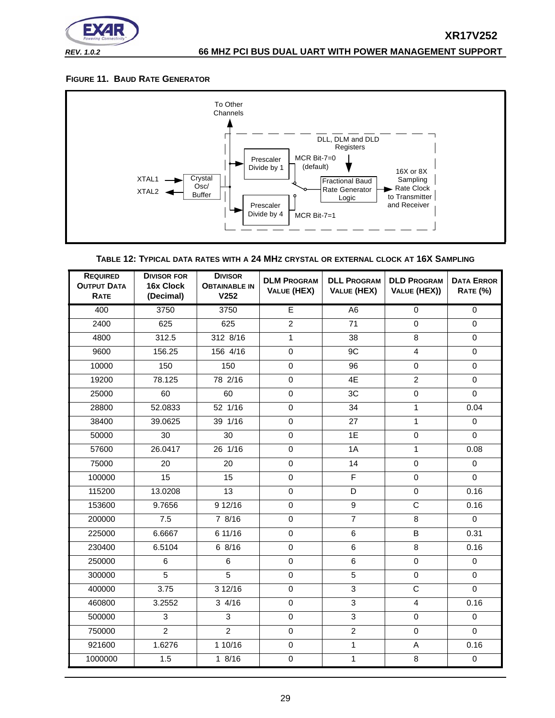

#### <span id="page-28-1"></span>**FIGURE 11. BAUD RATE GENERATOR**



**TABLE 12: TYPICAL DATA RATES WITH A 24 MHZ CRYSTAL OR EXTERNAL CLOCK AT 16X SAMPLING**

<span id="page-28-0"></span>

| <b>REQUIRED</b><br><b>OUTPUT DATA</b><br><b>RATE</b> | <b>DIVISOR FOR</b><br>16x Clock<br>(Decimal) | <b>DIVISOR</b><br><b>OBTAINABLE IN</b><br>V <sub>252</sub> | <b>DLM PROGRAM</b><br><b>VALUE (HEX)</b> | <b>DLL PROGRAM</b><br>VALUE (HEX) | <b>DLD PROGRAM</b><br>VALUE (HEX)) | <b>DATA ERROR</b><br><b>RATE (%)</b> |
|------------------------------------------------------|----------------------------------------------|------------------------------------------------------------|------------------------------------------|-----------------------------------|------------------------------------|--------------------------------------|
| 400                                                  | 3750                                         | 3750                                                       | E                                        | $\overline{A6}$                   | $\mathbf 0$                        | $\overline{0}$                       |
| 2400                                                 | 625                                          | 625                                                        | $\overline{c}$                           | 71                                | $\mathbf 0$                        | $\mathbf 0$                          |
| 4800                                                 | 312.5                                        | 312 8/16                                                   | $\mathbf{1}$                             | 38                                | 8                                  | $\Omega$                             |
| 9600                                                 | 156.25                                       | 156 4/16                                                   | $\mathbf 0$                              | 9C                                | $\overline{4}$                     | $\mathsf{O}\xspace$                  |
| 10000                                                | 150                                          | 150                                                        | $\mathbf 0$                              | 96                                | $\mathbf 0$                        | $\mathbf 0$                          |
| 19200                                                | 78.125                                       | 78 2/16                                                    | $\mathbf 0$                              | 4E                                | $\overline{2}$                     | $\mathbf 0$                          |
| 25000                                                | 60                                           | 60                                                         | $\mathbf 0$                              | 3C                                | $\mathbf 0$                        | $\Omega$                             |
| 28800                                                | 52.0833                                      | 52 1/16                                                    | $\mathbf 0$                              | 34                                | $\mathbf{1}$                       | 0.04                                 |
| 38400                                                | 39.0625                                      | 39 1/16                                                    | $\mathbf 0$                              | 27                                | $\mathbf{1}$                       | $\mathbf 0$                          |
| 50000                                                | 30                                           | 30                                                         | $\mathbf 0$                              | 1E                                | $\mathbf 0$                        | $\Omega$                             |
| 57600                                                | 26.0417                                      | 26 1/16                                                    | $\mathbf 0$                              | 1A                                | $\mathbf{1}$                       | 0.08                                 |
| 75000                                                | 20                                           | 20                                                         | $\mathbf 0$                              | 14                                | $\mathbf 0$                        | $\Omega$                             |
| 100000                                               | 15                                           | 15                                                         | $\mathbf 0$                              | $\overline{F}$                    | $\mathbf 0$                        | $\Omega$                             |
| 115200                                               | 13.0208                                      | 13                                                         | $\pmb{0}$                                | D                                 | $\mathbf 0$                        | 0.16                                 |
| 153600                                               | 9.7656                                       | 9 12/16                                                    | $\pmb{0}$                                | 9                                 | $\mathsf C$                        | 0.16                                 |
| 200000                                               | 7.5                                          | 7 8/16                                                     | $\mathbf 0$                              | $\overline{7}$                    | 8                                  | $\mathbf 0$                          |
| 225000                                               | 6.6667                                       | 6 11/16                                                    | $\mathbf 0$                              | 6                                 | B                                  | 0.31                                 |
| 230400                                               | 6.5104                                       | 6 8/16                                                     | $\mathbf 0$                              | 6                                 | 8                                  | 0.16                                 |
| 250000                                               | 6                                            | 6                                                          | $\mathbf 0$                              | 6                                 | $\mathbf 0$                        | $\mathbf 0$                          |
| 300000                                               | 5                                            | $\overline{5}$                                             | $\mathbf 0$                              | $\overline{5}$                    | $\mathbf 0$                        | $\mathbf 0$                          |
| 400000                                               | 3.75                                         | 3 12/16                                                    | $\mathbf 0$                              | $\overline{3}$                    | $\overline{C}$                     | $\Omega$                             |
| 460800                                               | 3.2552                                       | 34/16                                                      | $\mathbf 0$                              | 3                                 | 4                                  | 0.16                                 |
| 500000                                               | 3                                            | 3                                                          | $\mathbf 0$                              | 3                                 | $\mathbf 0$                        | $\mathbf 0$                          |
| 750000                                               | $\overline{2}$                               | $\overline{2}$                                             | $\mathbf 0$                              | $\overline{2}$                    | $\mathbf 0$                        | $\Omega$                             |
| 921600                                               | 1.6276                                       | 1 10/16                                                    | $\mathbf 0$                              | $\mathbf{1}$                      | A                                  | 0.16                                 |
| 1000000                                              | 1.5                                          | 18/16                                                      | $\mathbf 0$                              | $\mathbf 1$                       | 8                                  | $\mathsf{O}\xspace$                  |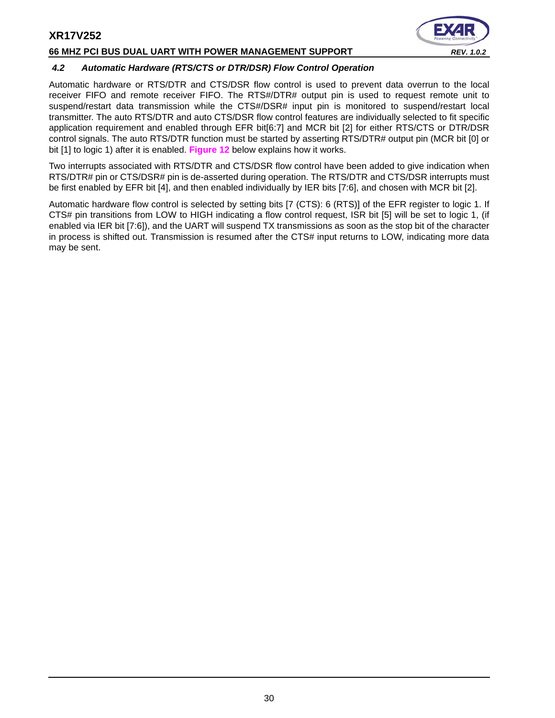#### **66 MHZ PCI BUS DUAL UART WITH POWER MANAGEMENT SUPPORT** *REV. 1.0.2*



# <span id="page-29-0"></span>*4.2 Automatic Hardware (RTS/CTS or DTR/DSR) Flow Control Operation*

Automatic hardware or RTS/DTR and CTS/DSR flow control is used to prevent data overrun to the local receiver FIFO and remote receiver FIFO. The RTS#/DTR# output pin is used to request remote unit to suspend/restart data transmission while the CTS#/DSR# input pin is monitored to suspend/restart local transmitter. The auto RTS/DTR and auto CTS/DSR flow control features are individually selected to fit specific application requirement and enabled through EFR bit[6:7] and MCR bit [2] for either RTS/CTS or DTR/DSR control signals. The auto RTS/DTR function must be started by asserting RTS/DTR# output pin (MCR bit [0] or bit [1] to logic 1) after it is enabled. **[Figure](#page-30-0) 12** below explains how it works.

Two interrupts associated with RTS/DTR and CTS/DSR flow control have been added to give indication when RTS/DTR# pin or CTS/DSR# pin is de-asserted during operation. The RTS/DTR and CTS/DSR interrupts must be first enabled by EFR bit [4], and then enabled individually by IER bits [7:6], and chosen with MCR bit [2].

Automatic hardware flow control is selected by setting bits [7 (CTS): 6 (RTS)] of the EFR register to logic 1. If CTS# pin transitions from LOW to HIGH indicating a flow control request, ISR bit [5] will be set to logic 1, (if enabled via IER bit [7:6]), and the UART will suspend TX transmissions as soon as the stop bit of the character in process is shifted out. Transmission is resumed after the CTS# input returns to LOW, indicating more data may be sent.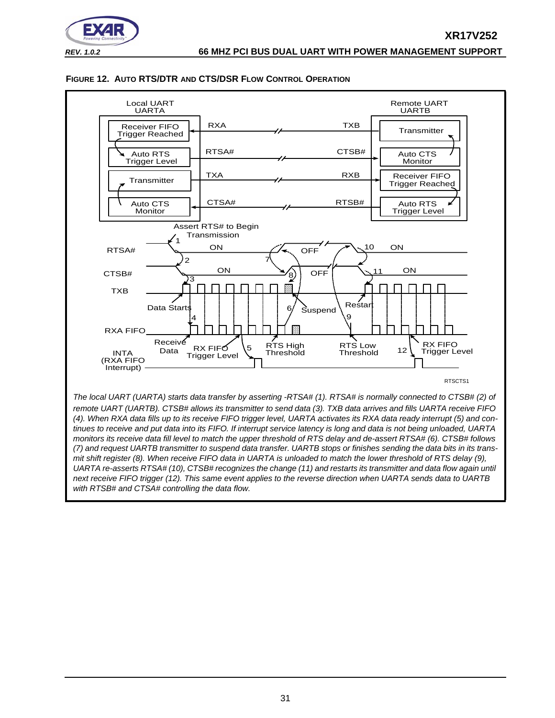



#### <span id="page-30-0"></span>**FIGURE 12. AUTO RTS/DTR AND CTS/DSR FLOW CONTROL OPERATION**

*UARTA re-asserts RTSA# (10), CTSB# recognizes the change (11) and restarts its transmitter and data flow again until next receive FIFO trigger (12). This same event applies to the reverse direction when UARTA sends data to UARTB with RTSB# and CTSA# controlling the data flow.*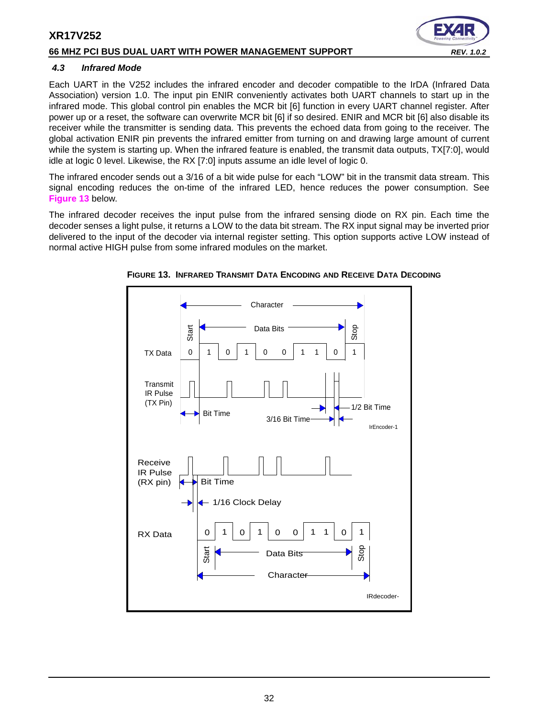#### **66 MHZ PCI BUS DUAL UART WITH POWER MANAGEMENT SUPPORT** *REV. 1.0.2*



#### <span id="page-31-1"></span>*4.3 Infrared Mode*

Each UART in the V252 includes the infrared encoder and decoder compatible to the IrDA (Infrared Data Association) version 1.0. The input pin ENIR conveniently activates both UART channels to start up in the infrared mode. This global control pin enables the MCR bit [6] function in every UART channel register. After power up or a reset, the software can overwrite MCR bit [6] if so desired. ENIR and MCR bit [6] also disable its receiver while the transmitter is sending data. This prevents the echoed data from going to the receiver. The global activation ENIR pin prevents the infrared emitter from turning on and drawing large amount of current while the system is starting up. When the infrared feature is enabled, the transmit data outputs, TX[7:0], would idle at logic 0 level. Likewise, the RX [7:0] inputs assume an idle level of logic 0.

The infrared encoder sends out a 3/16 of a bit wide pulse for each "LOW" bit in the transmit data stream. This signal encoding reduces the on-time of the infrared LED, hence reduces the power consumption. See **[Figure](#page-31-0) 13** below.

The infrared decoder receives the input pulse from the infrared sensing diode on RX pin. Each time the decoder senses a light pulse, it returns a LOW to the data bit stream. The RX input signal may be inverted prior delivered to the input of the decoder via internal register setting. This option supports active LOW instead of normal active HIGH pulse from some infrared modules on the market.



<span id="page-31-0"></span>**FIGURE 13. INFRARED TRANSMIT DATA ENCODING AND RECEIVE DATA DECODING**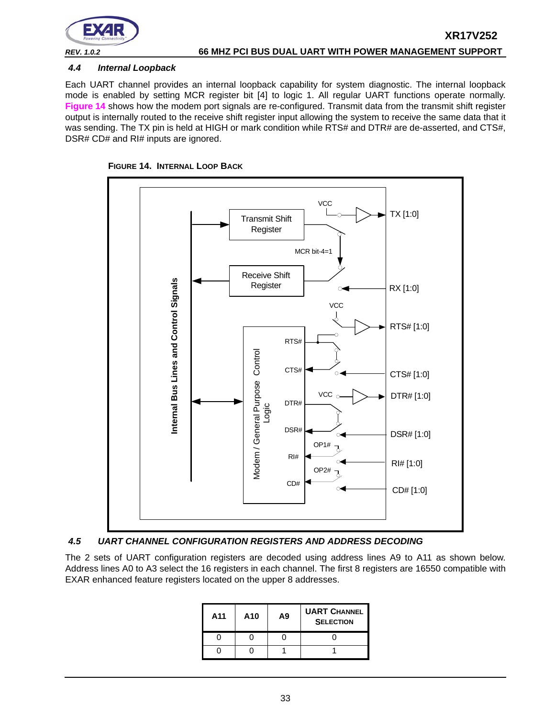

#### <span id="page-32-1"></span>*4.4 Internal Loopback*

Each UART channel provides an internal loopback capability for system diagnostic. The internal loopback mode is enabled by setting MCR register bit [4] to logic 1. All regular UART functions operate normally. **[Figure](#page-32-0) 14** shows how the modem port signals are re-configured. Transmit data from the transmit shift register output is internally routed to the receive shift register input allowing the system to receive the same data that it was sending. The TX pin is held at HIGH or mark condition while RTS# and DTR# are de-asserted, and CTS#, DSR# CD# and RI# inputs are ignored.

<span id="page-32-0"></span>



#### <span id="page-32-2"></span>*4.5 UART CHANNEL CONFIGURATION REGISTERS AND ADDRESS DECODING*

The 2 sets of UART configuration registers are decoded using address lines A9 to A11 as shown below. Address lines A0 to A3 select the 16 registers in each channel. The first 8 registers are 16550 compatible with EXAR enhanced feature registers located on the upper 8 addresses.

| A11 | A10 | A9 | <b>UART CHANNEL</b><br><b>SELECTION</b> |
|-----|-----|----|-----------------------------------------|
|     |     |    |                                         |
|     |     |    |                                         |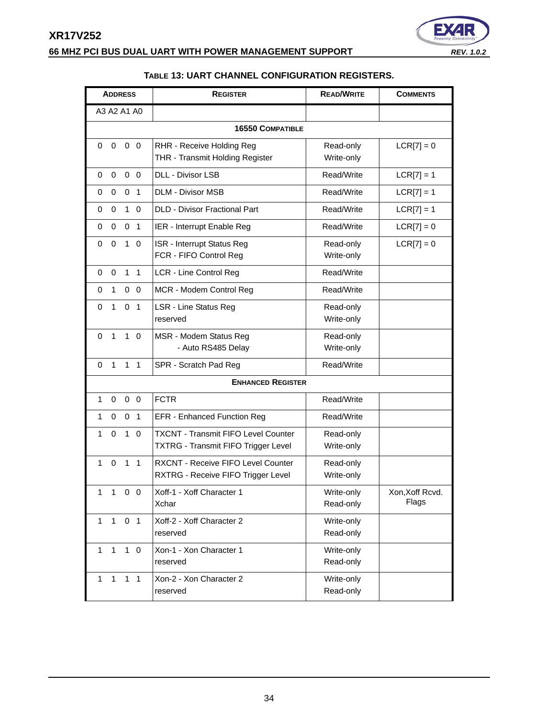

<span id="page-33-0"></span>

| <b>ADDRESS</b>                                    | <b>REGISTER</b>                            | <b>READ/WRITE</b> | <b>COMMENTS</b> |
|---------------------------------------------------|--------------------------------------------|-------------------|-----------------|
| A3 A2 A1 A0                                       |                                            |                   |                 |
|                                                   | <b>16550 COMPATIBLE</b>                    |                   |                 |
| $\mathbf 0$<br>$\mathbf 0$<br>0 <sub>0</sub>      | RHR - Receive Holding Reg                  | Read-only         | $LCR[7] = 0$    |
|                                                   | THR - Transmit Holding Register            | Write-only        |                 |
| $\mathbf 0$<br>0 <sub>0</sub><br>$\Omega$         | DLL - Divisor LSB                          | Read/Write        | $LCR[7] = 1$    |
| $\mathbf 0$<br>$\overline{1}$<br>0<br>0           | <b>DLM - Divisor MSB</b>                   | Read/Write        | $LCR[7] = 1$    |
| $\mathbf 0$<br>$1 \Omega$<br>0                    | <b>DLD - Divisor Fractional Part</b>       | Read/Write        | $LCR[7] = 1$    |
| 0<br>0<br>0 <sub>1</sub>                          | IER - Interrupt Enable Reg                 | Read/Write        | $LCR[7] = 0$    |
| $\mathbf 0$<br>$1\quad 0$<br>0                    | ISR - Interrupt Status Reg                 | Read-only         | $LCR[7] = 0$    |
|                                                   | FCR - FIFO Control Reg                     | Write-only        |                 |
| $\mathbf 0$<br>$1 \quad 1$<br>0                   | LCR - Line Control Reg                     | Read/Write        |                 |
| 1<br>$0\quad 0$<br>0                              | MCR - Modem Control Reg                    | Read/Write        |                 |
| 1<br>$\Omega$<br>$\overline{1}$<br>0              | <b>LSR - Line Status Reg</b>               | Read-only         |                 |
|                                                   | reserved                                   | Write-only        |                 |
| 1<br>$1\quad$ 0<br>0                              | MSR - Modem Status Reg                     | Read-only         |                 |
|                                                   | - Auto RS485 Delay                         | Write-only        |                 |
| $\mathbf{1}$<br>$\Omega$<br>1 <sub>1</sub>        | SPR - Scratch Pad Reg                      | Read/Write        |                 |
|                                                   | <b>ENHANCED REGISTER</b>                   |                   |                 |
| $\mathbf 0$<br>$\mathbf 0$<br>$\overline{0}$<br>1 | <b>FCTR</b>                                | Read/Write        |                 |
| 1<br>0<br>0 <sub>1</sub>                          | <b>EFR - Enhanced Function Reg</b>         | Read/Write        |                 |
| $\mathbf 0$<br>$\mathbf 1$<br>1<br>0              | <b>TXCNT - Transmit FIFO Level Counter</b> | Read-only         |                 |
|                                                   | <b>TXTRG - Transmit FIFO Trigger Level</b> | Write-only        |                 |
| $\mathbf 0$<br>1<br>1 <sub>1</sub>                | <b>RXCNT - Receive FIFO Level Counter</b>  | Read-only         |                 |
|                                                   | RXTRG - Receive FIFO Trigger Level         | Write-only        |                 |
| 1<br>1 0 0                                        | Xoff-1 - Xoff Character 1                  | Write-only        | Xon, Xoff Rcvd. |
|                                                   | Xchar                                      | Read-only         | Flags           |
| 0 <sub>1</sub><br>$\mathbf{1}$<br>$\mathbf{1}$    | Xoff-2 - Xoff Character 2                  | Write-only        |                 |
|                                                   | reserved                                   | Read-only         |                 |
| $\mathbf{1}$<br>$1\quad 0$<br>$\mathbf{1}$        | Xon-1 - Xon Character 1                    | Write-only        |                 |
|                                                   | reserved                                   | Read-only         |                 |
| $\mathbf{1}$<br>$1 \quad 1$<br>1                  | Xon-2 - Xon Character 2                    | Write-only        |                 |
|                                                   | reserved                                   | Read-only         |                 |

## **TABLE 13: UART CHANNEL CONFIGURATION REGISTERS.**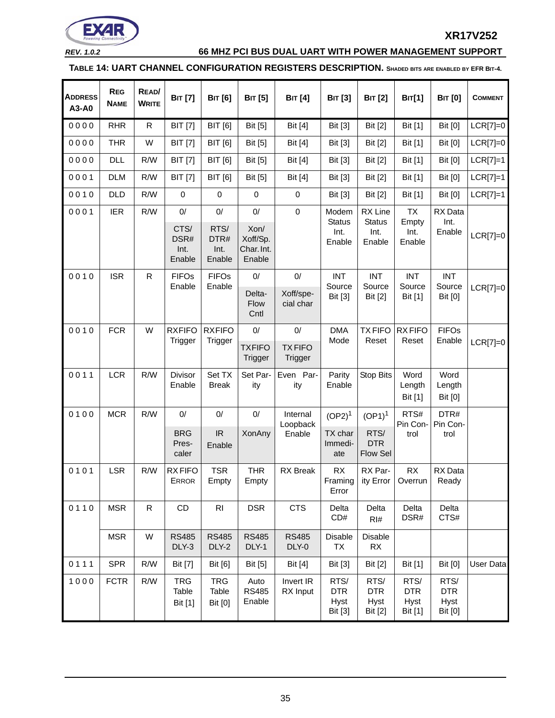

# *REV. 1.0.2* **66 MHZ PCI BUS DUAL UART WITH POWER MANAGEMENT SUPPORT**

<span id="page-34-0"></span>**TABLE 14: UART CHANNEL CONFIGURATION REGISTERS DESCRIPTION. SHADED BITS ARE ENABLED BY EFR BIT-4.**

| <b>ADDRESS</b><br>A3-A0 | <b>REG</b><br><b>NAME</b> | READ/<br><b>WRITE</b> | <b>BIT</b> [7]                         | <b>BIT</b> [6]                                      | <b>BIT</b> [5]                                   | <b>BIT</b> [4]                 | <b>BIT</b> [3]                           | <b>BIT</b> [2]                                     | <b>BIT[1]</b>                         | <b>BIT</b> [0]                                      | <b>COMMENT</b> |
|-------------------------|---------------------------|-----------------------|----------------------------------------|-----------------------------------------------------|--------------------------------------------------|--------------------------------|------------------------------------------|----------------------------------------------------|---------------------------------------|-----------------------------------------------------|----------------|
| 0000                    | <b>RHR</b>                | R                     | <b>BIT</b> [7]                         | <b>BIT</b> [6]                                      | <b>Bit</b> [5]                                   | <b>Bit</b> [4]                 | Bit [3]                                  | Bit [2]                                            | Bit [1]                               | <b>Bit [0]</b>                                      | $LCR[7]=0$     |
| 0000                    | <b>THR</b>                | W                     | <b>BIT</b> [7]                         | <b>BIT</b> [6]                                      | Bit [5]                                          | Bit [4]                        | Bit [3]                                  | Bit [2]                                            | Bit [1]                               | <b>Bit [0]</b>                                      | $LCR[7]=0$     |
| 0000                    | <b>DLL</b>                | R/W                   | <b>BIT</b> [7]                         | <b>BIT</b> [6]                                      | <b>Bit</b> [5]                                   | <b>Bit</b> [4]                 | Bit [3]                                  | Bit [2]                                            | Bit [1]                               | <b>Bit [0]</b>                                      | $LCR[7]=1$     |
| 0001                    | <b>DLM</b>                | R/W                   | <b>BIT</b> [7]                         | <b>BIT</b> [6]                                      | <b>Bit</b> [5]                                   | <b>Bit</b> [4]                 | Bit [3]                                  | Bit [2]                                            | Bit [1]                               | <b>Bit [0]</b>                                      | $LCR[7]=1$     |
| 0010                    | <b>DLD</b>                | R/W                   | $\mathbf 0$                            | $\mathbf 0$                                         | $\pmb{0}$                                        | $\boldsymbol{0}$               | Bit [3]                                  | <b>Bit [2]</b>                                     | Bit [1]                               | <b>Bit [0]</b>                                      | $LCR[7]=1$     |
| 0001                    | <b>IER</b>                | R/W                   | $0/$<br>CTS/<br>DSR#<br>Int.<br>Enable | $0/$<br>RTS/<br>DTR#<br>Int.<br>Enable              | $0/$<br>Xon/<br>Xoff/Sp.<br>Char. Int.<br>Enable | $\mathbf 0$                    | Modem<br><b>Status</b><br>Int.<br>Enable | RX Line<br><b>Status</b><br>Int.<br>Enable         | TX<br>Empty<br>Int.<br>Enable         | RX Data<br>Int.<br>Enable                           | $LCR[7]=0$     |
| 0010                    | <b>ISR</b>                | $\mathsf{R}$          | <b>FIFOs</b><br>Enable                 | <b>FIFOs</b><br>Enable                              | $0/$<br>Delta-<br>Flow<br>Cntl                   | $0/$<br>Xoff/spe-<br>cial char | <b>INT</b><br>Source<br>Bit [3]          | <b>INT</b><br>Source<br><b>Bit [2]</b>             | <b>INT</b><br>Source<br>Bit [1]       | <b>INT</b><br>Source<br><b>Bit [0]</b>              | $LCR[7]=0$     |
| 0010                    | <b>FCR</b>                | W                     | <b>RXFIFO</b><br>Trigger               | <b>RXFIFO</b><br>Trigger                            | $0/$<br><b>TXFIFO</b><br>Trigger                 | 0/<br><b>TXFIFO</b><br>Trigger | <b>DMA</b><br>Mode                       | <b>TXFIFO</b><br>Reset                             | <b>RXFIFO</b><br>Reset                | <b>FIFOs</b><br>Enable                              | $LCR[7]=0$     |
| 0011                    | <b>LCR</b>                | R/W                   | Divisor<br>Enable                      | Set TX<br><b>Break</b>                              | Set Par-<br>ity                                  | Even Par-<br>ity               | Parity<br>Enable                         | Stop Bits                                          | Word<br>Length<br>Bit [1]             | Word<br>Length<br><b>Bit [0]</b>                    |                |
| 0100                    | <b>MCR</b>                | R/W                   | 0/<br><b>BRG</b><br>Pres-<br>caler     | $0/$<br>$\ensuremath{\mathsf{IR}}\xspace$<br>Enable | 0/<br>XonAny                                     | Internal<br>Loopback<br>Enable | $(OP2)^1$<br>TX char<br>Immedi-<br>ate   | $(OP1)^1$<br>RTS/<br><b>DTR</b><br><b>Flow Sel</b> | RTS#<br>Pin Con-<br>trol              | DTR#<br>Pin Con-<br>trol                            |                |
| 0101                    | LSR                       | R/W                   | <b>RXFIFO</b><br><b>ERROR</b>          | <b>TSR</b><br>Empty                                 | <b>THR</b><br>Empty                              | <b>RX</b> Break                | <b>RX</b><br>Error                       | RX Par-<br>Framing   ity Error   Overrun           | RX                                    | RX Data<br>Ready                                    |                |
| 0110                    | <b>MSR</b>                | R                     | CD                                     | R <sub>l</sub>                                      | <b>DSR</b>                                       | <b>CTS</b>                     | Delta<br>CD#                             | Delta<br>RI#                                       | Delta<br>DSR#                         | Delta<br>CTS#                                       |                |
|                         | <b>MSR</b>                | W                     | <b>RS485</b><br>DLY-3                  | <b>RS485</b><br>DLY-2                               | <b>RS485</b><br>DLY-1                            | <b>RS485</b><br>DLY-0          | Disable<br>TX                            | Disable<br>RX                                      |                                       |                                                     |                |
| 0111                    | <b>SPR</b>                | R/W                   | <b>Bit</b> [7]                         | Bit [6]                                             | <b>Bit</b> [5]                                   | Bit [4]                        | Bit [3]                                  | <b>Bit [2]</b>                                     | Bit [1]                               | <b>Bit [0]</b>                                      | User Data      |
| 1000                    | <b>FCTR</b>               | R/W                   | <b>TRG</b><br>Table<br>Bit [1]         | <b>TRG</b><br>Table<br><b>Bit [0]</b>               | Auto<br><b>RS485</b><br>Enable                   | Invert IR<br>RX Input          | RTS/<br><b>DTR</b><br>Hyst<br>Bit [3]    | RTS/<br><b>DTR</b><br><b>Hyst</b><br>Bit [2]       | RTS/<br><b>DTR</b><br>Hyst<br>Bit [1] | RTS/<br><b>DTR</b><br><b>Hyst</b><br><b>Bit [0]</b> |                |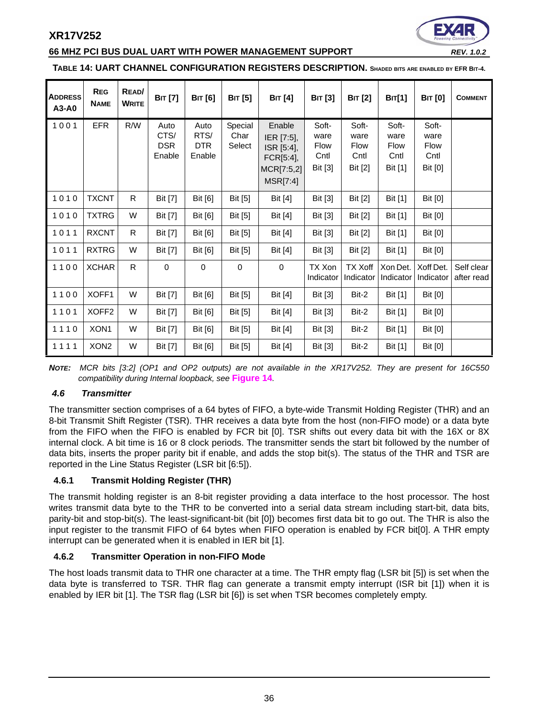#### **66 MHZ PCI BUS DUAL UART WITH POWER MANAGEMENT SUPPORT** *REV. 1.0.2*



#### **TABLE 14: UART CHANNEL CONFIGURATION REGISTERS DESCRIPTION. SHADED BITS ARE ENABLED BY EFR BIT-4.**

| <b>ADDRESS</b><br>A3-A0 | <b>REG</b><br><b>NAME</b> | READ/<br><b>WRITE</b> | <b>BIT</b> [7]                       | <b>BIT</b> [6]                       | <b>BIT</b> [5]            | <b>BIT</b> [4]                                                            | <b>BIT</b> [3]                           | <b>BIT</b> [2]                           | <b>BIT[1]</b>                                   | <b>BIT</b> [0]                                  | <b>COMMENT</b>           |
|-------------------------|---------------------------|-----------------------|--------------------------------------|--------------------------------------|---------------------------|---------------------------------------------------------------------------|------------------------------------------|------------------------------------------|-------------------------------------------------|-------------------------------------------------|--------------------------|
| 1001                    | <b>EFR</b>                | R/W                   | Auto<br>CTS/<br><b>DSR</b><br>Enable | Auto<br>RTS/<br><b>DTR</b><br>Enable | Special<br>Char<br>Select | Enable<br>IER [7:5],<br>ISR [5:4],<br>FCR[5:4],<br>MCR[7:5,2]<br>MSR[7:4] | Soft-<br>ware<br>Flow<br>Cntl<br>Bit [3] | Soft-<br>ware<br>Flow<br>Cntl<br>Bit [2] | Soft-<br>ware<br><b>Flow</b><br>Cntl<br>Bit [1] | Soft-<br>ware<br><b>Flow</b><br>Cntl<br>Bit [0] |                          |
| 1010                    | <b>TXCNT</b>              | R                     | <b>Bit</b> [7]                       | Bit [6]                              | Bit [5]                   | <b>Bit</b> [4]                                                            | Bit [3]                                  | Bit [2]                                  | Bit [1]                                         | <b>Bit [0]</b>                                  |                          |
| 1010                    | <b>TXTRG</b>              | W                     | Bit [7]                              | Bit [6]                              | Bit [5]                   | Bit [4]                                                                   | Bit [3]                                  | Bit [2]                                  | Bit [1]                                         | <b>Bit [0]</b>                                  |                          |
| 1011                    | <b>RXCNT</b>              | R                     | <b>Bit</b> [7]                       | Bit [6]                              | Bit [5]                   | Bit [4]                                                                   | Bit [3]                                  | Bit [2]                                  | Bit [1]                                         | Bit [0]                                         |                          |
| 1011                    | <b>RXTRG</b>              | W                     | <b>Bit</b> [7]                       | <b>Bit</b> [6]                       | Bit [5]                   | Bit [4]                                                                   | Bit [3]                                  | Bit [2]                                  | Bit [1]                                         | Bit [0]                                         |                          |
| 1100                    | <b>XCHAR</b>              | $\mathsf{R}$          | $\mathbf 0$                          | $\mathbf 0$                          | $\mathbf 0$               | $\mathbf 0$                                                               | TX Xon<br>Indicator                      | <b>TX Xoff</b><br>Indicator              | Xon Det.<br>Indicator                           | Xoff Det.<br>Indicator                          | Self clear<br>after read |
| 1100                    | XOFF1                     | W                     | Bit [7]                              | Bit [6]                              | Bit [5]                   | Bit [4]                                                                   | Bit [3]                                  | Bit-2                                    | Bit [1]                                         | <b>Bit [0]</b>                                  |                          |
| 1101                    | XOFF <sub>2</sub>         | W                     | Bit [7]                              | Bit $[6]$                            | Bit [5]                   | Bit [4]                                                                   | Bit [3]                                  | Bit-2                                    | Bit $[1]$                                       | Bit [0]                                         |                          |
| 1110                    | XON1                      | W                     | Bit [7]                              | Bit [6]                              | Bit [5]                   | Bit [4]                                                                   | Bit [3]                                  | Bit-2                                    | Bit [1]                                         | <b>Bit [0]</b>                                  |                          |
| 1111                    | XON <sub>2</sub>          | W                     | Bit [7]                              | Bit [6]                              | Bit [5]                   | <b>Bit</b> [4]                                                            | Bit [3]                                  | Bit-2                                    | Bit [1]                                         | <b>Bit [0]</b>                                  |                          |

*NOTE: MCR bits [3:2] (OP1 and OP2 outputs) are not available in the XR17V252. They are present for 16C550 compatibility during Internal loopback, see* **[Figure](#page-32-0) 14***.* 

#### <span id="page-35-0"></span>*4.6 Transmitter*

The transmitter section comprises of a 64 bytes of FIFO, a byte-wide Transmit Holding Register (THR) and an 8-bit Transmit Shift Register (TSR). THR receives a data byte from the host (non-FIFO mode) or a data byte from the FIFO when the FIFO is enabled by FCR bit [0]. TSR shifts out every data bit with the 16X or 8X internal clock. A bit time is 16 or 8 clock periods. The transmitter sends the start bit followed by the number of data bits, inserts the proper parity bit if enable, and adds the stop bit(s). The status of the THR and TSR are reported in the Line Status Register (LSR bit [6:5]).

#### <span id="page-35-1"></span>**4.6.1 Transmit Holding Register (THR)**

The transmit holding register is an 8-bit register providing a data interface to the host processor. The host writes transmit data byte to the THR to be converted into a serial data stream including start-bit, data bits, parity-bit and stop-bit(s). The least-significant-bit (bit [0]) becomes first data bit to go out. The THR is also the input register to the transmit FIFO of 64 bytes when FIFO operation is enabled by FCR bit[0]. A THR empty interrupt can be generated when it is enabled in IER bit [1].

#### <span id="page-35-2"></span>**4.6.2 Transmitter Operation in non-FIFO Mode**

The host loads transmit data to THR one character at a time. The THR empty flag (LSR bit [5]) is set when the data byte is transferred to TSR. THR flag can generate a transmit empty interrupt (ISR bit [1]) when it is enabled by IER bit [1]. The TSR flag (LSR bit [6]) is set when TSR becomes completely empty.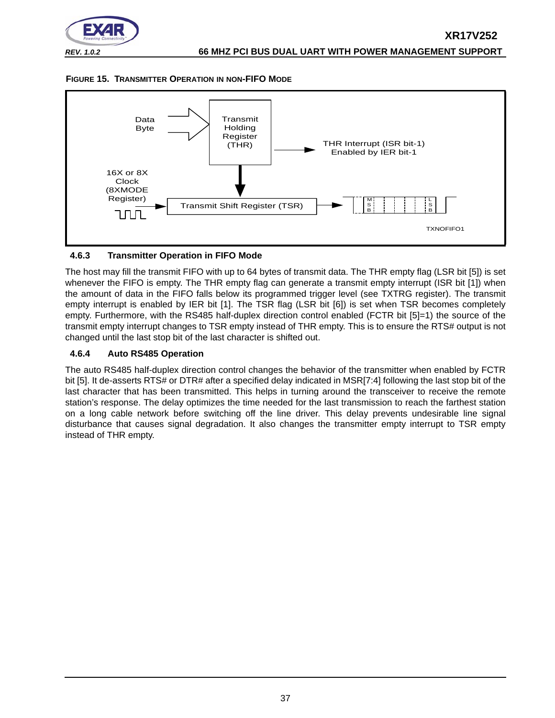

<span id="page-36-0"></span>



#### <span id="page-36-1"></span>**4.6.3 Transmitter Operation in FIFO Mode**

The host may fill the transmit FIFO with up to 64 bytes of transmit data. The THR empty flag (LSR bit [5]) is set whenever the FIFO is empty. The THR empty flag can generate a transmit empty interrupt (ISR bit [1]) when the amount of data in the FIFO falls below its programmed trigger level (see TXTRG register). The transmit empty interrupt is enabled by IER bit [1]. The TSR flag (LSR bit [6]) is set when TSR becomes completely empty. Furthermore, with the RS485 half-duplex direction control enabled (FCTR bit [5]=1) the source of the transmit empty interrupt changes to TSR empty instead of THR empty. This is to ensure the RTS# output is not changed until the last stop bit of the last character is shifted out.

#### <span id="page-36-2"></span>**4.6.4 Auto RS485 Operation**

The auto RS485 half-duplex direction control changes the behavior of the transmitter when enabled by FCTR bit [5]. It de-asserts RTS# or DTR# after a specified delay indicated in MSR[7:4] following the last stop bit of the last character that has been transmitted. This helps in turning around the transceiver to receive the remote station's response. The delay optimizes the time needed for the last transmission to reach the farthest station on a long cable network before switching off the line driver. This delay prevents undesirable line signal disturbance that causes signal degradation. It also changes the transmitter empty interrupt to TSR empty instead of THR empty.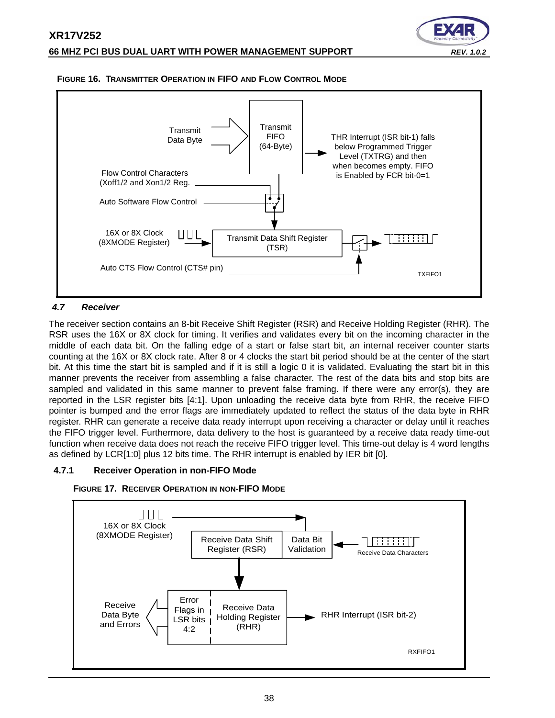



#### <span id="page-37-1"></span>**FIGURE 16. TRANSMITTER OPERATION IN FIFO AND FLOW CONTROL MODE**

#### <span id="page-37-0"></span>*4.7 Receiver*

The receiver section contains an 8-bit Receive Shift Register (RSR) and Receive Holding Register (RHR). The RSR uses the 16X or 8X clock for timing. It verifies and validates every bit on the incoming character in the middle of each data bit. On the falling edge of a start or false start bit, an internal receiver counter starts counting at the 16X or 8X clock rate. After 8 or 4 clocks the start bit period should be at the center of the start bit. At this time the start bit is sampled and if it is still a logic 0 it is validated. Evaluating the start bit in this manner prevents the receiver from assembling a false character. The rest of the data bits and stop bits are sampled and validated in this same manner to prevent false framing. If there were any error(s), they are reported in the LSR register bits [4:1]. Upon unloading the receive data byte from RHR, the receive FIFO pointer is bumped and the error flags are immediately updated to reflect the status of the data byte in RHR register. RHR can generate a receive data ready interrupt upon receiving a character or delay until it reaches the FIFO trigger level. Furthermore, data delivery to the host is guaranteed by a receive data ready time-out function when receive data does not reach the receive FIFO trigger level. This time-out delay is 4 word lengths as defined by LCR[1:0] plus 12 bits time. The RHR interrupt is enabled by IER bit [0].

#### <span id="page-37-2"></span>**4.7.1 Receiver Operation in non-FIFO Mode**



<span id="page-37-3"></span>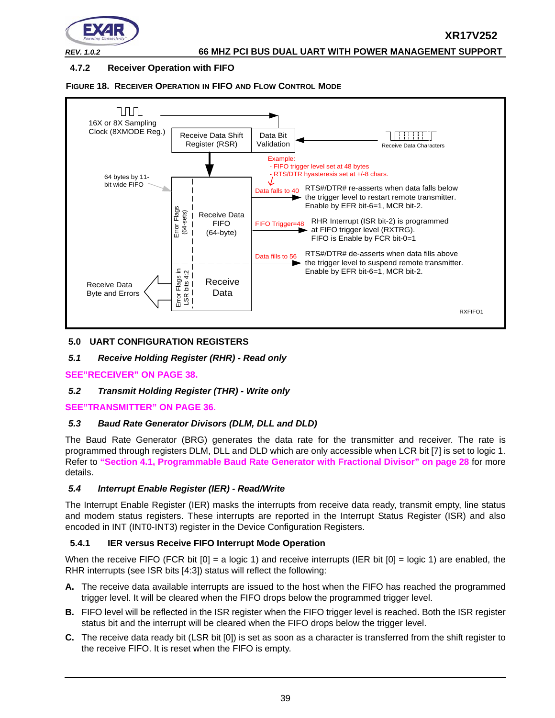

## <span id="page-38-0"></span>**4.7.2 Receiver Operation with FIFO**

<span id="page-38-1"></span>



#### <span id="page-38-2"></span>**5.0 UART CONFIGURATION REGISTERS**

#### <span id="page-38-3"></span>*5.1 Receive Holding Register (RHR) - Read only*

#### **[SEE"RECEIVER" ON PAGE](#page-37-0) 38.**

#### <span id="page-38-4"></span>*5.2 Transmit Holding Register (THR) - Write only*

#### **[SEE"TRANSMITTER" ON PAGE](#page-35-0) 36.**

#### <span id="page-38-5"></span>*5.3 Baud Rate Generator Divisors (DLM, DLL and DLD)*

The Baud Rate Generator (BRG) generates the data rate for the transmitter and receiver. The rate is programmed through registers DLM, DLL and DLD which are only accessible when LCR bit [7] is set to logic 1. Refer to **["Section 4.1, Programmable Baud Rate Generator with Fractional Divisor" on page](#page-27-0) 28** for more details.

#### <span id="page-38-6"></span>*5.4 Interrupt Enable Register (IER) - Read/Write*

The Interrupt Enable Register (IER) masks the interrupts from receive data ready, transmit empty, line status and modem status registers. These interrupts are reported in the Interrupt Status Register (ISR) and also encoded in INT (INT0-INT3) register in the Device Configuration Registers.

#### <span id="page-38-7"></span>**5.4.1 IER versus Receive FIFO Interrupt Mode Operation**

When the receive FIFO (FCR bit  $[0] = a$  logic 1) and receive interrupts (IER bit  $[0] = \text{logic 1}$ ) are enabled, the RHR interrupts (see ISR bits [4:3]) status will reflect the following:

- **A.** The receive data available interrupts are issued to the host when the FIFO has reached the programmed trigger level. It will be cleared when the FIFO drops below the programmed trigger level.
- **B.** FIFO level will be reflected in the ISR register when the FIFO trigger level is reached. Both the ISR register status bit and the interrupt will be cleared when the FIFO drops below the trigger level.
- **C.** The receive data ready bit (LSR bit [0]) is set as soon as a character is transferred from the shift register to the receive FIFO. It is reset when the FIFO is empty.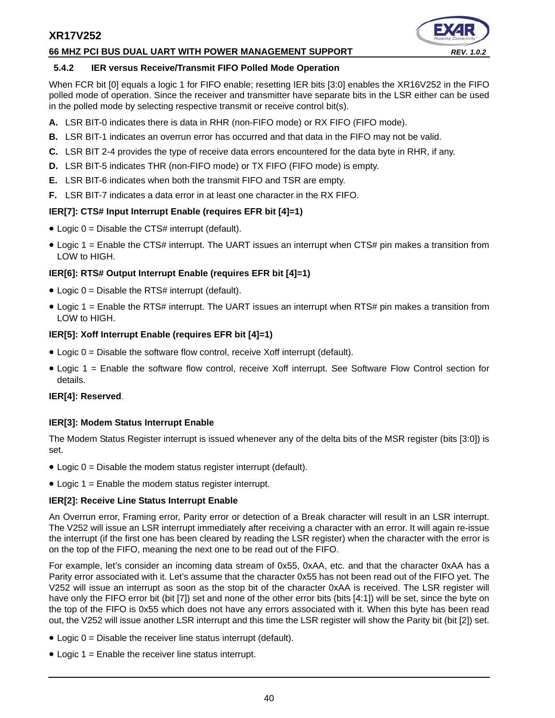#### **66 MHZ PCI BUS DUAL UART WITH POWER MANAGEMENT SUPPORT** *REV. 1.0.2*



#### <span id="page-39-0"></span>**5.4.2 IER versus Receive/Transmit FIFO Polled Mode Operation**

When FCR bit [0] equals a logic 1 for FIFO enable; resetting IER bits [3:0] enables the XR16V252 in the FIFO polled mode of operation. Since the receiver and transmitter have separate bits in the LSR either can be used in the polled mode by selecting respective transmit or receive control bit(s).

- **A.** LSR BIT-0 indicates there is data in RHR (non-FIFO mode) or RX FIFO (FIFO mode).
- **B.** LSR BIT-1 indicates an overrun error has occurred and that data in the FIFO may not be valid.
- **C.** LSR BIT 2-4 provides the type of receive data errors encountered for the data byte in RHR, if any.
- **D.** LSR BIT-5 indicates THR (non-FIFO mode) or TX FIFO (FIFO mode) is empty.
- **E.** LSR BIT-6 indicates when both the transmit FIFO and TSR are empty.
- **F.** LSR BIT-7 indicates a data error in at least one character in the RX FIFO.

#### **IER[7]: CTS# Input Interrupt Enable (requires EFR bit [4]=1)**

- Logic 0 = Disable the CTS# interrupt (default).
- Logic 1 = Enable the CTS# interrupt. The UART issues an interrupt when CTS# pin makes a transition from LOW to HIGH.

#### **IER[6]: RTS# Output Interrupt Enable (requires EFR bit [4]=1)**

- $\bullet$  Logic 0 = Disable the RTS# interrupt (default).
- Logic 1 = Enable the RTS# interrupt. The UART issues an interrupt when RTS# pin makes a transition from LOW to HIGH.

#### **IER[5]: Xoff Interrupt Enable (requires EFR bit [4]=1)**

- $\bullet$  Logic 0 = Disable the software flow control, receive Xoff interrupt (default).
- Logic 1 = Enable the software flow control, receive Xoff interrupt. See Software Flow Control section for details.

#### **IER[4]: Reserved**.

#### **IER[3]: Modem Status Interrupt Enable**

The Modem Status Register interrupt is issued whenever any of the delta bits of the MSR register (bits [3:0]) is set.

- Logic 0 = Disable the modem status register interrupt (default).
- Logic 1 = Enable the modem status register interrupt.

#### **IER[2]: Receive Line Status Interrupt Enable**

An Overrun error, Framing error, Parity error or detection of a Break character will result in an LSR interrupt. The V252 will issue an LSR interrupt immediately after receiving a character with an error. It will again re-issue the interrupt (if the first one has been cleared by reading the LSR register) when the character with the error is on the top of the FIFO, meaning the next one to be read out of the FIFO.

For example, let's consider an incoming data stream of 0x55, 0xAA, etc. and that the character 0xAA has a Parity error associated with it. Let's assume that the character 0x55 has not been read out of the FIFO yet. The V252 will issue an interrupt as soon as the stop bit of the character 0xAA is received. The LSR register will have only the FIFO error bit (bit [7]) set and none of the other error bits (bits [4:1]) will be set, since the byte on the top of the FIFO is 0x55 which does not have any errors associated with it. When this byte has been read out, the V252 will issue another LSR interrupt and this time the LSR register will show the Parity bit (bit [2]) set.

- Logic 0 = Disable the receiver line status interrupt (default).
- Logic 1 = Enable the receiver line status interrupt.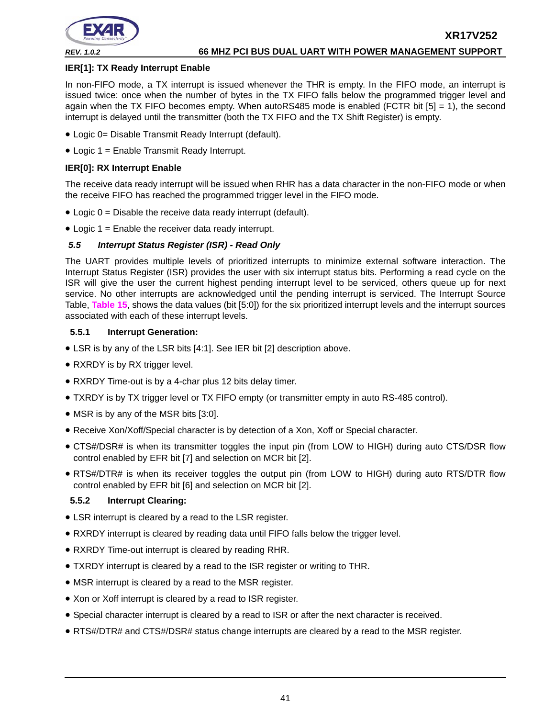

#### **IER[1]: TX Ready Interrupt Enable**

In non-FIFO mode, a TX interrupt is issued whenever the THR is empty. In the FIFO mode, an interrupt is issued twice: once when the number of bytes in the TX FIFO falls below the programmed trigger level and again when the TX FIFO becomes empty. When autoRS485 mode is enabled (FCTR bit  $[5] = 1$ ), the second interrupt is delayed until the transmitter (both the TX FIFO and the TX Shift Register) is empty.

- Logic 0= Disable Transmit Ready Interrupt (default).
- Logic 1 = Enable Transmit Ready Interrupt.

#### **IER[0]: RX Interrupt Enable**

The receive data ready interrupt will be issued when RHR has a data character in the non-FIFO mode or when the receive FIFO has reached the programmed trigger level in the FIFO mode.

- $\bullet$  Logic  $0 =$  Disable the receive data ready interrupt (default).
- Logic 1 = Enable the receiver data ready interrupt.

#### <span id="page-40-2"></span>*5.5 Interrupt Status Register (ISR) - Read Only*

The UART provides multiple levels of prioritized interrupts to minimize external software interaction. The Interrupt Status Register (ISR) provides the user with six interrupt status bits. Performing a read cycle on the ISR will give the user the current highest pending interrupt level to be serviced, others queue up for next service. No other interrupts are acknowledged until the pending interrupt is serviced. The Interrupt Source Table, **[Table](#page-41-0) 15**, shows the data values (bit [5:0]) for the six prioritized interrupt levels and the interrupt sources associated with each of these interrupt levels.

#### <span id="page-40-0"></span>**5.5.1 Interrupt Generation:**

- LSR is by any of the LSR bits [4:1]. See IER bit [2] description above.
- RXRDY is by RX trigger level.
- RXRDY Time-out is by a 4-char plus 12 bits delay timer.
- TXRDY is by TX trigger level or TX FIFO empty (or transmitter empty in auto RS-485 control).
- MSR is by any of the MSR bits [3:0].
- Receive Xon/Xoff/Special character is by detection of a Xon, Xoff or Special character.
- CTS#/DSR# is when its transmitter toggles the input pin (from LOW to HIGH) during auto CTS/DSR flow control enabled by EFR bit [7] and selection on MCR bit [2].
- RTS#/DTR# is when its receiver toggles the output pin (from LOW to HIGH) during auto RTS/DTR flow control enabled by EFR bit [6] and selection on MCR bit [2].

#### <span id="page-40-1"></span>**5.5.2 Interrupt Clearing:**

- LSR interrupt is cleared by a read to the LSR register.
- RXRDY interrupt is cleared by reading data until FIFO falls below the trigger level.
- RXRDY Time-out interrupt is cleared by reading RHR.
- TXRDY interrupt is cleared by a read to the ISR register or writing to THR.
- MSR interrupt is cleared by a read to the MSR register.
- Xon or Xoff interrupt is cleared by a read to ISR register.
- Special character interrupt is cleared by a read to ISR or after the next character is received.
- RTS#/DTR# and CTS#/DSR# status change interrupts are cleared by a read to the MSR register.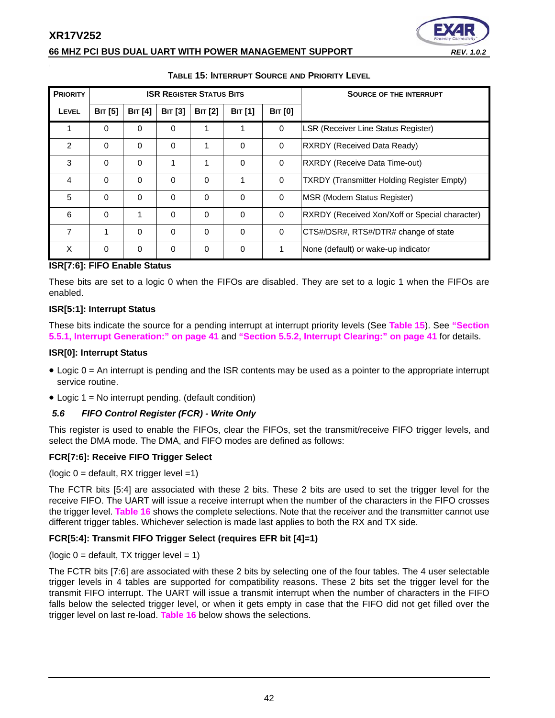#### **66 MHZ PCI BUS DUAL UART WITH POWER MANAGEMENT SUPPORT**

| <b>Powering Connectiv</b> |
|---------------------------|
| <b>REV. 1.0.2</b>         |

<span id="page-41-0"></span>

| <b>PRIORITY</b> |                |                |                | <b>ISR REGISTER STATUS BITS</b> |                | <b>SOURCE OF THE INTERRUPT</b> |                                                   |
|-----------------|----------------|----------------|----------------|---------------------------------|----------------|--------------------------------|---------------------------------------------------|
| <b>LEVEL</b>    | <b>BIT</b> [5] | <b>BIT</b> [4] | <b>BIT [3]</b> | <b>BIT</b> [2]                  | <b>BIT</b> [1] | <b>BIT [0]</b>                 |                                                   |
|                 | 0              | 0              | 0              | 1                               |                | 0                              | <b>LSR (Receiver Line Status Register)</b>        |
| $\mathfrak{p}$  | $\Omega$       | $\Omega$       | 0              | 1                               | $\Omega$       | $\Omega$                       | <b>RXRDY (Received Data Ready)</b>                |
| 3               | $\Omega$       | $\Omega$       | 1              | 1                               | $\Omega$       | 0                              | <b>RXRDY (Receive Data Time-out)</b>              |
| 4               | $\Omega$       | $\Omega$       | $\Omega$       | $\Omega$                        |                | 0                              | <b>TXRDY (Transmitter Holding Register Empty)</b> |
| 5               | $\Omega$       | $\Omega$       | 0              | $\Omega$                        | $\Omega$       | $\Omega$                       | <b>MSR (Modem Status Register)</b>                |
| 6               | $\Omega$       | 1              | $\Omega$       | $\Omega$                        | $\Omega$       | $\Omega$                       | RXRDY (Received Xon/Xoff or Special character)    |
| 7               | 1              | 0              | $\Omega$       | $\Omega$                        | $\Omega$       | $\Omega$                       | CTS#/DSR#, RTS#/DTR# change of state              |
| X               | $\Omega$       | $\mathbf 0$    | $\Omega$       | $\Omega$                        | $\Omega$       |                                | None (default) or wake-up indicator               |

#### **TABLE 15: INTERRUPT SOURCE AND PRIORITY LEVEL**

#### **ISR[7:6]: FIFO Enable Status**

These bits are set to a logic 0 when the FIFOs are disabled. They are set to a logic 1 when the FIFOs are enabled.

#### **ISR[5:1]: Interrupt Status**

These bits indicate the source for a pending interrupt at interrupt priority levels (See **[Table](#page-41-0) 15**). See **["Section](#page-40-0)  [5.5.1, Interrupt Generation:" on page](#page-40-0) 41** and **["Section 5.5.2, Interrupt Clearing:" on page](#page-40-1) 41** for details.

#### **ISR[0]: Interrupt Status**

- Logic 0 = An interrupt is pending and the ISR contents may be used as a pointer to the appropriate interrupt service routine.
- $\bullet$  Logic 1 = No interrupt pending. (default condition)

#### <span id="page-41-1"></span>*5.6 FIFO Control Register (FCR) - Write Only*

This register is used to enable the FIFOs, clear the FIFOs, set the transmit/receive FIFO trigger levels, and select the DMA mode. The DMA, and FIFO modes are defined as follows:

#### **FCR[7:6]: Receive FIFO Trigger Select**

( $logic 0 = default$ , RX trigger level =1)

The FCTR bits [5:4] are associated with these 2 bits. These 2 bits are used to set the trigger level for the receive FIFO. The UART will issue a receive interrupt when the number of the characters in the FIFO crosses the trigger level. **[Table](#page-43-0) 16** shows the complete selections. Note that the receiver and the transmitter cannot use different trigger tables. Whichever selection is made last applies to both the RX and TX side.

#### **FCR[5:4]: Transmit FIFO Trigger Select (requires EFR bit [4]=1)**

#### (logic  $0 =$  default, TX trigger level = 1)

The FCTR bits [7:6] are associated with these 2 bits by selecting one of the four tables. The 4 user selectable trigger levels in 4 tables are supported for compatibility reasons. These 2 bits set the trigger level for the transmit FIFO interrupt. The UART will issue a transmit interrupt when the number of characters in the FIFO falls below the selected trigger level, or when it gets empty in case that the FIFO did not get filled over the trigger level on last re-load. **[Table](#page-43-0) 16** below shows the selections.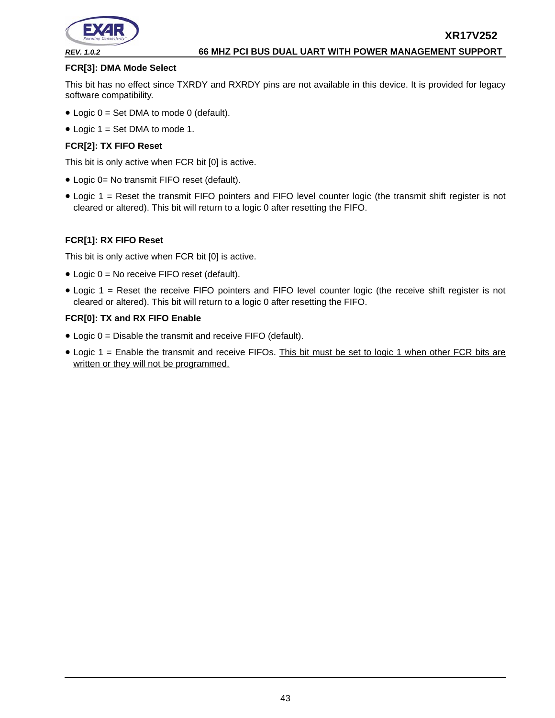

#### **FCR[3]: DMA Mode Select**

This bit has no effect since TXRDY and RXRDY pins are not available in this device. It is provided for legacy software compatibility.

- Logic  $0 = Set$  DMA to mode 0 (default).
- Logic  $1 = Set$  DMA to mode 1.

#### **FCR[2]: TX FIFO Reset**

This bit is only active when FCR bit [0] is active.

- Logic 0= No transmit FIFO reset (default).
- Logic 1 = Reset the transmit FIFO pointers and FIFO level counter logic (the transmit shift register is not cleared or altered). This bit will return to a logic 0 after resetting the FIFO.

#### **FCR[1]: RX FIFO Reset**

This bit is only active when FCR bit [0] is active.

- Logic 0 = No receive FIFO reset (default).
- Logic 1 = Reset the receive FIFO pointers and FIFO level counter logic (the receive shift register is not cleared or altered). This bit will return to a logic 0 after resetting the FIFO.

#### **FCR[0]: TX and RX FIFO Enable**

- Logic 0 = Disable the transmit and receive FIFO (default).
- Logic 1 = Enable the transmit and receive FIFOs. This bit must be set to logic 1 when other FCR bits are written or they will not be programmed.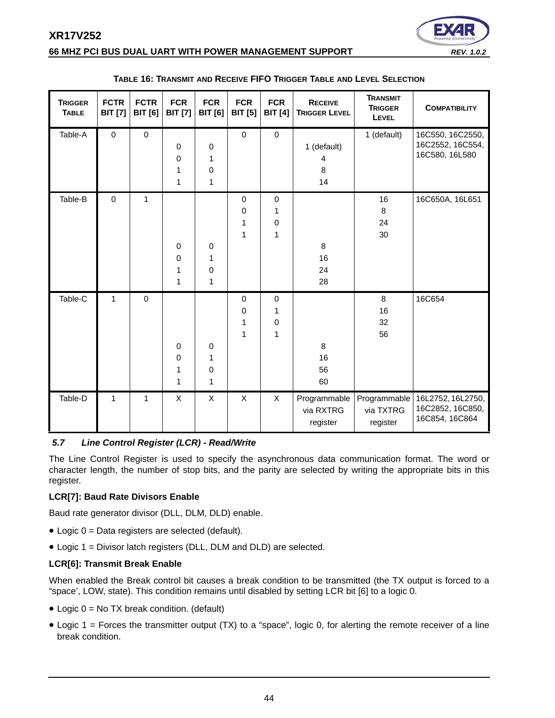

#### **66 MHZ PCI BUS DUAL UART WITH POWER MANAGEMENT SUPPORT** *REV. 1.0.2*

<span id="page-43-0"></span>

| <b>TRIGGER</b><br><b>TABLE</b> | <b>FCTR</b><br><b>BIT</b> [7] | <b>FCTR</b><br><b>BIT</b> [6] | <b>FCR</b><br><b>BIT</b> [7] | <b>FCR</b><br><b>BIT</b> [6]          | <b>FCR</b><br><b>BIT [5]</b> | <b>FCR</b><br><b>BIT</b> [4] | <b>RECEIVE</b><br><b>TRIGGER LEVEL</b> | <b>TRANSMIT</b><br><b>TRIGGER</b><br>LEVEL | <b>COMPATIBILITY</b>                                    |
|--------------------------------|-------------------------------|-------------------------------|------------------------------|---------------------------------------|------------------------------|------------------------------|----------------------------------------|--------------------------------------------|---------------------------------------------------------|
| Table-A                        | $\pmb{0}$                     | $\mathbf 0$                   | 0<br>0<br>1<br>1             | 0<br>1<br>0<br>1                      | $\mathsf{O}\xspace$          | $\pmb{0}$                    | 1 (default)<br>4<br>8<br>14            | 1 (default)                                | 16C550, 16C2550,<br>16C2552, 16C554,<br>16C580, 16L580  |
| Table-B                        | $\mathbf 0$                   | 1                             | 0<br>0<br>1<br>$\mathbf{1}$  | $\mathbf 0$<br>1<br>0<br>$\mathbf{1}$ | 0<br>0<br>1<br>1             | 0<br>1<br>0<br>1             | 8<br>16<br>24<br>28                    | 16<br>$\,8\,$<br>24<br>30                  | 16C650A, 16L651                                         |
| Table-C                        | 1                             | $\boldsymbol{0}$              | 0<br>0<br>1<br>1             | 0<br>1<br>0<br>1                      | 0<br>0<br>1<br>1             | $\pmb{0}$<br>1<br>0<br>1     | 8<br>16<br>56<br>60                    | 8<br>16<br>32<br>56                        | 16C654                                                  |
| Table-D                        | 1                             | $\mathbf{1}$                  | X                            | X                                     | X                            | X                            | Programmable<br>via RXTRG<br>register  | Programmable<br>via TXTRG<br>register      | 16L2752, 16L2750,<br>16C2852, 16C850,<br>16C854, 16C864 |

#### **TABLE 16: TRANSMIT AND RECEIVE FIFO TRIGGER TABLE AND LEVEL SELECTION**

## <span id="page-43-1"></span>*5.7 Line Control Register (LCR) - Read/Write*

The Line Control Register is used to specify the asynchronous data communication format. The word or character length, the number of stop bits, and the parity are selected by writing the appropriate bits in this register.

#### **LCR[7]: Baud Rate Divisors Enable**

Baud rate generator divisor (DLL, DLM, DLD) enable.

- Logic 0 = Data registers are selected (default).
- Logic 1 = Divisor latch registers (DLL, DLM and DLD) are selected.

#### **LCR[6]: Transmit Break Enable**

When enabled the Break control bit causes a break condition to be transmitted (the TX output is forced to a "space', LOW, state). This condition remains until disabled by setting LCR bit [6] to a logic 0.

- Logic 0 = No TX break condition. (default)
- Logic 1 = Forces the transmitter output (TX) to a "space", logic 0, for alerting the remote receiver of a line break condition.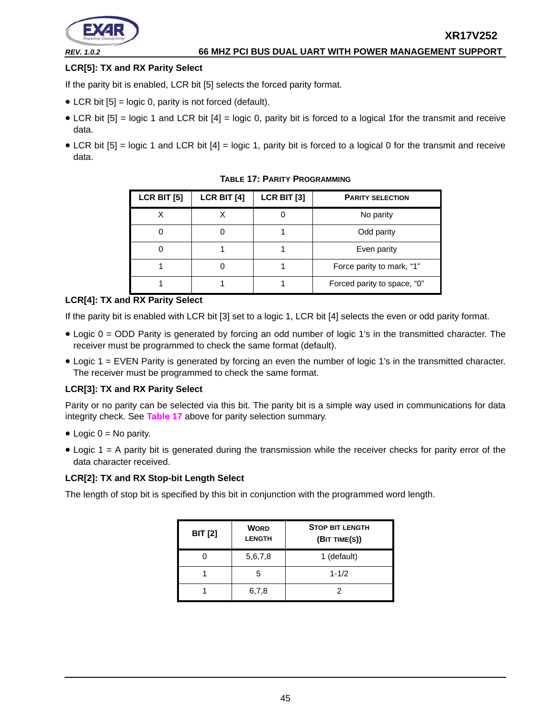

#### **LCR[5]: TX and RX Parity Select**

If the parity bit is enabled, LCR bit [5] selects the forced parity format.

- LCR bit  $[5]$  = logic 0, parity is not forced (default).
- LCR bit [5] = logic 1 and LCR bit [4] = logic 0, parity bit is forced to a logical 1for the transmit and receive data.
- <span id="page-44-0"></span>• LCR bit [5] = logic 1 and LCR bit [4] = logic 1, parity bit is forced to a logical 0 for the transmit and receive data.

| <b>LCR BIT [5]</b> | LCR BIT [4] | LCR BIT [3] | <b>PARITY SELECTION</b>     |
|--------------------|-------------|-------------|-----------------------------|
| X                  |             |             | No parity                   |
|                    |             |             | Odd parity                  |
|                    |             |             | Even parity                 |
|                    |             |             | Force parity to mark, "1"   |
|                    |             |             | Forced parity to space, "0" |

**TABLE 17: PARITY PROGRAMMING**

#### **LCR[4]: TX and RX Parity Select**

If the parity bit is enabled with LCR bit [3] set to a logic 1, LCR bit [4] selects the even or odd parity format.

- Logic 0 = ODD Parity is generated by forcing an odd number of logic 1's in the transmitted character. The receiver must be programmed to check the same format (default).
- Logic 1 = EVEN Parity is generated by forcing an even the number of logic 1's in the transmitted character. The receiver must be programmed to check the same format.

#### **LCR[3]: TX and RX Parity Select**

Parity or no parity can be selected via this bit. The parity bit is a simple way used in communications for data integrity check. See **[Table](#page-44-0) 17** above for parity selection summary.

- $\bullet$  Logic 0 = No parity.
- Logic 1 = A parity bit is generated during the transmission while the receiver checks for parity error of the data character received.

#### **LCR[2]: TX and RX Stop-bit Length Select**

The length of stop bit is specified by this bit in conjunction with the programmed word length.

| <b>BIT [2]</b> | <b>WORD</b><br><b>LENGTH</b> | <b>STOP BIT LENGTH</b><br>(BIT TIME(S)) |  |  |
|----------------|------------------------------|-----------------------------------------|--|--|
|                | 5,6,7,8                      | 1 (default)                             |  |  |
|                | 5                            | $1 - 1/2$                               |  |  |
|                | 6,7,8                        | 2                                       |  |  |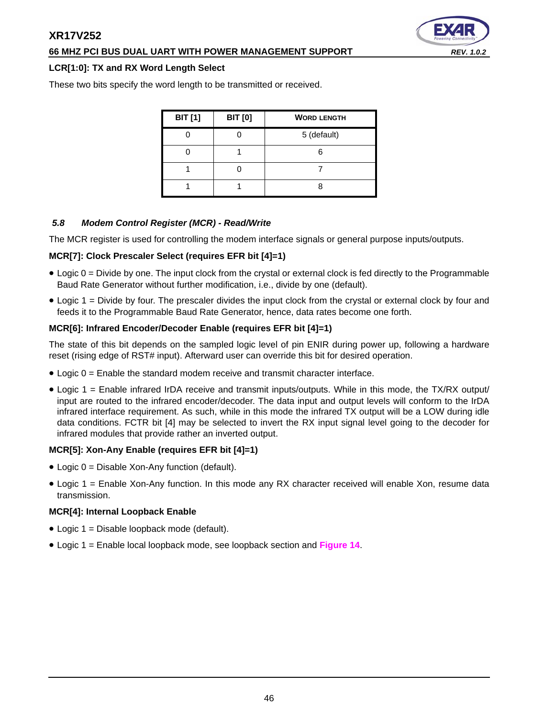#### **66 MHZ PCI BUS DUAL UART WITH POWER MANAGEMENT SUPPORT** *REV. 1.0.2*

#### **LCR[1:0]: TX and RX Word Length Select**

These two bits specify the word length to be transmitted or received.

| <b>BIT</b> [1] | <b>BIT [0]</b> | <b>WORD LENGTH</b> |
|----------------|----------------|--------------------|
|                |                | 5 (default)        |
|                |                |                    |
|                |                |                    |
|                |                |                    |

#### <span id="page-45-0"></span>*5.8 Modem Control Register (MCR) - Read/Write*

The MCR register is used for controlling the modem interface signals or general purpose inputs/outputs.

#### **MCR[7]: Clock Prescaler Select (requires EFR bit [4]=1)**

- Logic 0 = Divide by one. The input clock from the crystal or external clock is fed directly to the Programmable Baud Rate Generator without further modification, i.e., divide by one (default).
- Logic 1 = Divide by four. The prescaler divides the input clock from the crystal or external clock by four and feeds it to the Programmable Baud Rate Generator, hence, data rates become one forth.

#### **MCR[6]: Infrared Encoder/Decoder Enable (requires EFR bit [4]=1)**

The state of this bit depends on the sampled logic level of pin ENIR during power up, following a hardware reset (rising edge of RST# input). Afterward user can override this bit for desired operation.

- Logic 0 = Enable the standard modem receive and transmit character interface.
- Logic 1 = Enable infrared IrDA receive and transmit inputs/outputs. While in this mode, the TX/RX output/ input are routed to the infrared encoder/decoder. The data input and output levels will conform to the IrDA infrared interface requirement. As such, while in this mode the infrared TX output will be a LOW during idle data conditions. FCTR bit [4] may be selected to invert the RX input signal level going to the decoder for infrared modules that provide rather an inverted output.

#### **MCR[5]: Xon-Any Enable (requires EFR bit [4]=1)**

- Logic 0 = Disable Xon-Any function (default).
- Logic 1 = Enable Xon-Any function. In this mode any RX character received will enable Xon, resume data transmission.

#### **MCR[4]: Internal Loopback Enable**

- Logic 1 = Disable loopback mode (default).
- Logic 1 = Enable local loopback mode, see loopback section and **[Figure](#page-32-0) 14**.

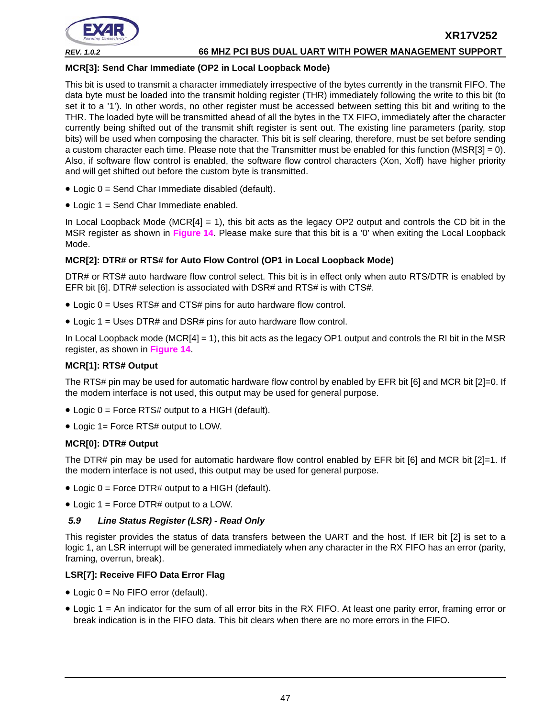

#### **MCR[3]: Send Char Immediate (OP2 in Local Loopback Mode)**

This bit is used to transmit a character immediately irrespective of the bytes currently in the transmit FIFO. The data byte must be loaded into the transmit holding register (THR) immediately following the write to this bit (to set it to a '1'). In other words, no other register must be accessed between setting this bit and writing to the THR. The loaded byte will be transmitted ahead of all the bytes in the TX FIFO, immediately after the character currently being shifted out of the transmit shift register is sent out. The existing line parameters (parity, stop bits) will be used when composing the character. This bit is self clearing, therefore, must be set before sending a custom character each time. Please note that the Transmitter must be enabled for this function (MSR[3] = 0). Also, if software flow control is enabled, the software flow control characters (Xon, Xoff) have higher priority and will get shifted out before the custom byte is transmitted.

- Logic 0 = Send Char Immediate disabled (default).
- Logic 1 = Send Char Immediate enabled.

In Local Loopback Mode ( $MCR[4] = 1$ ), this bit acts as the legacy OP2 output and controls the CD bit in the MSR register as shown in **[Figure](#page-32-0) 14**. Please make sure that this bit is a '0' when exiting the Local Loopback Mode.

#### **MCR[2]: DTR# or RTS# for Auto Flow Control (OP1 in Local Loopback Mode)**

DTR# or RTS# auto hardware flow control select. This bit is in effect only when auto RTS/DTR is enabled by EFR bit [6]. DTR# selection is associated with DSR# and RTS# is with CTS#.

- Logic 0 = Uses RTS# and CTS# pins for auto hardware flow control.
- Logic 1 = Uses DTR# and DSR# pins for auto hardware flow control.

In Local Loopback mode (MCR[4] = 1), this bit acts as the legacy OP1 output and controls the RI bit in the MSR register, as shown in **[Figure](#page-32-0) 14**.

#### **MCR[1]: RTS# Output**

The RTS# pin may be used for automatic hardware flow control by enabled by EFR bit [6] and MCR bit [2]=0. If the modem interface is not used, this output may be used for general purpose.

- Logic 0 = Force RTS# output to a HIGH (default).
- Logic 1= Force RTS# output to LOW.

#### **MCR[0]: DTR# Output**

The DTR# pin may be used for automatic hardware flow control enabled by EFR bit [6] and MCR bit [2]=1. If the modem interface is not used, this output may be used for general purpose.

- Logic 0 = Force DTR# output to a HIGH (default).
- Logic 1 = Force DTR# output to a LOW.

#### <span id="page-46-0"></span>*5.9 Line Status Register (LSR) - Read Only*

This register provides the status of data transfers between the UART and the host. If IER bit [2] is set to a logic 1, an LSR interrupt will be generated immediately when any character in the RX FIFO has an error (parity, framing, overrun, break).

#### **LSR[7]: Receive FIFO Data Error Flag**

- Logic 0 = No FIFO error (default).
- Logic 1 = An indicator for the sum of all error bits in the RX FIFO. At least one parity error, framing error or break indication is in the FIFO data. This bit clears when there are no more errors in the FIFO.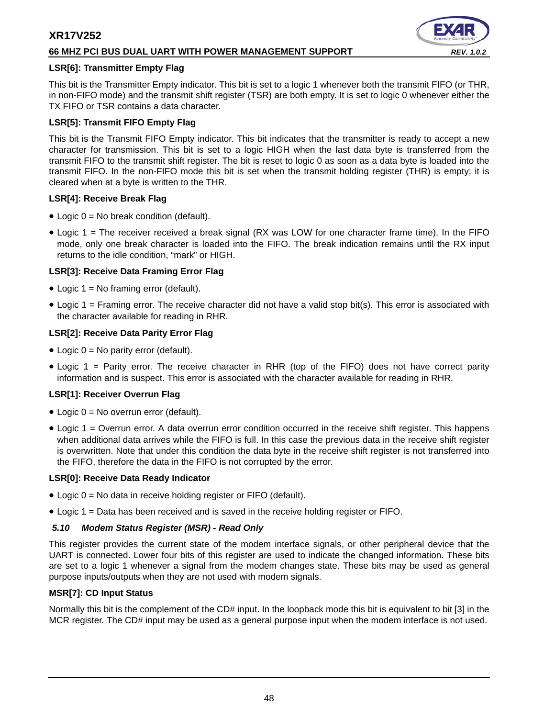#### **66 MHZ PCI BUS DUAL UART WITH POWER MANAGEMENT SUPPORT** *REV. 1.0.2*

#### **LSR[6]: Transmitter Empty Flag**

This bit is the Transmitter Empty indicator. This bit is set to a logic 1 whenever both the transmit FIFO (or THR, in non-FIFO mode) and the transmit shift register (TSR) are both empty. It is set to logic 0 whenever either the TX FIFO or TSR contains a data character.

#### **LSR[5]: Transmit FIFO Empty Flag**

This bit is the Transmit FIFO Empty indicator. This bit indicates that the transmitter is ready to accept a new character for transmission. This bit is set to a logic HIGH when the last data byte is transferred from the transmit FIFO to the transmit shift register. The bit is reset to logic 0 as soon as a data byte is loaded into the transmit FIFO. In the non-FIFO mode this bit is set when the transmit holding register (THR) is empty; it is cleared when at a byte is written to the THR.

#### **LSR[4]: Receive Break Flag**

- Logic 0 = No break condition (default).
- Logic 1 = The receiver received a break signal (RX was LOW for one character frame time). In the FIFO mode, only one break character is loaded into the FIFO. The break indication remains until the RX input returns to the idle condition, "mark" or HIGH.

#### **LSR[3]: Receive Data Framing Error Flag**

- Logic 1 = No framing error (default).
- $\bullet$  Logic 1 = Framing error. The receive character did not have a valid stop bit(s). This error is associated with the character available for reading in RHR.

#### **LSR[2]: Receive Data Parity Error Flag**

- Logic  $0 = No$  parity error (default).
- Logic 1 = Parity error. The receive character in RHR (top of the FIFO) does not have correct parity information and is suspect. This error is associated with the character available for reading in RHR.

#### **LSR[1]: Receiver Overrun Flag**

- Logic 0 = No overrun error (default).
- Logic 1 = Overrun error. A data overrun error condition occurred in the receive shift register. This happens when additional data arrives while the FIFO is full. In this case the previous data in the receive shift register is overwritten. Note that under this condition the data byte in the receive shift register is not transferred into the FIFO, therefore the data in the FIFO is not corrupted by the error.

#### **LSR[0]: Receive Data Ready Indicator**

- Logic 0 = No data in receive holding register or FIFO (default).
- Logic 1 = Data has been received and is saved in the receive holding register or FIFO.

#### <span id="page-47-0"></span>*5.10 Modem Status Register (MSR) - Read Only*

This register provides the current state of the modem interface signals, or other peripheral device that the UART is connected. Lower four bits of this register are used to indicate the changed information. These bits are set to a logic 1 whenever a signal from the modem changes state. These bits may be used as general purpose inputs/outputs when they are not used with modem signals.

#### **MSR[7]: CD Input Status**

Normally this bit is the complement of the CD# input. In the loopback mode this bit is equivalent to bit [3] in the MCR register. The CD# input may be used as a general purpose input when the modem interface is not used.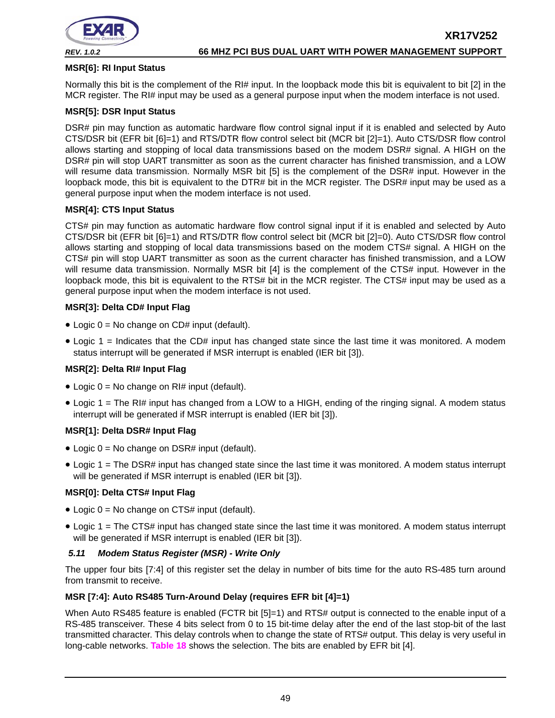

#### **MSR[6]: RI Input Status**

Normally this bit is the complement of the RI# input. In the loopback mode this bit is equivalent to bit [2] in the MCR register. The RI# input may be used as a general purpose input when the modem interface is not used.

#### **MSR[5]: DSR Input Status**

DSR# pin may function as automatic hardware flow control signal input if it is enabled and selected by Auto CTS/DSR bit (EFR bit [6]=1) and RTS/DTR flow control select bit (MCR bit [2]=1). Auto CTS/DSR flow control allows starting and stopping of local data transmissions based on the modem DSR# signal. A HIGH on the DSR# pin will stop UART transmitter as soon as the current character has finished transmission, and a LOW will resume data transmission. Normally MSR bit [5] is the complement of the DSR# input. However in the loopback mode, this bit is equivalent to the DTR# bit in the MCR register. The DSR# input may be used as a general purpose input when the modem interface is not used.

#### **MSR[4]: CTS Input Status**

CTS# pin may function as automatic hardware flow control signal input if it is enabled and selected by Auto CTS/DSR bit (EFR bit [6]=1) and RTS/DTR flow control select bit (MCR bit [2]=0). Auto CTS/DSR flow control allows starting and stopping of local data transmissions based on the modem CTS# signal. A HIGH on the CTS# pin will stop UART transmitter as soon as the current character has finished transmission, and a LOW will resume data transmission. Normally MSR bit [4] is the complement of the CTS# input. However in the loopback mode, this bit is equivalent to the RTS# bit in the MCR register. The CTS# input may be used as a general purpose input when the modem interface is not used.

#### **MSR[3]: Delta CD# Input Flag**

- Logic  $0 = No$  change on CD# input (default).
- Logic 1 = Indicates that the CD# input has changed state since the last time it was monitored. A modem status interrupt will be generated if MSR interrupt is enabled (IER bit [3]).

#### **MSR[2]: Delta RI# Input Flag**

- Logic  $0 = No$  change on RI# input (default).
- Logic 1 = The RI# input has changed from a LOW to a HIGH, ending of the ringing signal. A modem status interrupt will be generated if MSR interrupt is enabled (IER bit [3]).

#### **MSR[1]: Delta DSR# Input Flag**

- Logic  $0 = No$  change on DSR# input (default).
- Logic 1 = The DSR# input has changed state since the last time it was monitored. A modem status interrupt will be generated if MSR interrupt is enabled (IER bit [3]).

#### **MSR[0]: Delta CTS# Input Flag**

- Logic  $0 = No$  change on CTS# input (default).
- Logic 1 = The CTS# input has changed state since the last time it was monitored. A modem status interrupt will be generated if MSR interrupt is enabled (IER bit [3]).

#### <span id="page-48-0"></span>*5.11 Modem Status Register (MSR) - Write Only*

The upper four bits [7:4] of this register set the delay in number of bits time for the auto RS-485 turn around from transmit to receive.

#### **MSR [7:4]: Auto RS485 Turn-Around Delay (requires EFR bit [4]=1)**

When Auto RS485 feature is enabled (FCTR bit [5]=1) and RTS# output is connected to the enable input of a RS-485 transceiver. These 4 bits select from 0 to 15 bit-time delay after the end of the last stop-bit of the last transmitted character. This delay controls when to change the state of RTS# output. This delay is very useful in long-cable networks. **[Table](#page-49-0) 18** shows the selection. The bits are enabled by EFR bit [4].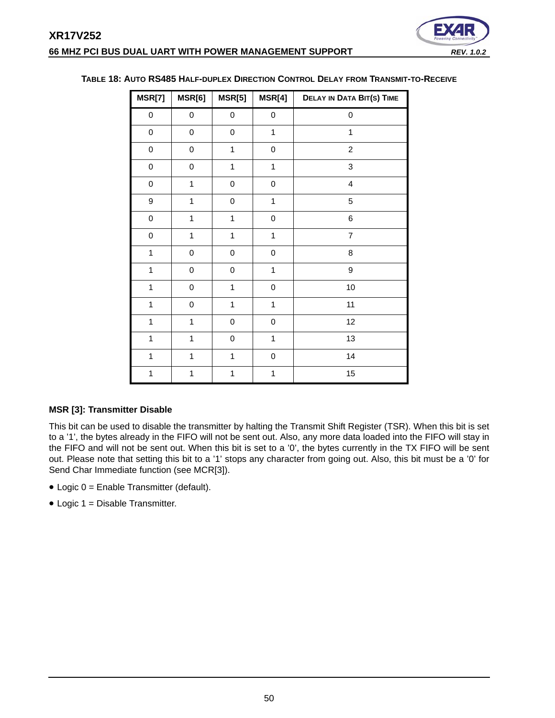

| MSR[7]       | MSR[6]       | MSR[5]       | MSR[4]       | <b>DELAY IN DATA BIT(S) TIME</b> |
|--------------|--------------|--------------|--------------|----------------------------------|
| 0            | 0            | 0            | 0            | 0                                |
| $\mathbf 0$  | 0            | $\mathbf 0$  | $\mathbf{1}$ | $\mathbf 1$                      |
| $\pmb{0}$    | $\pmb{0}$    | $\mathbf{1}$ | $\mathbf 0$  | $\overline{c}$                   |
| $\pmb{0}$    | $\mathbf 0$  | $\mathbf 1$  | $\mathbf{1}$ | 3                                |
| $\pmb{0}$    | $\mathbf{1}$ | 0            | 0            | $\overline{\mathbf{4}}$          |
| 9            | $\mathbf{1}$ | $\mathbf 0$  | $\mathbf{1}$ | 5                                |
| $\mathbf 0$  | $\mathbf{1}$ | $\mathbf{1}$ | $\pmb{0}$    | 6                                |
| $\mathbf 0$  | $\mathbf{1}$ | $\mathbf{1}$ | $\mathbf{1}$ | $\overline{7}$                   |
| $\mathbf{1}$ | $\mathbf 0$  | 0            | $\pmb{0}$    | 8                                |
| $\mathbf{1}$ | $\mathbf 0$  | 0            | $\mathbf{1}$ | 9                                |
| $\mathbf{1}$ | $\mathbf 0$  | $\mathbf{1}$ | $\mathbf 0$  | 10                               |
| $\mathbf{1}$ | 0            | $\mathbf{1}$ | $\mathbf{1}$ | 11                               |
| $\mathbf{1}$ | $\mathbf{1}$ | 0            | $\pmb{0}$    | 12                               |
| $\mathbf{1}$ | $\mathbf{1}$ | 0            | $\mathbf{1}$ | 13                               |
| $\mathbf{1}$ | $\mathbf{1}$ | $\mathbf{1}$ | $\pmb{0}$    | 14                               |
| $\mathbf{1}$ | $\mathbf{1}$ | 1            | 1            | 15                               |

#### <span id="page-49-0"></span>**TABLE 18: AUTO RS485 HALF-DUPLEX DIRECTION CONTROL DELAY FROM TRANSMIT-TO-RECEIVE**

#### **MSR [3]: Transmitter Disable**

This bit can be used to disable the transmitter by halting the Transmit Shift Register (TSR). When this bit is set to a '1', the bytes already in the FIFO will not be sent out. Also, any more data loaded into the FIFO will stay in the FIFO and will not be sent out. When this bit is set to a '0', the bytes currently in the TX FIFO will be sent out. Please note that setting this bit to a '1' stops any character from going out. Also, this bit must be a '0' for Send Char Immediate function (see MCR[3]).

- Logic 0 = Enable Transmitter (default).
- Logic 1 = Disable Transmitter.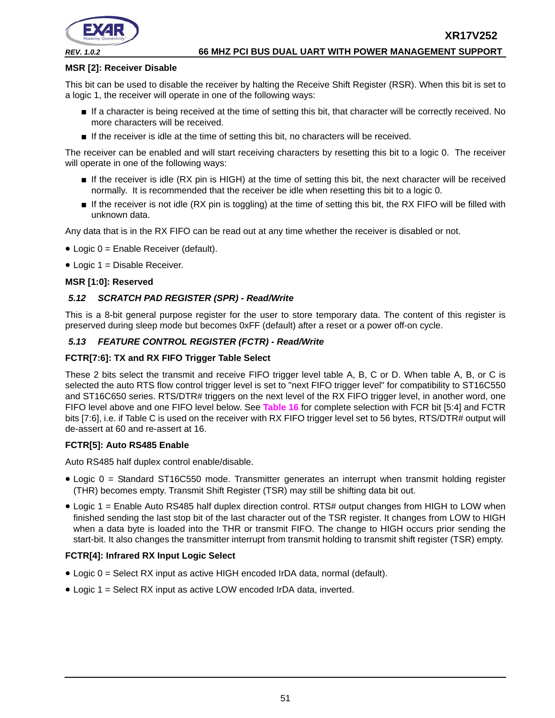



#### **MSR [2]: Receiver Disable**

This bit can be used to disable the receiver by halting the Receive Shift Register (RSR). When this bit is set to a logic 1, the receiver will operate in one of the following ways:

- If a character is being received at the time of setting this bit, that character will be correctly received. No more characters will be received.
- If the receiver is idle at the time of setting this bit, no characters will be received.

The receiver can be enabled and will start receiving characters by resetting this bit to a logic 0. The receiver will operate in one of the following ways:

- If the receiver is idle (RX pin is HIGH) at the time of setting this bit, the next character will be received normally. It is recommended that the receiver be idle when resetting this bit to a logic 0.
- If the receiver is not idle (RX pin is toggling) at the time of setting this bit, the RX FIFO will be filled with unknown data.

Any data that is in the RX FIFO can be read out at any time whether the receiver is disabled or not.

- Logic 0 = Enable Receiver (default).
- Logic 1 = Disable Receiver.

#### **MSR [1:0]: Reserved**

#### <span id="page-50-0"></span>*5.12 SCRATCH PAD REGISTER (SPR) - Read/Write*

This is a 8-bit general purpose register for the user to store temporary data. The content of this register is preserved during sleep mode but becomes 0xFF (default) after a reset or a power off-on cycle.

#### <span id="page-50-1"></span>*5.13 FEATURE CONTROL REGISTER (FCTR) - Read/Write*

#### **FCTR[7:6]: TX and RX FIFO Trigger Table Select**

These 2 bits select the transmit and receive FIFO trigger level table A, B, C or D. When table A, B, or C is selected the auto RTS flow control trigger level is set to "next FIFO trigger level" for compatibility to ST16C550 and ST16C650 series. RTS/DTR# triggers on the next level of the RX FIFO trigger level, in another word, one FIFO level above and one FIFO level below. See **[Table](#page-43-0) 16** for complete selection with FCR bit [5:4] and FCTR bits [7:6], i.e. if Table C is used on the receiver with RX FIFO trigger level set to 56 bytes, RTS/DTR# output will de-assert at 60 and re-assert at 16.

#### **FCTR[5]: Auto RS485 Enable**

Auto RS485 half duplex control enable/disable.

- Logic 0 = Standard ST16C550 mode. Transmitter generates an interrupt when transmit holding register (THR) becomes empty. Transmit Shift Register (TSR) may still be shifting data bit out.
- Logic 1 = Enable Auto RS485 half duplex direction control. RTS# output changes from HIGH to LOW when finished sending the last stop bit of the last character out of the TSR register. It changes from LOW to HIGH when a data byte is loaded into the THR or transmit FIFO. The change to HIGH occurs prior sending the start-bit. It also changes the transmitter interrupt from transmit holding to transmit shift register (TSR) empty.

## **FCTR[4]: Infrared RX Input Logic Select**

- Logic 0 = Select RX input as active HIGH encoded IrDA data, normal (default).
- Logic 1 = Select RX input as active LOW encoded IrDA data, inverted.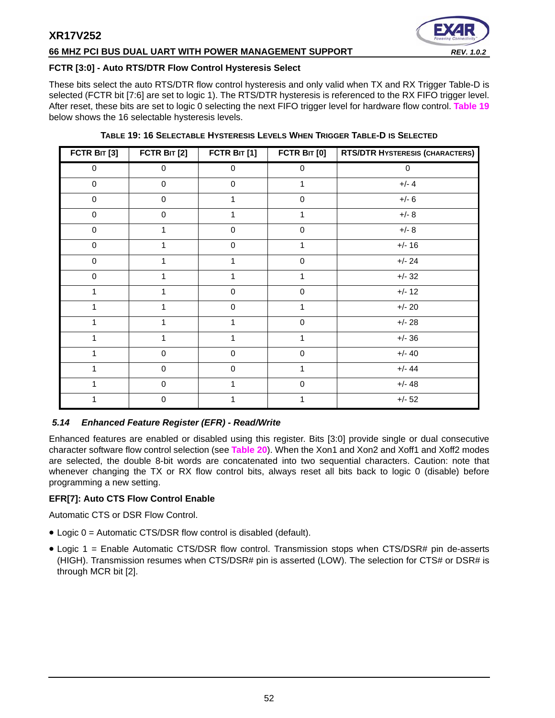#### **66 MHZ PCI BUS DUAL UART WITH POWER MANAGEMENT SUPPORT** *REV. 1.0.2*



#### **FCTR [3:0] - Auto RTS/DTR Flow Control Hysteresis Select**

These bits select the auto RTS/DTR flow control hysteresis and only valid when TX and RX Trigger Table-D is selected (FCTR bit [7:6] are set to logic 1). The RTS/DTR hysteresis is referenced to the RX FIFO trigger level. After reset, these bits are set to logic 0 selecting the next FIFO trigger level for hardware flow control. **[Table](#page-51-0) 19** below shows the 16 selectable hysteresis levels.

<span id="page-51-0"></span>

| FCTR BIT [3] | FCTR BIT [2] | FCTR BIT [1] | FCTR BIT [0]        | RTS/DTR HYSTERESIS (CHARACTERS) |
|--------------|--------------|--------------|---------------------|---------------------------------|
| 0            | 0            | $\mathbf 0$  | 0                   | 0                               |
| $\pmb{0}$    | $\pmb{0}$    | $\mathbf 0$  | 1                   | $+/- 4$                         |
| $\pmb{0}$    | $\pmb{0}$    | 1            | $\pmb{0}$           | $+/- 6$                         |
| 0            | $\pmb{0}$    |              | 1                   | $+/- 8$                         |
| $\pmb{0}$    | $\mathbf{1}$ | $\mathsf 0$  | $\mathsf{O}\xspace$ | $+/- 8$                         |
| $\pmb{0}$    | $\mathbf{1}$ | $\pmb{0}$    | 1                   | $+/- 16$                        |
| 0            | $\mathbf{1}$ | 1            | $\mathbf 0$         | $+/- 24$                        |
| 0            | $\mathbf{1}$ | 1            | 1                   | $+/- 32$                        |
| 1            | $\mathbf{1}$ | $\pmb{0}$    | $\pmb{0}$           | $+/- 12$                        |
|              | 1            | $\mathbf 0$  | 1                   | $+/- 20$                        |
| 1            | $\mathbf{1}$ | 1            | $\mathsf{O}\xspace$ | $+/- 28$                        |
| 1            | $\mathbf{1}$ | $\mathbf{1}$ | $\mathbf{1}$        | $+/- 36$                        |
|              | $\pmb{0}$    | $\mathbf 0$  | $\mathbf 0$         | $+/- 40$                        |
|              | $\pmb{0}$    | $\mathbf 0$  | 1                   | $+/- 44$                        |
|              | $\pmb{0}$    | 1            | $\pmb{0}$           | $+/- 48$                        |
|              | $\pmb{0}$    |              | 1                   | $+/- 52$                        |

**TABLE 19: 16 SELECTABLE HYSTERESIS LEVELS WHEN TRIGGER TABLE-D IS SELECTED**

#### <span id="page-51-1"></span>*5.14 Enhanced Feature Register (EFR) - Read/Write*

Enhanced features are enabled or disabled using this register. Bits [3:0] provide single or dual consecutive character software flow control selection (see **[Table](#page-53-0) 20**). When the Xon1 and Xon2 and Xoff1 and Xoff2 modes are selected, the double 8-bit words are concatenated into two sequential characters. Caution: note that whenever changing the TX or RX flow control bits, always reset all bits back to logic 0 (disable) before programming a new setting.

### **EFR[7]: Auto CTS Flow Control Enable**

Automatic CTS or DSR Flow Control.

- Logic 0 = Automatic CTS/DSR flow control is disabled (default).
- Logic 1 = Enable Automatic CTS/DSR flow control. Transmission stops when CTS/DSR# pin de-asserts (HIGH). Transmission resumes when CTS/DSR# pin is asserted (LOW). The selection for CTS# or DSR# is through MCR bit [2].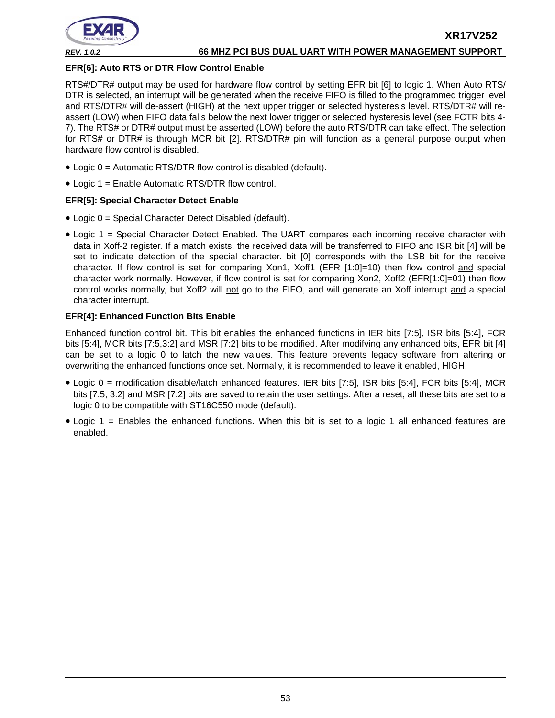

#### **EFR[6]: Auto RTS or DTR Flow Control Enable**

RTS#/DTR# output may be used for hardware flow control by setting EFR bit [6] to logic 1. When Auto RTS/ DTR is selected, an interrupt will be generated when the receive FIFO is filled to the programmed trigger level and RTS/DTR# will de-assert (HIGH) at the next upper trigger or selected hysteresis level. RTS/DTR# will reassert (LOW) when FIFO data falls below the next lower trigger or selected hysteresis level (see FCTR bits 4- 7). The RTS# or DTR# output must be asserted (LOW) before the auto RTS/DTR can take effect. The selection for RTS# or DTR# is through MCR bit [2]. RTS/DTR# pin will function as a general purpose output when hardware flow control is disabled.

- Logic 0 = Automatic RTS/DTR flow control is disabled (default).
- Logic 1 = Enable Automatic RTS/DTR flow control.

#### **EFR[5]: Special Character Detect Enable**

- Logic 0 = Special Character Detect Disabled (default).
- Logic 1 = Special Character Detect Enabled. The UART compares each incoming receive character with data in Xoff-2 register. If a match exists, the received data will be transferred to FIFO and ISR bit [4] will be set to indicate detection of the special character. bit [0] corresponds with the LSB bit for the receive character. If flow control is set for comparing Xon1, Xoff1 (EFR [1:0]=10) then flow control and special character work normally. However, if flow control is set for comparing Xon2, Xoff2 (EFR[1:0]=01) then flow control works normally, but Xoff2 will not go to the FIFO, and will generate an Xoff interrupt and a special character interrupt.

#### **EFR[4]: Enhanced Function Bits Enable**

Enhanced function control bit. This bit enables the enhanced functions in IER bits [7:5], ISR bits [5:4], FCR bits [5:4], MCR bits [7:5,3:2] and MSR [7:2] bits to be modified. After modifying any enhanced bits, EFR bit [4] can be set to a logic 0 to latch the new values. This feature prevents legacy software from altering or overwriting the enhanced functions once set. Normally, it is recommended to leave it enabled, HIGH.

- Logic 0 = modification disable/latch enhanced features. IER bits [7:5], ISR bits [5:4], FCR bits [5:4], MCR bits [7:5, 3:2] and MSR [7:2] bits are saved to retain the user settings. After a reset, all these bits are set to a logic 0 to be compatible with ST16C550 mode (default).
- Logic 1 = Enables the enhanced functions. When this bit is set to a logic 1 all enhanced features are enabled.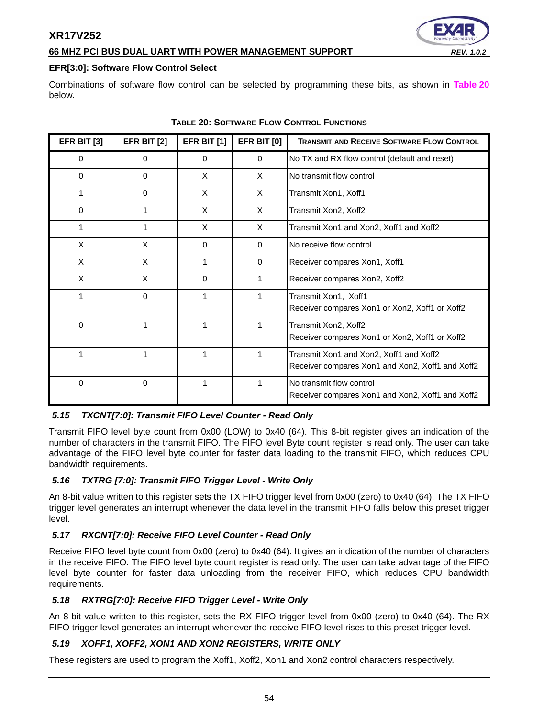#### **66 MHZ PCI BUS DUAL UART WITH POWER MANAGEMENT SUPPORT** *REV. 1.0.2*

#### **EFR[3:0]: Software Flow Control Select**

Combinations of software flow control can be selected by programming these bits, as shown in **[Table](#page-53-0) 20** below.

<span id="page-53-0"></span>

| <b>EFR BIT [3]</b> | <b>EFR BIT [2]</b> | <b>EFR BIT [1]</b> | <b>EFR BIT [0]</b> | <b>TRANSMIT AND RECEIVE SOFTWARE FLOW CONTROL</b>                                           |
|--------------------|--------------------|--------------------|--------------------|---------------------------------------------------------------------------------------------|
| 0                  | $\Omega$           | $\Omega$           | $\Omega$           | No TX and RX flow control (default and reset)                                               |
| 0                  | 0                  | X                  | X                  | No transmit flow control                                                                    |
| 1                  | 0                  | X                  | X                  | Transmit Xon1, Xoff1                                                                        |
| 0                  | 1                  | X                  | X                  | Transmit Xon2, Xoff2                                                                        |
| 1                  | 1                  | X                  | X                  | Transmit Xon1 and Xon2, Xoff1 and Xoff2                                                     |
| X                  | X                  | $\Omega$           | $\Omega$           | No receive flow control                                                                     |
| X                  | X                  |                    | $\Omega$           | Receiver compares Xon1, Xoff1                                                               |
| X                  | X                  | 0                  | 1                  | Receiver compares Xon2, Xoff2                                                               |
|                    | 0                  | 1                  | 1                  | Transmit Xon1, Xoff1<br>Receiver compares Xon1 or Xon2, Xoff1 or Xoff2                      |
| $\Omega$           | 1                  | 1                  | 1                  | Transmit Xon2, Xoff2<br>Receiver compares Xon1 or Xon2, Xoff1 or Xoff2                      |
|                    | 1                  | 1                  | 1                  | Transmit Xon1 and Xon2, Xoff1 and Xoff2<br>Receiver compares Xon1 and Xon2, Xoff1 and Xoff2 |
| 0                  | 0                  |                    | 1                  | No transmit flow control<br>Receiver compares Xon1 and Xon2, Xoff1 and Xoff2                |

#### **TABLE 20: SOFTWARE FLOW CONTROL FUNCTIONS**

#### <span id="page-53-1"></span>*5.15 TXCNT[7:0]: Transmit FIFO Level Counter - Read Only*

Transmit FIFO level byte count from 0x00 (LOW) to 0x40 (64). This 8-bit register gives an indication of the number of characters in the transmit FIFO. The FIFO level Byte count register is read only. The user can take advantage of the FIFO level byte counter for faster data loading to the transmit FIFO, which reduces CPU bandwidth requirements.

#### <span id="page-53-2"></span>*5.16 TXTRG [7:0]: Transmit FIFO Trigger Level - Write Only*

An 8-bit value written to this register sets the TX FIFO trigger level from 0x00 (zero) to 0x40 (64). The TX FIFO trigger level generates an interrupt whenever the data level in the transmit FIFO falls below this preset trigger level.

#### <span id="page-53-3"></span>*5.17 RXCNT[7:0]: Receive FIFO Level Counter - Read Only*

Receive FIFO level byte count from 0x00 (zero) to 0x40 (64). It gives an indication of the number of characters in the receive FIFO. The FIFO level byte count register is read only. The user can take advantage of the FIFO level byte counter for faster data unloading from the receiver FIFO, which reduces CPU bandwidth requirements.

#### <span id="page-53-4"></span>*5.18 RXTRG[7:0]: Receive FIFO Trigger Level - Write Only*

An 8-bit value written to this register, sets the RX FIFO trigger level from 0x00 (zero) to 0x40 (64). The RX FIFO trigger level generates an interrupt whenever the receive FIFO level rises to this preset trigger level.

#### <span id="page-53-5"></span>*5.19 XOFF1, XOFF2, XON1 AND XON2 REGISTERS, WRITE ONLY*

These registers are used to program the Xoff1, Xoff2, Xon1 and Xon2 control characters respectively.

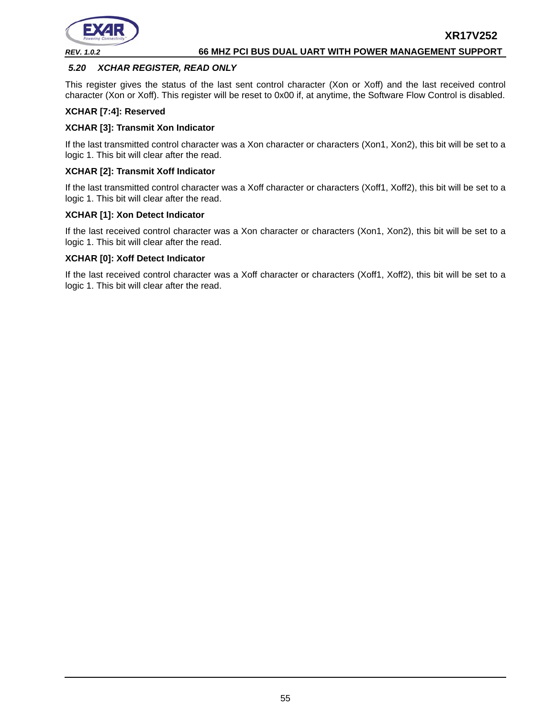

#### <span id="page-54-0"></span>*5.20 XCHAR REGISTER, READ ONLY*

This register gives the status of the last sent control character (Xon or Xoff) and the last received control character (Xon or Xoff). This register will be reset to 0x00 if, at anytime, the Software Flow Control is disabled.

#### **XCHAR [7:4]: Reserved**

#### **XCHAR [3]: Transmit Xon Indicator**

If the last transmitted control character was a Xon character or characters (Xon1, Xon2), this bit will be set to a logic 1. This bit will clear after the read.

#### **XCHAR [2]: Transmit Xoff Indicator**

If the last transmitted control character was a Xoff character or characters (Xoff1, Xoff2), this bit will be set to a logic 1. This bit will clear after the read.

#### **XCHAR [1]: Xon Detect Indicator**

If the last received control character was a Xon character or characters (Xon1, Xon2), this bit will be set to a logic 1. This bit will clear after the read.

#### **XCHAR [0]: Xoff Detect Indicator**

If the last received control character was a Xoff character or characters (Xoff1, Xoff2), this bit will be set to a logic 1. This bit will clear after the read.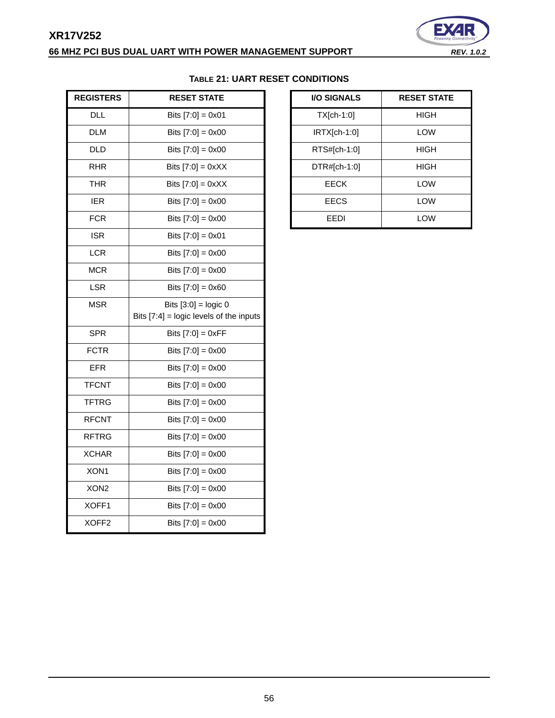# **XR17V252 66 MHZ PCI BUS DUAL UART WITH POWER MANAGEMENT SUPPORT** *REV. 1.0.2*



<span id="page-55-0"></span>

| <b>REGISTERS</b>  | <b>RESET STATE</b>                        | I/O SIGNALS    | <b>RESET STATE</b> |
|-------------------|-------------------------------------------|----------------|--------------------|
| <b>DLL</b>        | Bits $[7:0] = 0 \times 01$                | $TX[ch-1:0]$   | <b>HIGH</b>        |
| <b>DLM</b>        | Bits $[7:0] = 0 \times 00$                | $IRTX[ch-1:0]$ | LOW                |
| <b>DLD</b>        | Bits $[7:0] = 0 \times 00$                | RTS#[ch-1:0]   | <b>HIGH</b>        |
| <b>RHR</b>        | Bits $[7:0] = 0xXX$                       | DTR#[ch-1:0]   | <b>HIGH</b>        |
| <b>THR</b>        | Bits $[7:0] = 0xXX$                       | <b>EECK</b>    | LOW                |
| <b>IER</b>        | Bits $[7:0] = 0 \times 00$                | <b>EECS</b>    | LOW                |
| <b>FCR</b>        | Bits $[7:0] = 0 \times 00$                | EEDI           | LOW                |
| <b>ISR</b>        | Bits $[7:0] = 0x01$                       |                |                    |
| <b>LCR</b>        | Bits $[7:0] = 0 \times 00$                |                |                    |
| <b>MCR</b>        | Bits $[7:0] = 0 \times 00$                |                |                    |
| <b>LSR</b>        | Bits $[7:0] = 0x60$                       |                |                    |
| <b>MSR</b>        | Bits $[3:0] =$ logic 0                    |                |                    |
|                   | Bits $[7:4]$ = logic levels of the inputs |                |                    |
| <b>SPR</b>        | Bits $[7:0] = 0xFF$                       |                |                    |
| <b>FCTR</b>       | Bits $[7:0] = 0 \times 00$                |                |                    |
| <b>EFR</b>        | Bits $[7:0] = 0 \times 00$                |                |                    |
| <b>TFCNT</b>      | Bits $[7:0] = 0 \times 00$                |                |                    |
| <b>TFTRG</b>      | Bits $[7:0] = 0 \times 00$                |                |                    |
| <b>RFCNT</b>      | Bits $[7:0] = 0 \times 00$                |                |                    |
| <b>RFTRG</b>      | Bits $[7:0] = 0 \times 00$                |                |                    |
| <b>XCHAR</b>      | Bits $[7:0] = 0 \times 00$                |                |                    |
| XON1              | Bits $[7:0] = 0 \times 00$                |                |                    |
| XON <sub>2</sub>  | Bits $[7:0] = 0 \times 00$                |                |                    |
| XOFF1             | Bits $[7:0] = 0 \times 00$                |                |                    |
| XOFF <sub>2</sub> | Bits $[7:0] = 0x00$                       |                |                    |

# **TABLE 21: UART RESET CONDITIONS**

| <b>I/O SIGNALS</b> | <b>RESET STATE</b> |
|--------------------|--------------------|
| $TX[ch-1:0]$       | HIGH               |
| $IRTX[ch-1:0]$     | LOW                |
| RTS#[ch-1:0]       | HIGH               |
| $DTR#[ch-1:0]$     | HIGH               |
| EECK               | LOW                |
| <b>EECS</b>        | LOW                |
| FFDI               | LOW                |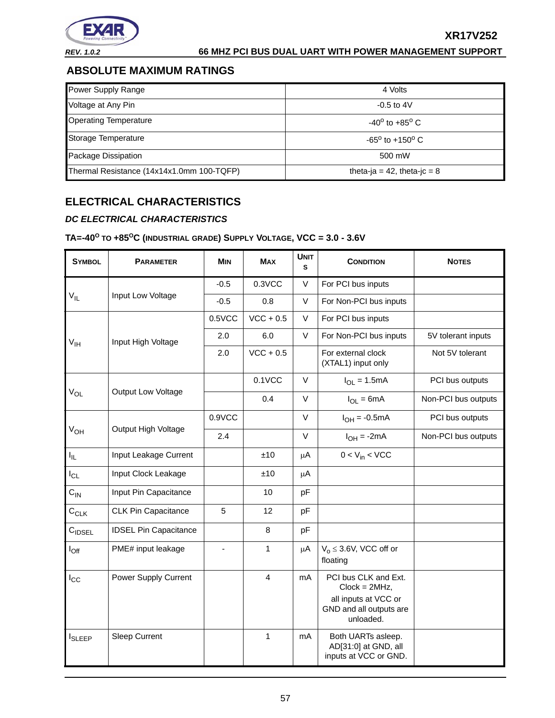

**XR17V252**

# <span id="page-56-0"></span>**ABSOLUTE MAXIMUM RATINGS**

| Power Supply Range                        | 4 Volts                           |
|-------------------------------------------|-----------------------------------|
| Voltage at Any Pin                        | $-0.5$ to $4V$                    |
| <b>Operating Temperature</b>              | $-40^{\circ}$ to $+85^{\circ}$ C. |
| Storage Temperature                       | $-65^{\circ}$ to $+150^{\circ}$ C |
| Package Dissipation                       | 500 mW                            |
| Thermal Resistance (14x14x1.0mm 100-TQFP) | theta-ja = 42, theta-jc = $8$     |

# <span id="page-56-1"></span>**ELECTRICAL CHARACTERISTICS**

## <span id="page-56-2"></span>*DC ELECTRICAL CHARACTERISTICS*

# <span id="page-56-3"></span>**TA=-40<sup>O</sup> TO +85OC (INDUSTRIAL GRADE) SUPPLY VOLTAGE, VCC = 3.0 - 3.6V**

| <b>SYMBOL</b>      | <b>PARAMETER</b>             | <b>MIN</b>     | <b>MAX</b>   | <b>UNIT</b><br>s | <b>CONDITION</b>                                                                                        | <b>NOTES</b>        |
|--------------------|------------------------------|----------------|--------------|------------------|---------------------------------------------------------------------------------------------------------|---------------------|
|                    |                              | $-0.5$         | 0.3VCC       | V                | For PCI bus inputs                                                                                      |                     |
| $V_{IL}$           | Input Low Voltage            | $-0.5$         | 0.8          | V                | For Non-PCI bus inputs                                                                                  |                     |
|                    |                              | 0.5VCC         | $VCC + 0.5$  | V                | For PCI bus inputs                                                                                      |                     |
| V <sub>IH</sub>    | Input High Voltage           | 2.0            | 6.0          | V                | For Non-PCI bus inputs                                                                                  | 5V tolerant inputs  |
|                    |                              | 2.0            | $VCC + 0.5$  |                  | For external clock<br>(XTAL1) input only                                                                | Not 5V tolerant     |
|                    |                              |                | $0.1$ VCC    | V                | $I_{OL} = 1.5mA$                                                                                        | PCI bus outputs     |
| $V_{OL}$           | Output Low Voltage           |                | 0.4          | V                | $I_{OL} = 6mA$                                                                                          | Non-PCI bus outputs |
|                    |                              | 0.9VCC         |              | V                | $I_{OH} = -0.5mA$                                                                                       | PCI bus outputs     |
| $V_{OH}$           | Output High Voltage          | 2.4            |              | V                | $I_{OH} = -2mA$                                                                                         | Non-PCI bus outputs |
| $I_{\rm IL}$       | Input Leakage Current        |                | ±10          | μA               | $0 < V_{in} < VCC$                                                                                      |                     |
| $I_{CL}$           | Input Clock Leakage          |                | ±10          | μA               |                                                                                                         |                     |
| $C_{IN}$           | Input Pin Capacitance        |                | 10           | pF               |                                                                                                         |                     |
| $C_{CLK}$          | <b>CLK Pin Capacitance</b>   | 5              | 12           | pF               |                                                                                                         |                     |
| $C_{\text{IDSEL}}$ | <b>IDSEL Pin Capacitance</b> |                | 8            | pF               |                                                                                                         |                     |
| $I_{\text{Off}}$   | PME# input leakage           | $\blacksquare$ | $\mathbf{1}$ | $\mu$ A          | $V_0 \leq 3.6V$ , VCC off or<br>floating                                                                |                     |
| $I_{\rm CC}$       | Power Supply Current         |                | 4            | mA               | PCI bus CLK and Ext.<br>$Clock = 2MHz,$<br>all inputs at VCC or<br>GND and all outputs are<br>unloaded. |                     |
| <b>I</b> SLEEP     | <b>Sleep Current</b>         |                | 1            | mA               | Both UARTs asleep.<br>AD[31:0] at GND, all<br>inputs at VCC or GND.                                     |                     |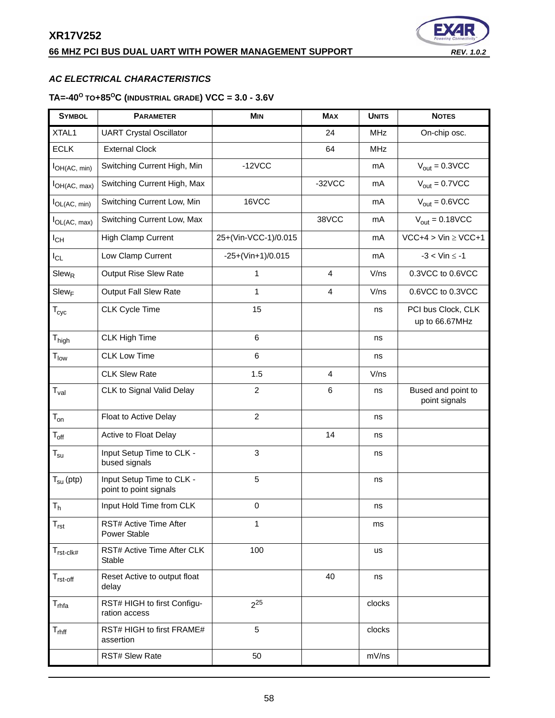# **66 MHZ PCI BUS DUAL UART WITH POWER MANAGEMENT SUPPORT** *REV. 1.0.2*



# <span id="page-57-0"></span>*AC ELECTRICAL CHARACTERISTICS*

# <span id="page-57-1"></span>**TA=-40<sup>O</sup> TO+85OC (INDUSTRIAL GRADE) VCC = 3.0 - 3.6V**

| <b>SYMBOL</b>                | <b>PARAMETER</b>                                    | <b>MIN</b>           | <b>MAX</b>     | <b>UNITS</b> | <b>NOTES</b>                         |
|------------------------------|-----------------------------------------------------|----------------------|----------------|--------------|--------------------------------------|
| XTAL1                        | <b>UART Crystal Oscillator</b>                      |                      | 24             | <b>MHz</b>   | On-chip osc.                         |
| <b>ECLK</b>                  | <b>External Clock</b>                               |                      | 64             | <b>MHz</b>   |                                      |
| $I_{OH(AC, min)}$            | Switching Current High, Min                         | $-12VCC$             |                | mA           | $V_{\text{out}} = 0.3 \text{VCC}$    |
| $I_{OH(AC, max)}$            | Switching Current High, Max                         |                      | $-32VCC$       | mA           | $V_{\text{out}} = 0.7 \text{VCC}$    |
| $I_{OL(AC, min)}$            | Switching Current Low, Min                          | 16VCC                |                | mA           | $V_{\text{out}} = 0.6 \text{VCC}$    |
| $I_{OL(AC, max)}$            | Switching Current Low, Max                          |                      | 38VCC          | mA           | $V_{\text{out}} = 0.18 \text{VCC}$   |
| $I_{CH}$                     | High Clamp Current                                  | 25+(Vin-VCC-1)/0.015 |                | mA           | $VCC+4 > Vin \ge VCC+1$              |
| $I_{CL}$                     | Low Clamp Current                                   | $-25+(Vin+1)/0.015$  |                | mA           | $-3 <$ Vin $\le -1$                  |
| $Slew_R$                     | <b>Output Rise Slew Rate</b>                        | 1                    | 4              | V/ns         | 0.3VCC to 0.6VCC                     |
| $Slew_F$                     | Output Fall Slew Rate                               | $\mathbf{1}$         | 4              | V/ns         | 0.6VCC to 0.3VCC                     |
| $T_{\rm cyc}$                | <b>CLK Cycle Time</b>                               | 15                   |                | ns           | PCI bus Clock, CLK<br>up to 66.67MHz |
| $\mathsf{T}_{\mathsf{high}}$ | <b>CLK High Time</b>                                | 6                    |                | ns           |                                      |
| $T_{low}$                    | <b>CLK Low Time</b>                                 | 6                    |                | ns           |                                      |
|                              | <b>CLK Slew Rate</b>                                | 1.5                  | $\overline{4}$ | V/ns         |                                      |
| $T_{val}$                    | CLK to Signal Valid Delay                           | $\overline{c}$       | 6              | ns           | Bused and point to<br>point signals  |
| $T_{on}$                     | Float to Active Delay                               | $\overline{2}$       |                | ns           |                                      |
| $T_{\rm off}$                | Active to Float Delay                               |                      | 14             | ns           |                                      |
| $T_{\text{su}}$              | Input Setup Time to CLK -<br>bused signals          | 3                    |                | ns           |                                      |
| $T_{\text{su}}$ (ptp)        | Input Setup Time to CLK -<br>point to point signals | 5                    |                | ns           |                                      |
| T <sub>h</sub>               | Input Hold Time from CLK                            | $\mathsf 0$          |                | ns           |                                      |
| $T_{rst}$                    | RST# Active Time After<br>Power Stable              | 1                    |                | ms           |                                      |
| $T_{rst\text{-}clk\#}$       | RST# Active Time After CLK<br>Stable                | 100                  |                | <b>us</b>    |                                      |
| $T_{rst-off}$                | Reset Active to output float<br>delay               |                      | 40             | ns           |                                      |
| T <sub>rhfa</sub>            | RST# HIGH to first Configu-<br>ration access        | $2^{25}$             |                | clocks       |                                      |
| $T_{r h f f}$                | RST# HIGH to first FRAME#<br>assertion              | 5                    |                | clocks       |                                      |
|                              | RST# Slew Rate                                      | 50                   |                | mV/ns        |                                      |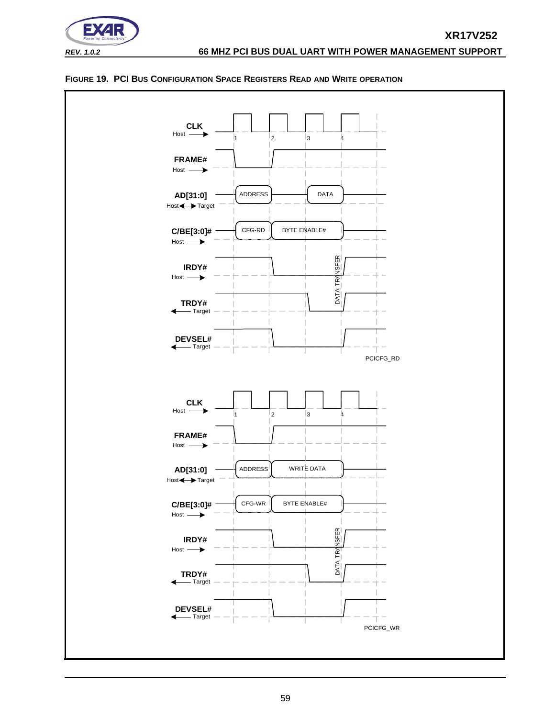



#### <span id="page-58-0"></span>**FIGURE 19. PCI BUS CONFIGURATION SPACE REGISTERS READ AND WRITE OPERATION**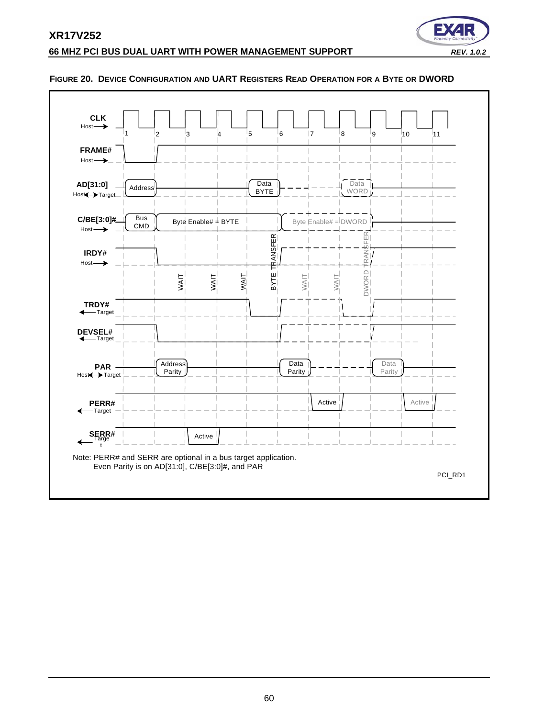

#### **66 MHZ PCI BUS DUAL UART WITH POWER MANAGEMENT SUPPORT** *REV. 1.0.2*



#### <span id="page-59-0"></span>**FIGURE 20. DEVICE CONFIGURATION AND UART REGISTERS READ OPERATION FOR A BYTE OR DWORD**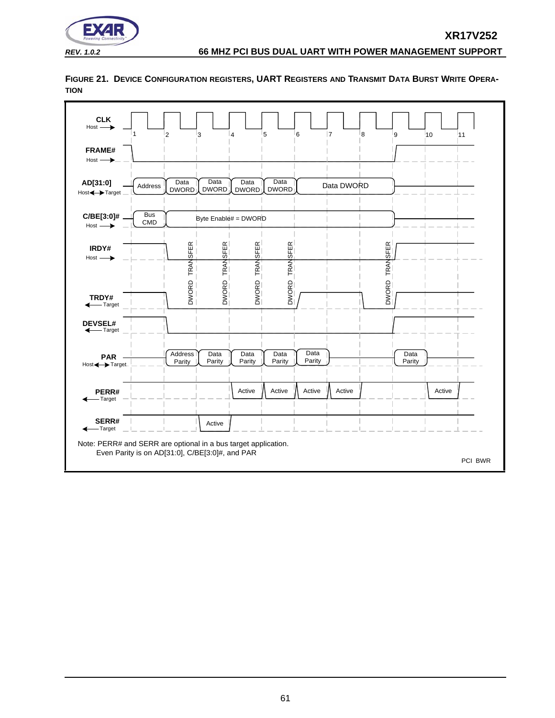

**CLK** Host 8  $\overline{9}$   $\overline{10}$ 11 1  $\frac{1}{2}$   $\frac{1}{3}$   $\frac{1}{4}$ 5 6 7 **FRAME#** Host **AD[31:0]** Data<br>DWORD **Data** Data Data Data DWORD Address **DWORD** DWORD DWORD Host<br />
Host<br />
Host<br />
Host<br />
Host<br />
Host<br />
Host<br />
Host<br />
Host<br />
Host<br />
Host<br />
Host<br />
Host<br />
Host<br />
Host<br />
Host<br />
Host<br />
Host<br />
Host<br />
Host<br />
Ho Bus<br>CMD **C/BE[3:0]#** Byte Enable# = DWORD  $Host \longrightarrow$ TRANSFER DWORD TRANSFER<br>DWORD TRANSFER<br>DWORD TRANSFER<br>DWORD TRANSFER DWORD TRANSFER **IRDY#** Host  $\rightarrow$ DWORD **TRDY#** Target **DEVSEL#** - Target **Address** Data Data Data Data Data **PAR** Parity Parity Parity Parity Parity Parity Host<br />
Host<br />
Host<br />
Host<br />
Host<br />
Host<br />
Host<br />
Host<br />
Host<br />
Host<br />
Host<br />
Host<br />
Host<br />
Host<br />
Host<br />
Host<br />
Host<br />
Host<br />
Host<br />
Host<br />
Ho Active  $\Lambda$  Active  $\Lambda$  Active  $\Lambda$  Active Active **PERR#** Target **SERR#** Active Target ◢ Note: PERR# and SERR are optional in a bus target application. Even Parity is on AD[31:0], C/BE[3:0]#, and PAR PCI BWR

<span id="page-60-0"></span>**FIGURE 21. DEVICE CONFIGURATION REGISTERS, UART REGISTERS AND TRANSMIT DATA BURST WRITE OPERA-TION**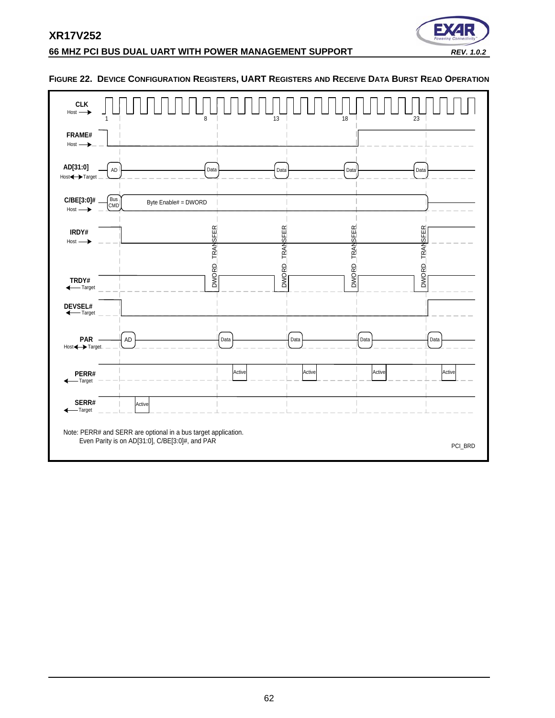

# **66 MHZ PCI BUS DUAL UART WITH POWER MANAGEMENT SUPPORT** *REV. 1.0.2*

| <b>CLK</b><br>$Host \longrightarrow$ |                   |        | 8                                                                                                                 | 13     |                | 18             | 23              |
|--------------------------------------|-------------------|--------|-------------------------------------------------------------------------------------------------------------------|--------|----------------|----------------|-----------------|
| FRAME#<br>$Host \longrightarrow$     |                   |        |                                                                                                                   |        |                |                |                 |
| AD[31:0]<br>Host<>>Target            | AD                |        | Data                                                                                                              |        | Data           | Data           | Data            |
| C/BE[3:0]#<br>$Host \longrightarrow$ | <b>Bus</b><br>CMD |        | Byte Enable# = DWORD                                                                                              |        |                |                |                 |
| IRDY#<br>$Host \longrightarrow$      |                   |        | DWORD TRANSFER                                                                                                    |        | DWORD TRANSFER | DWORD TRANSFER | <b>TRANSFER</b> |
| TRDY#<br>← Target                    |                   |        |                                                                                                                   |        |                |                | <b>DWORD</b>    |
| DEVSEL#<br>← Target                  |                   |        |                                                                                                                   |        |                |                |                 |
| <b>PAR</b><br>Host <>>Target         |                   | AD     | Data                                                                                                              |        | Data           | Data           | Data            |
| PERR#<br>←Target                     |                   |        |                                                                                                                   | Active | Active         | Active         | Active          |
| SERR#<br>←Target                     |                   | Active |                                                                                                                   |        |                |                |                 |
|                                      |                   |        | Note: PERR# and SERR are optional in a bus target application.<br>Even Parity is on AD[31:0], C/BE[3:0]#, and PAR |        |                |                | PCI_BRD         |

#### <span id="page-61-0"></span>**FIGURE 22. DEVICE CONFIGURATION REGISTERS, UART REGISTERS AND RECEIVE DATA BURST READ OPERATION**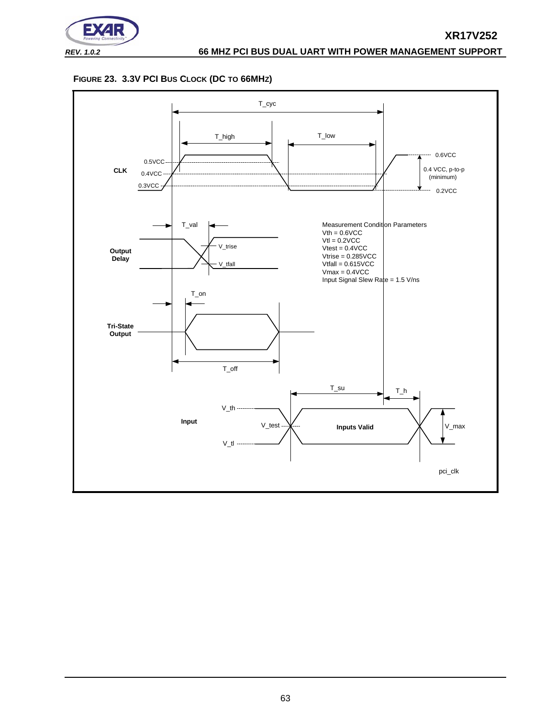![](_page_62_Picture_0.jpeg)

<span id="page-62-0"></span>![](_page_62_Figure_2.jpeg)

![](_page_62_Figure_3.jpeg)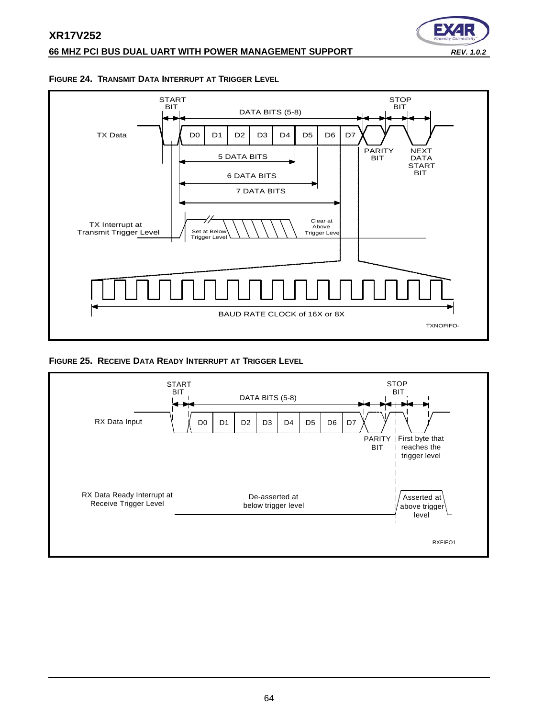# **XR17V252 66 MHZ PCI BUS DUAL UART WITH POWER MANAGEMENT SUPPORT** *REV. 1.0.2*

![](_page_63_Picture_1.jpeg)

#### <span id="page-63-0"></span>**FIGURE 24. TRANSMIT DATA INTERRUPT AT TRIGGER LEVEL**

![](_page_63_Figure_3.jpeg)

#### <span id="page-63-1"></span>**FIGURE 25. RECEIVE DATA READY INTERRUPT AT TRIGGER LEVEL**

![](_page_63_Figure_5.jpeg)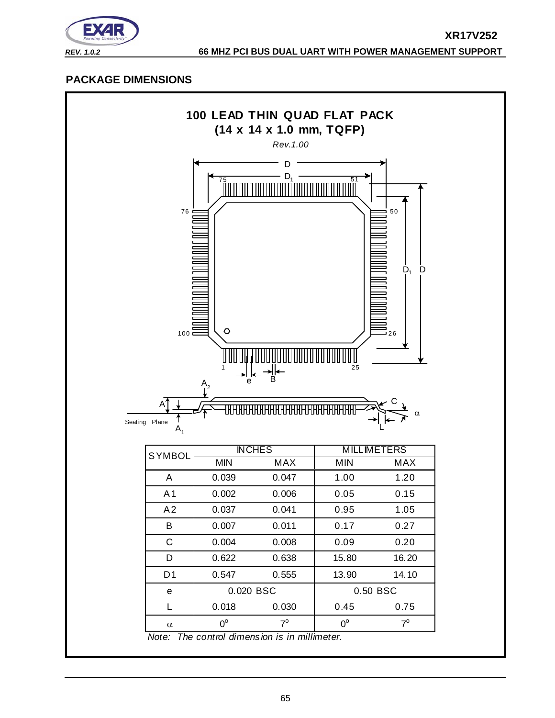![](_page_64_Picture_0.jpeg)

# <span id="page-64-0"></span>**PACKAGE DIMENSIONS**

![](_page_64_Figure_3.jpeg)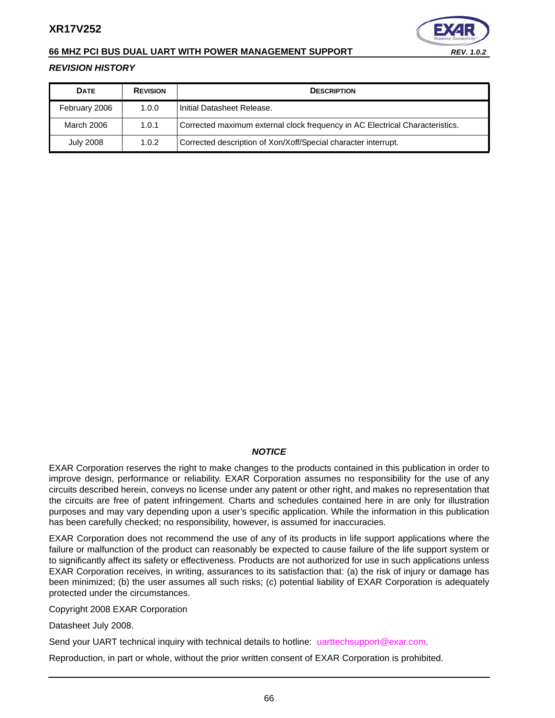![](_page_65_Picture_1.jpeg)

#### **66 MHZ PCI BUS DUAL UART WITH POWER MANAGEMENT SUPPORT** *REV. 1.0.2*

#### <span id="page-65-0"></span>*REVISION HISTORY*

| <b>DATE</b>      | <b>REVISION</b> | <b>DESCRIPTION</b>                                                           |
|------------------|-----------------|------------------------------------------------------------------------------|
| February 2006    | 1.0.0           | Initial Datasheet Release.                                                   |
| March 2006       | 1.0.1           | Corrected maximum external clock frequency in AC Electrical Characteristics. |
| <b>July 2008</b> | 1.0.2           | Corrected description of Xon/Xoff/Special character interrupt.               |

#### *NOTICE*

EXAR Corporation reserves the right to make changes to the products contained in this publication in order to improve design, performance or reliability. EXAR Corporation assumes no responsibility for the use of any circuits described herein, conveys no license under any patent or other right, and makes no representation that the circuits are free of patent infringement. Charts and schedules contained here in are only for illustration purposes and may vary depending upon a user's specific application. While the information in this publication has been carefully checked; no responsibility, however, is assumed for inaccuracies.

EXAR Corporation does not recommend the use of any of its products in life support applications where the failure or malfunction of the product can reasonably be expected to cause failure of the life support system or to significantly affect its safety or effectiveness. Products are not authorized for use in such applications unless EXAR Corporation receives, in writing, assurances to its satisfaction that: (a) the risk of injury or damage has been minimized; (b) the user assumes all such risks; (c) potential liability of EXAR Corporation is adequately protected under the circumstances.

Copyright 2008 EXAR Corporation

Datasheet July 2008.

Send your UART technical inquiry with technical details to hotline: uarttechsupport@exar.com.

Reproduction, in part or whole, without the prior written consent of EXAR Corporation is prohibited.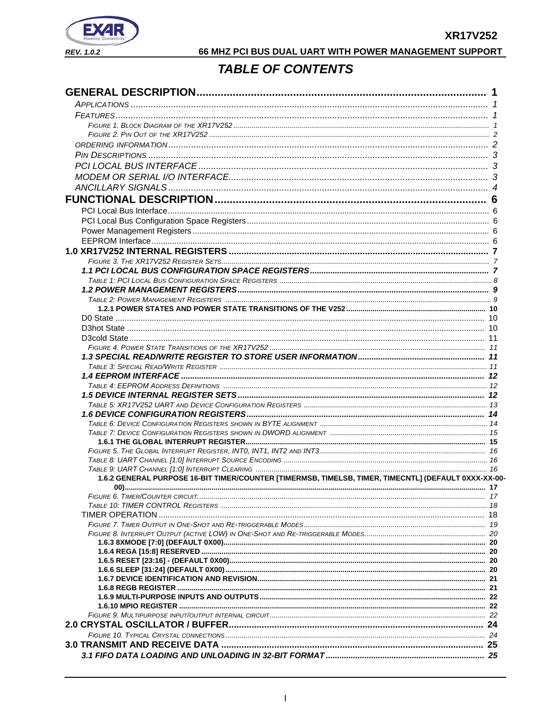![](_page_66_Picture_1.jpeg)

# 66 MHZ PCI BUS DUAL UART WITH POWER MANAGEMENT SUPPORT

# **TABLE OF CONTENTS**

<span id="page-66-0"></span>

| 1.6.2 GENERAL PURPOSE 16-BIT TIMER/COUNTER [TIMERMSB, TIMELSB, TIMER, TIMECNTL] (DEFAULT 0XXX-XX-00- |  |
|------------------------------------------------------------------------------------------------------|--|
|                                                                                                      |  |
|                                                                                                      |  |
|                                                                                                      |  |
|                                                                                                      |  |
|                                                                                                      |  |
|                                                                                                      |  |
|                                                                                                      |  |
|                                                                                                      |  |
|                                                                                                      |  |
|                                                                                                      |  |
|                                                                                                      |  |
|                                                                                                      |  |
|                                                                                                      |  |
|                                                                                                      |  |
|                                                                                                      |  |
|                                                                                                      |  |
|                                                                                                      |  |
|                                                                                                      |  |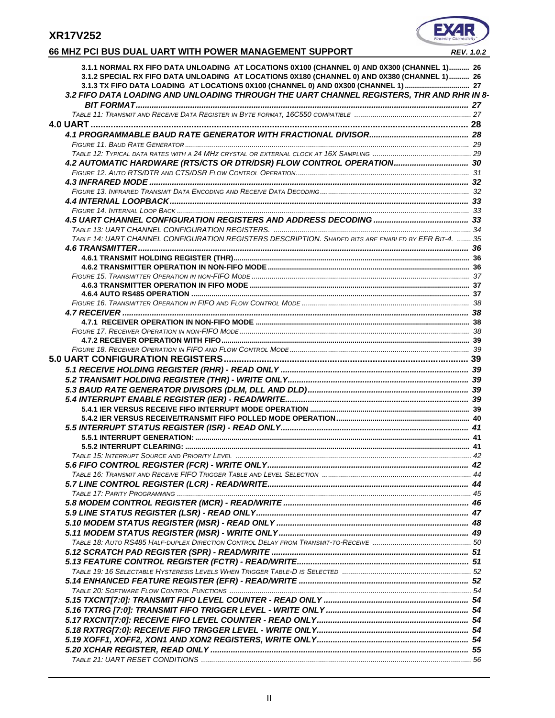# EX

# **66 MHZ PCI BUS DUAL UART WITH POWER MANAGEMENT SUPPORT** *REV. 1.0.2*

| 3.1.1 NORMAL RX FIFO DATA UNLOADING AT LOCATIONS 0X100 (CHANNEL 0) AND 0X300 (CHANNEL 1) 26<br>3.1.2 SPECIAL RX FIFO DATA UNLOADING AT LOCATIONS 0X180 (CHANNEL 0) AND 0X380 (CHANNEL 1)  26 |  |
|----------------------------------------------------------------------------------------------------------------------------------------------------------------------------------------------|--|
| 3.1.3 TX FIFO DATA LOADING AT LOCATIONS 0X100 (CHANNEL 0) AND 0X300 (CHANNEL 1)  27<br>3.2 FIFO DATA LOADING AND UNLOADING THROUGH THE UART CHANNEL REGISTERS, THR AND RHR IN 8-             |  |
|                                                                                                                                                                                              |  |
|                                                                                                                                                                                              |  |
|                                                                                                                                                                                              |  |
|                                                                                                                                                                                              |  |
|                                                                                                                                                                                              |  |
| 4.2 AUTOMATIC HARDWARE (RTS/CTS OR DTR/DSR) FLOW CONTROL OPERATION 30                                                                                                                        |  |
|                                                                                                                                                                                              |  |
|                                                                                                                                                                                              |  |
|                                                                                                                                                                                              |  |
|                                                                                                                                                                                              |  |
|                                                                                                                                                                                              |  |
|                                                                                                                                                                                              |  |
| TABLE 14: UART CHANNEL CONFIGURATION REGISTERS DESCRIPTION. SHADED BITS ARE ENABLED BY EFR BIT-4.  35                                                                                        |  |
|                                                                                                                                                                                              |  |
|                                                                                                                                                                                              |  |
|                                                                                                                                                                                              |  |
|                                                                                                                                                                                              |  |
|                                                                                                                                                                                              |  |
|                                                                                                                                                                                              |  |
|                                                                                                                                                                                              |  |
|                                                                                                                                                                                              |  |
|                                                                                                                                                                                              |  |
|                                                                                                                                                                                              |  |
|                                                                                                                                                                                              |  |
|                                                                                                                                                                                              |  |
|                                                                                                                                                                                              |  |
|                                                                                                                                                                                              |  |
|                                                                                                                                                                                              |  |
|                                                                                                                                                                                              |  |
|                                                                                                                                                                                              |  |
|                                                                                                                                                                                              |  |
|                                                                                                                                                                                              |  |
|                                                                                                                                                                                              |  |
|                                                                                                                                                                                              |  |
|                                                                                                                                                                                              |  |
|                                                                                                                                                                                              |  |
|                                                                                                                                                                                              |  |
|                                                                                                                                                                                              |  |
|                                                                                                                                                                                              |  |
|                                                                                                                                                                                              |  |
|                                                                                                                                                                                              |  |
|                                                                                                                                                                                              |  |
|                                                                                                                                                                                              |  |
|                                                                                                                                                                                              |  |
|                                                                                                                                                                                              |  |
|                                                                                                                                                                                              |  |
|                                                                                                                                                                                              |  |
|                                                                                                                                                                                              |  |
|                                                                                                                                                                                              |  |
|                                                                                                                                                                                              |  |
|                                                                                                                                                                                              |  |
|                                                                                                                                                                                              |  |
|                                                                                                                                                                                              |  |
|                                                                                                                                                                                              |  |